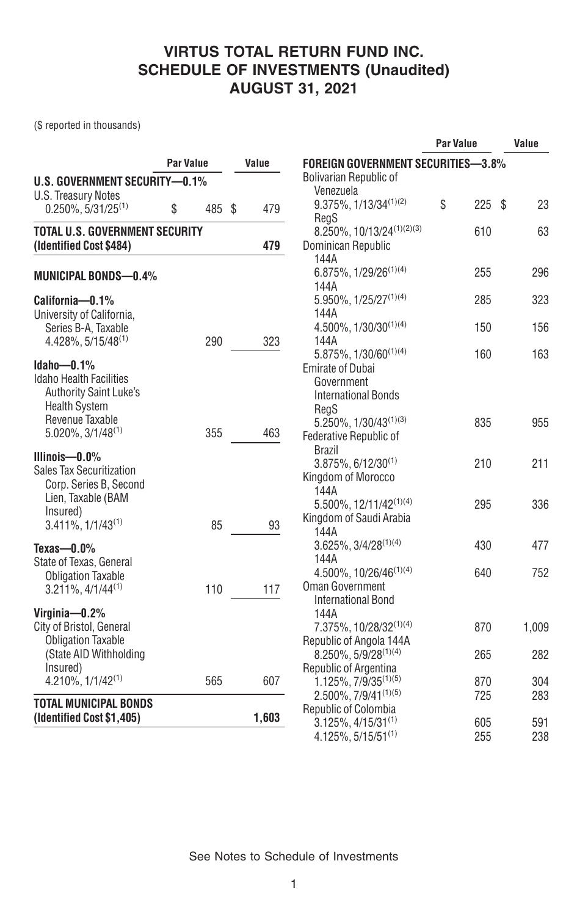(\$ reported in thousands)

|                                                     |              |       | <b>Par Value</b>                                                |    |     | Value |       |
|-----------------------------------------------------|--------------|-------|-----------------------------------------------------------------|----|-----|-------|-------|
|                                                     | Par Value    | Value | <b>FOREIGN GOVERNMENT SECURITIES-3.8%</b>                       |    |     |       |       |
| <b>U.S. GOVERNMENT SECURITY-0.1%</b>                |              |       | <b>Bolivarian Republic of</b>                                   |    |     |       |       |
| <b>U.S. Treasury Notes</b>                          |              |       | Venezuela                                                       |    |     |       |       |
| $0.250\%$ , 5/31/25 <sup>(1)</sup>                  | 485 \$<br>\$ | 479   | 9.375%, 1/13/34 <sup>(1)(2)</sup>                               | \$ | 225 | S     | 23    |
| <b>TOTAL U.S. GOVERNMENT SECURITY</b>               |              |       | RegS<br>8.250%, 10/13/24 <sup>(1)(2)(3)</sup>                   |    | 610 |       | 63    |
| (Identified Cost \$484)                             |              | 479   | Dominican Republic                                              |    |     |       |       |
|                                                     |              |       | 144A                                                            |    |     |       |       |
| <b>MUNICIPAL BONDS-0.4%</b>                         |              |       | $6.875\%$ , 1/29/26 <sup>(1)(4)</sup>                           |    | 255 |       | 296   |
|                                                     |              |       | 144A                                                            |    |     |       |       |
| California-0.1%                                     |              |       | $5.950\%$ , $1/25/27^{(1)(4)}$                                  |    | 285 |       | 323   |
| University of California,                           |              |       | 144A                                                            |    |     |       |       |
| Series B-A, Taxable                                 |              |       | $4.500\%$ , $1/30/30^{(1)(4)}$                                  |    | 150 |       | 156   |
| $4.428\%$ , 5/15/48 <sup>(1)</sup>                  | 290          | 323   | 144A                                                            |    |     |       |       |
| $Idaho - 0.1%$                                      |              |       | $5.875\%, 1/30/60^{(1)(4)}$                                     |    | 160 |       | 163   |
| <b>Idaho Health Facilities</b>                      |              |       | <b>Emirate of Dubai</b><br>Government                           |    |     |       |       |
| <b>Authority Saint Luke's</b>                       |              |       | <b>International Bonds</b>                                      |    |     |       |       |
| <b>Health System</b>                                |              |       | RegS                                                            |    |     |       |       |
| Revenue Taxable                                     |              |       | $5.250\%, 1/30/43^{(1)(3)}$                                     |    | 835 |       | 955   |
| $5.020\%$ , $3/1/48^{(1)}$                          | 355          | 463   | Federative Republic of                                          |    |     |       |       |
| Illinois- $-0.0\%$                                  |              |       | <b>Brazil</b>                                                   |    |     |       |       |
| Sales Tax Securitization                            |              |       | $3.875\%$ , 6/12/30 <sup>(1)</sup>                              |    | 210 |       | 211   |
| Corp. Series B, Second                              |              |       | Kingdom of Morocco                                              |    |     |       |       |
| Lien, Taxable (BAM                                  |              |       | 144A                                                            |    |     |       |       |
| Insured)                                            |              |       | 5.500%, 12/11/42(1)(4)                                          |    | 295 |       | 336   |
| $3.411\%$ , $1/1/43^{(1)}$                          | 85           | 93    | Kingdom of Saudi Arabia<br>144A                                 |    |     |       |       |
|                                                     |              |       | $3.625\%$ , $3/4/28^{(1)(4)}$                                   |    | 430 |       | 477   |
| Texas- $-0.0\%$<br>State of Texas, General          |              |       | 144A                                                            |    |     |       |       |
| <b>Obligation Taxable</b>                           |              |       | 4.500%, 10/26/46 <sup>(1)(4)</sup>                              |    | 640 |       | 752   |
| $3.211\%$ , $4/1/44^{(1)}$                          | 110          | 117   | <b>Oman Government</b>                                          |    |     |       |       |
|                                                     |              |       | <b>International Bond</b>                                       |    |     |       |       |
| Virginia-0.2%                                       |              |       | 144A                                                            |    |     |       |       |
| City of Bristol, General                            |              |       | 7.375%, 10/28/32 <sup>(1)(4)</sup>                              |    | 870 |       | 1,009 |
| <b>Obligation Taxable</b><br>(State AID Withholding |              |       | Republic of Angola 144A<br>$8.250\%$ , 5/9/28 <sup>(1)(4)</sup> |    | 265 |       | 282   |
| Insured)                                            |              |       | Republic of Argentina                                           |    |     |       |       |
| $4.210\%$ , $1/1/42^{(1)}$                          | 565          | 607   | $1.125\%$ , $7/9/35^{(1)(5)}$                                   |    | 870 |       | 304   |
|                                                     |              |       | $2.500\%$ , $7/9/41^{(1)(5)}$                                   |    | 725 |       | 283   |
| <b>TOTAL MUNICIPAL BONDS</b>                        |              |       | Republic of Colombia                                            |    |     |       |       |
| (Identified Cost \$1,405)                           |              | 1,603 | $3.125\%$ , 4/15/31 <sup>(1)</sup>                              |    | 605 |       | 591   |
|                                                     |              |       | $4.125\%, 5/15/51^{(1)}$                                        |    | 255 |       | 238   |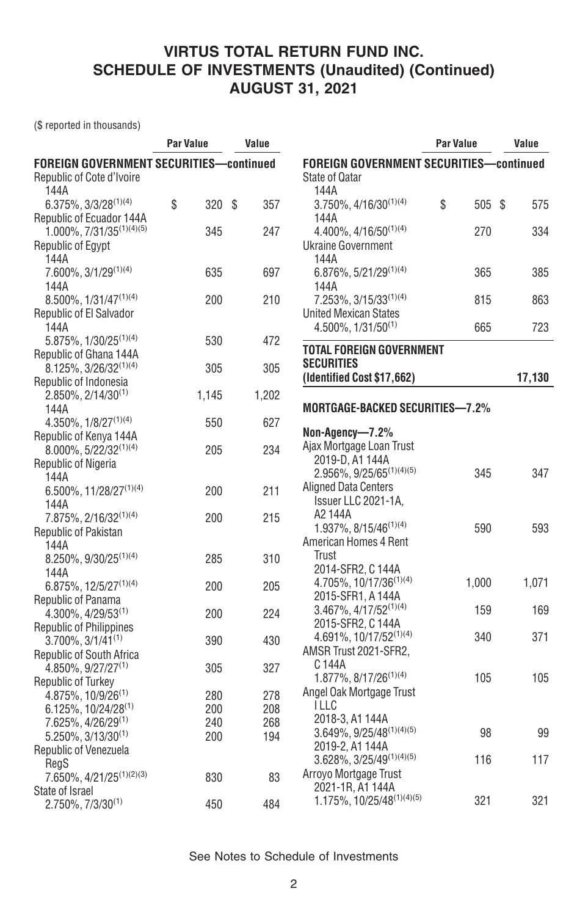(\$ reported in thousands)

| <b>FOREIGN GOVERNMENT SECURITIES-continued</b><br><b>FOREIGN GOVERNMENT SECURITIES-continued</b><br>Republic of Cote d'Ivoire<br><b>State of Qatar</b><br>144A<br>144A<br>\$<br>$3.750\%$ , $4/16/30^{(1)(4)}$<br>\$<br>$6.375\%$ , $3/3/28^{(1)(4)}$<br>320 \$<br>357<br>505 \$<br>575<br>Republic of Ecuador 144A<br>144A<br>$1.000\%$ , $7/31/35^{(1)(4)(5)}$<br>345<br>4.400%, 4/16/50(1)(4)<br>270<br>334<br>247<br><b>Ukraine Government</b><br>Republic of Egypt<br>144A<br>144A<br>7.600%, 3/1/29(1)(4)<br>6.876%, 5/21/29(1)(4)<br>635<br>697<br>385<br>365<br>144A<br>144A<br>200<br>210<br>863<br>$8.500\%$ , $1/31/47^{(1)(4)}$<br>$7.253\%$ , 3/15/33 <sup>(1)(4)</sup><br>815<br>Republic of El Salvador<br>United Mexican States<br>$4.500\%$ , $1/31/50^{(1)}$<br>665<br>723<br>144A<br>5.875%, 1/30/25 <sup>(1)(4)</sup><br>530<br>472<br><b>TOTAL FOREIGN GOVERNMENT</b><br>Republic of Ghana 144A<br><b>SECURITIES</b><br>$8.125\%, 3/26/32^{(1)(4)}$<br>305<br>305<br>(Identified Cost \$17,662)<br>17,130<br>Republic of Indonesia<br>$2.850\%$ , 2/14/30 <sup>(1)</sup><br>1,202<br>1,145<br>MORTGAGE-BACKED SECURITIES-7.2%<br>144A<br>4.350%, $1/8/27^{(1)(4)}$<br>627<br>550<br>Non-Agency—7.2%<br>Republic of Kenya 144A<br>Ajax Mortgage Loan Trust<br>8.000%, 5/22/32(1)(4)<br>234<br>205<br>2019-D, A1 144A<br>Republic of Nigeria<br>$2.956\%$ , $9/25/65^{(1)(4)(5)}$<br>345<br>347<br>144A<br><b>Aligned Data Centers</b><br>6.500%, 11/28/27 <sup>(1)(4)</sup><br>211<br>200<br>Issuer LLC 2021-1A,<br>144A<br>A2 144A<br>215<br>7.875%, 2/16/32(1)(4)<br>200<br>$1.937\%$ , $8/15/46^{(1)(4)}$<br>590<br>593<br>Republic of Pakistan<br>American Homes 4 Rent<br>144A<br>Trust<br>310<br>8.250%, 9/30/25 <sup>(1)(4)</sup><br>285<br>2014-SFR2, C 144A<br>144A<br>4.705%, 10/17/36 <sup>(1)(4)</sup><br>1,000<br>1,071<br>$6.875\%, 12/5/27^{(1)(4)}$<br>200<br>205<br>2015-SFR1, A 144A<br>Republic of Panama<br>169<br>$3.467\%$ , $4/17/52^{(1)(4)}$<br>159<br>4.300%, 4/29/53(1)<br>224<br>200<br>2015-SFR2, C 144A<br><b>Republic of Philippines</b><br>4.691%, 10/17/52(1)(4)<br>340<br>371<br>$3.700\%$ , $3/1/41^{(1)}$<br>390<br>430<br>AMSR Trust 2021-SFR2,<br>Republic of South Africa<br>C 144A<br>$4.850\%, 9/27/27^{(1)}$<br>327<br>305<br>105<br>105<br>$1.877\%$ , $8/17/26^{(1)(4)}$<br>Republic of Turkey<br>Angel Oak Mortgage Trust<br>$4.875\%$ , 10/9/26 <sup>(1)</sup><br>280<br>278<br><b>ILLC</b><br>6.125%, 10/24/28(1)<br>200<br>208<br>2018-3, A1 144A<br>7.625%, 4/26/29 <sup>(1)</sup><br>240<br>268<br>$3.649\%, 9/25/48^{(1)(4)(5)}$<br>98<br>99<br>$5.250\%, 3/13/30^{(1)}$<br>200<br>194<br>2019-2, A1 144A<br>Republic of Venezuela | <b>Par Value</b> | Value |                                   | <b>Par Value</b> | Value |  |  |
|-----------------------------------------------------------------------------------------------------------------------------------------------------------------------------------------------------------------------------------------------------------------------------------------------------------------------------------------------------------------------------------------------------------------------------------------------------------------------------------------------------------------------------------------------------------------------------------------------------------------------------------------------------------------------------------------------------------------------------------------------------------------------------------------------------------------------------------------------------------------------------------------------------------------------------------------------------------------------------------------------------------------------------------------------------------------------------------------------------------------------------------------------------------------------------------------------------------------------------------------------------------------------------------------------------------------------------------------------------------------------------------------------------------------------------------------------------------------------------------------------------------------------------------------------------------------------------------------------------------------------------------------------------------------------------------------------------------------------------------------------------------------------------------------------------------------------------------------------------------------------------------------------------------------------------------------------------------------------------------------------------------------------------------------------------------------------------------------------------------------------------------------------------------------------------------------------------------------------------------------------------------------------------------------------------------------------------------------------------------------------------------------------------------------------------------------------------------------------------------------------------------------------------------------------------------------------------------------------------------------------------------------------------------------------------------------------------------|------------------|-------|-----------------------------------|------------------|-------|--|--|
|                                                                                                                                                                                                                                                                                                                                                                                                                                                                                                                                                                                                                                                                                                                                                                                                                                                                                                                                                                                                                                                                                                                                                                                                                                                                                                                                                                                                                                                                                                                                                                                                                                                                                                                                                                                                                                                                                                                                                                                                                                                                                                                                                                                                                                                                                                                                                                                                                                                                                                                                                                                                                                                                                                           |                  |       |                                   |                  |       |  |  |
|                                                                                                                                                                                                                                                                                                                                                                                                                                                                                                                                                                                                                                                                                                                                                                                                                                                                                                                                                                                                                                                                                                                                                                                                                                                                                                                                                                                                                                                                                                                                                                                                                                                                                                                                                                                                                                                                                                                                                                                                                                                                                                                                                                                                                                                                                                                                                                                                                                                                                                                                                                                                                                                                                                           |                  |       |                                   |                  |       |  |  |
|                                                                                                                                                                                                                                                                                                                                                                                                                                                                                                                                                                                                                                                                                                                                                                                                                                                                                                                                                                                                                                                                                                                                                                                                                                                                                                                                                                                                                                                                                                                                                                                                                                                                                                                                                                                                                                                                                                                                                                                                                                                                                                                                                                                                                                                                                                                                                                                                                                                                                                                                                                                                                                                                                                           |                  |       |                                   |                  |       |  |  |
|                                                                                                                                                                                                                                                                                                                                                                                                                                                                                                                                                                                                                                                                                                                                                                                                                                                                                                                                                                                                                                                                                                                                                                                                                                                                                                                                                                                                                                                                                                                                                                                                                                                                                                                                                                                                                                                                                                                                                                                                                                                                                                                                                                                                                                                                                                                                                                                                                                                                                                                                                                                                                                                                                                           |                  |       |                                   |                  |       |  |  |
|                                                                                                                                                                                                                                                                                                                                                                                                                                                                                                                                                                                                                                                                                                                                                                                                                                                                                                                                                                                                                                                                                                                                                                                                                                                                                                                                                                                                                                                                                                                                                                                                                                                                                                                                                                                                                                                                                                                                                                                                                                                                                                                                                                                                                                                                                                                                                                                                                                                                                                                                                                                                                                                                                                           |                  |       |                                   |                  |       |  |  |
|                                                                                                                                                                                                                                                                                                                                                                                                                                                                                                                                                                                                                                                                                                                                                                                                                                                                                                                                                                                                                                                                                                                                                                                                                                                                                                                                                                                                                                                                                                                                                                                                                                                                                                                                                                                                                                                                                                                                                                                                                                                                                                                                                                                                                                                                                                                                                                                                                                                                                                                                                                                                                                                                                                           |                  |       |                                   |                  |       |  |  |
|                                                                                                                                                                                                                                                                                                                                                                                                                                                                                                                                                                                                                                                                                                                                                                                                                                                                                                                                                                                                                                                                                                                                                                                                                                                                                                                                                                                                                                                                                                                                                                                                                                                                                                                                                                                                                                                                                                                                                                                                                                                                                                                                                                                                                                                                                                                                                                                                                                                                                                                                                                                                                                                                                                           |                  |       |                                   |                  |       |  |  |
|                                                                                                                                                                                                                                                                                                                                                                                                                                                                                                                                                                                                                                                                                                                                                                                                                                                                                                                                                                                                                                                                                                                                                                                                                                                                                                                                                                                                                                                                                                                                                                                                                                                                                                                                                                                                                                                                                                                                                                                                                                                                                                                                                                                                                                                                                                                                                                                                                                                                                                                                                                                                                                                                                                           |                  |       |                                   |                  |       |  |  |
|                                                                                                                                                                                                                                                                                                                                                                                                                                                                                                                                                                                                                                                                                                                                                                                                                                                                                                                                                                                                                                                                                                                                                                                                                                                                                                                                                                                                                                                                                                                                                                                                                                                                                                                                                                                                                                                                                                                                                                                                                                                                                                                                                                                                                                                                                                                                                                                                                                                                                                                                                                                                                                                                                                           |                  |       |                                   |                  |       |  |  |
|                                                                                                                                                                                                                                                                                                                                                                                                                                                                                                                                                                                                                                                                                                                                                                                                                                                                                                                                                                                                                                                                                                                                                                                                                                                                                                                                                                                                                                                                                                                                                                                                                                                                                                                                                                                                                                                                                                                                                                                                                                                                                                                                                                                                                                                                                                                                                                                                                                                                                                                                                                                                                                                                                                           |                  |       |                                   |                  |       |  |  |
|                                                                                                                                                                                                                                                                                                                                                                                                                                                                                                                                                                                                                                                                                                                                                                                                                                                                                                                                                                                                                                                                                                                                                                                                                                                                                                                                                                                                                                                                                                                                                                                                                                                                                                                                                                                                                                                                                                                                                                                                                                                                                                                                                                                                                                                                                                                                                                                                                                                                                                                                                                                                                                                                                                           |                  |       |                                   |                  |       |  |  |
|                                                                                                                                                                                                                                                                                                                                                                                                                                                                                                                                                                                                                                                                                                                                                                                                                                                                                                                                                                                                                                                                                                                                                                                                                                                                                                                                                                                                                                                                                                                                                                                                                                                                                                                                                                                                                                                                                                                                                                                                                                                                                                                                                                                                                                                                                                                                                                                                                                                                                                                                                                                                                                                                                                           |                  |       |                                   |                  |       |  |  |
|                                                                                                                                                                                                                                                                                                                                                                                                                                                                                                                                                                                                                                                                                                                                                                                                                                                                                                                                                                                                                                                                                                                                                                                                                                                                                                                                                                                                                                                                                                                                                                                                                                                                                                                                                                                                                                                                                                                                                                                                                                                                                                                                                                                                                                                                                                                                                                                                                                                                                                                                                                                                                                                                                                           |                  |       |                                   |                  |       |  |  |
|                                                                                                                                                                                                                                                                                                                                                                                                                                                                                                                                                                                                                                                                                                                                                                                                                                                                                                                                                                                                                                                                                                                                                                                                                                                                                                                                                                                                                                                                                                                                                                                                                                                                                                                                                                                                                                                                                                                                                                                                                                                                                                                                                                                                                                                                                                                                                                                                                                                                                                                                                                                                                                                                                                           |                  |       |                                   |                  |       |  |  |
|                                                                                                                                                                                                                                                                                                                                                                                                                                                                                                                                                                                                                                                                                                                                                                                                                                                                                                                                                                                                                                                                                                                                                                                                                                                                                                                                                                                                                                                                                                                                                                                                                                                                                                                                                                                                                                                                                                                                                                                                                                                                                                                                                                                                                                                                                                                                                                                                                                                                                                                                                                                                                                                                                                           |                  |       |                                   |                  |       |  |  |
|                                                                                                                                                                                                                                                                                                                                                                                                                                                                                                                                                                                                                                                                                                                                                                                                                                                                                                                                                                                                                                                                                                                                                                                                                                                                                                                                                                                                                                                                                                                                                                                                                                                                                                                                                                                                                                                                                                                                                                                                                                                                                                                                                                                                                                                                                                                                                                                                                                                                                                                                                                                                                                                                                                           |                  |       |                                   |                  |       |  |  |
|                                                                                                                                                                                                                                                                                                                                                                                                                                                                                                                                                                                                                                                                                                                                                                                                                                                                                                                                                                                                                                                                                                                                                                                                                                                                                                                                                                                                                                                                                                                                                                                                                                                                                                                                                                                                                                                                                                                                                                                                                                                                                                                                                                                                                                                                                                                                                                                                                                                                                                                                                                                                                                                                                                           |                  |       |                                   |                  |       |  |  |
|                                                                                                                                                                                                                                                                                                                                                                                                                                                                                                                                                                                                                                                                                                                                                                                                                                                                                                                                                                                                                                                                                                                                                                                                                                                                                                                                                                                                                                                                                                                                                                                                                                                                                                                                                                                                                                                                                                                                                                                                                                                                                                                                                                                                                                                                                                                                                                                                                                                                                                                                                                                                                                                                                                           |                  |       |                                   |                  |       |  |  |
|                                                                                                                                                                                                                                                                                                                                                                                                                                                                                                                                                                                                                                                                                                                                                                                                                                                                                                                                                                                                                                                                                                                                                                                                                                                                                                                                                                                                                                                                                                                                                                                                                                                                                                                                                                                                                                                                                                                                                                                                                                                                                                                                                                                                                                                                                                                                                                                                                                                                                                                                                                                                                                                                                                           |                  |       |                                   |                  |       |  |  |
|                                                                                                                                                                                                                                                                                                                                                                                                                                                                                                                                                                                                                                                                                                                                                                                                                                                                                                                                                                                                                                                                                                                                                                                                                                                                                                                                                                                                                                                                                                                                                                                                                                                                                                                                                                                                                                                                                                                                                                                                                                                                                                                                                                                                                                                                                                                                                                                                                                                                                                                                                                                                                                                                                                           |                  |       |                                   |                  |       |  |  |
|                                                                                                                                                                                                                                                                                                                                                                                                                                                                                                                                                                                                                                                                                                                                                                                                                                                                                                                                                                                                                                                                                                                                                                                                                                                                                                                                                                                                                                                                                                                                                                                                                                                                                                                                                                                                                                                                                                                                                                                                                                                                                                                                                                                                                                                                                                                                                                                                                                                                                                                                                                                                                                                                                                           |                  |       |                                   |                  |       |  |  |
|                                                                                                                                                                                                                                                                                                                                                                                                                                                                                                                                                                                                                                                                                                                                                                                                                                                                                                                                                                                                                                                                                                                                                                                                                                                                                                                                                                                                                                                                                                                                                                                                                                                                                                                                                                                                                                                                                                                                                                                                                                                                                                                                                                                                                                                                                                                                                                                                                                                                                                                                                                                                                                                                                                           |                  |       |                                   |                  |       |  |  |
|                                                                                                                                                                                                                                                                                                                                                                                                                                                                                                                                                                                                                                                                                                                                                                                                                                                                                                                                                                                                                                                                                                                                                                                                                                                                                                                                                                                                                                                                                                                                                                                                                                                                                                                                                                                                                                                                                                                                                                                                                                                                                                                                                                                                                                                                                                                                                                                                                                                                                                                                                                                                                                                                                                           |                  |       |                                   |                  |       |  |  |
|                                                                                                                                                                                                                                                                                                                                                                                                                                                                                                                                                                                                                                                                                                                                                                                                                                                                                                                                                                                                                                                                                                                                                                                                                                                                                                                                                                                                                                                                                                                                                                                                                                                                                                                                                                                                                                                                                                                                                                                                                                                                                                                                                                                                                                                                                                                                                                                                                                                                                                                                                                                                                                                                                                           |                  |       |                                   |                  |       |  |  |
|                                                                                                                                                                                                                                                                                                                                                                                                                                                                                                                                                                                                                                                                                                                                                                                                                                                                                                                                                                                                                                                                                                                                                                                                                                                                                                                                                                                                                                                                                                                                                                                                                                                                                                                                                                                                                                                                                                                                                                                                                                                                                                                                                                                                                                                                                                                                                                                                                                                                                                                                                                                                                                                                                                           |                  |       |                                   |                  |       |  |  |
|                                                                                                                                                                                                                                                                                                                                                                                                                                                                                                                                                                                                                                                                                                                                                                                                                                                                                                                                                                                                                                                                                                                                                                                                                                                                                                                                                                                                                                                                                                                                                                                                                                                                                                                                                                                                                                                                                                                                                                                                                                                                                                                                                                                                                                                                                                                                                                                                                                                                                                                                                                                                                                                                                                           |                  |       |                                   |                  |       |  |  |
|                                                                                                                                                                                                                                                                                                                                                                                                                                                                                                                                                                                                                                                                                                                                                                                                                                                                                                                                                                                                                                                                                                                                                                                                                                                                                                                                                                                                                                                                                                                                                                                                                                                                                                                                                                                                                                                                                                                                                                                                                                                                                                                                                                                                                                                                                                                                                                                                                                                                                                                                                                                                                                                                                                           |                  |       |                                   |                  |       |  |  |
|                                                                                                                                                                                                                                                                                                                                                                                                                                                                                                                                                                                                                                                                                                                                                                                                                                                                                                                                                                                                                                                                                                                                                                                                                                                                                                                                                                                                                                                                                                                                                                                                                                                                                                                                                                                                                                                                                                                                                                                                                                                                                                                                                                                                                                                                                                                                                                                                                                                                                                                                                                                                                                                                                                           |                  |       |                                   |                  |       |  |  |
|                                                                                                                                                                                                                                                                                                                                                                                                                                                                                                                                                                                                                                                                                                                                                                                                                                                                                                                                                                                                                                                                                                                                                                                                                                                                                                                                                                                                                                                                                                                                                                                                                                                                                                                                                                                                                                                                                                                                                                                                                                                                                                                                                                                                                                                                                                                                                                                                                                                                                                                                                                                                                                                                                                           |                  |       |                                   |                  |       |  |  |
|                                                                                                                                                                                                                                                                                                                                                                                                                                                                                                                                                                                                                                                                                                                                                                                                                                                                                                                                                                                                                                                                                                                                                                                                                                                                                                                                                                                                                                                                                                                                                                                                                                                                                                                                                                                                                                                                                                                                                                                                                                                                                                                                                                                                                                                                                                                                                                                                                                                                                                                                                                                                                                                                                                           |                  |       |                                   |                  |       |  |  |
|                                                                                                                                                                                                                                                                                                                                                                                                                                                                                                                                                                                                                                                                                                                                                                                                                                                                                                                                                                                                                                                                                                                                                                                                                                                                                                                                                                                                                                                                                                                                                                                                                                                                                                                                                                                                                                                                                                                                                                                                                                                                                                                                                                                                                                                                                                                                                                                                                                                                                                                                                                                                                                                                                                           |                  |       |                                   |                  |       |  |  |
|                                                                                                                                                                                                                                                                                                                                                                                                                                                                                                                                                                                                                                                                                                                                                                                                                                                                                                                                                                                                                                                                                                                                                                                                                                                                                                                                                                                                                                                                                                                                                                                                                                                                                                                                                                                                                                                                                                                                                                                                                                                                                                                                                                                                                                                                                                                                                                                                                                                                                                                                                                                                                                                                                                           |                  |       |                                   |                  |       |  |  |
|                                                                                                                                                                                                                                                                                                                                                                                                                                                                                                                                                                                                                                                                                                                                                                                                                                                                                                                                                                                                                                                                                                                                                                                                                                                                                                                                                                                                                                                                                                                                                                                                                                                                                                                                                                                                                                                                                                                                                                                                                                                                                                                                                                                                                                                                                                                                                                                                                                                                                                                                                                                                                                                                                                           |                  |       |                                   |                  |       |  |  |
|                                                                                                                                                                                                                                                                                                                                                                                                                                                                                                                                                                                                                                                                                                                                                                                                                                                                                                                                                                                                                                                                                                                                                                                                                                                                                                                                                                                                                                                                                                                                                                                                                                                                                                                                                                                                                                                                                                                                                                                                                                                                                                                                                                                                                                                                                                                                                                                                                                                                                                                                                                                                                                                                                                           |                  |       |                                   |                  |       |  |  |
|                                                                                                                                                                                                                                                                                                                                                                                                                                                                                                                                                                                                                                                                                                                                                                                                                                                                                                                                                                                                                                                                                                                                                                                                                                                                                                                                                                                                                                                                                                                                                                                                                                                                                                                                                                                                                                                                                                                                                                                                                                                                                                                                                                                                                                                                                                                                                                                                                                                                                                                                                                                                                                                                                                           |                  |       |                                   |                  |       |  |  |
|                                                                                                                                                                                                                                                                                                                                                                                                                                                                                                                                                                                                                                                                                                                                                                                                                                                                                                                                                                                                                                                                                                                                                                                                                                                                                                                                                                                                                                                                                                                                                                                                                                                                                                                                                                                                                                                                                                                                                                                                                                                                                                                                                                                                                                                                                                                                                                                                                                                                                                                                                                                                                                                                                                           |                  |       |                                   |                  |       |  |  |
|                                                                                                                                                                                                                                                                                                                                                                                                                                                                                                                                                                                                                                                                                                                                                                                                                                                                                                                                                                                                                                                                                                                                                                                                                                                                                                                                                                                                                                                                                                                                                                                                                                                                                                                                                                                                                                                                                                                                                                                                                                                                                                                                                                                                                                                                                                                                                                                                                                                                                                                                                                                                                                                                                                           |                  |       |                                   |                  |       |  |  |
|                                                                                                                                                                                                                                                                                                                                                                                                                                                                                                                                                                                                                                                                                                                                                                                                                                                                                                                                                                                                                                                                                                                                                                                                                                                                                                                                                                                                                                                                                                                                                                                                                                                                                                                                                                                                                                                                                                                                                                                                                                                                                                                                                                                                                                                                                                                                                                                                                                                                                                                                                                                                                                                                                                           |                  |       |                                   |                  |       |  |  |
|                                                                                                                                                                                                                                                                                                                                                                                                                                                                                                                                                                                                                                                                                                                                                                                                                                                                                                                                                                                                                                                                                                                                                                                                                                                                                                                                                                                                                                                                                                                                                                                                                                                                                                                                                                                                                                                                                                                                                                                                                                                                                                                                                                                                                                                                                                                                                                                                                                                                                                                                                                                                                                                                                                           |                  |       |                                   |                  |       |  |  |
|                                                                                                                                                                                                                                                                                                                                                                                                                                                                                                                                                                                                                                                                                                                                                                                                                                                                                                                                                                                                                                                                                                                                                                                                                                                                                                                                                                                                                                                                                                                                                                                                                                                                                                                                                                                                                                                                                                                                                                                                                                                                                                                                                                                                                                                                                                                                                                                                                                                                                                                                                                                                                                                                                                           |                  |       |                                   |                  |       |  |  |
|                                                                                                                                                                                                                                                                                                                                                                                                                                                                                                                                                                                                                                                                                                                                                                                                                                                                                                                                                                                                                                                                                                                                                                                                                                                                                                                                                                                                                                                                                                                                                                                                                                                                                                                                                                                                                                                                                                                                                                                                                                                                                                                                                                                                                                                                                                                                                                                                                                                                                                                                                                                                                                                                                                           |                  |       |                                   |                  |       |  |  |
|                                                                                                                                                                                                                                                                                                                                                                                                                                                                                                                                                                                                                                                                                                                                                                                                                                                                                                                                                                                                                                                                                                                                                                                                                                                                                                                                                                                                                                                                                                                                                                                                                                                                                                                                                                                                                                                                                                                                                                                                                                                                                                                                                                                                                                                                                                                                                                                                                                                                                                                                                                                                                                                                                                           |                  |       |                                   |                  |       |  |  |
|                                                                                                                                                                                                                                                                                                                                                                                                                                                                                                                                                                                                                                                                                                                                                                                                                                                                                                                                                                                                                                                                                                                                                                                                                                                                                                                                                                                                                                                                                                                                                                                                                                                                                                                                                                                                                                                                                                                                                                                                                                                                                                                                                                                                                                                                                                                                                                                                                                                                                                                                                                                                                                                                                                           |                  |       |                                   |                  |       |  |  |
|                                                                                                                                                                                                                                                                                                                                                                                                                                                                                                                                                                                                                                                                                                                                                                                                                                                                                                                                                                                                                                                                                                                                                                                                                                                                                                                                                                                                                                                                                                                                                                                                                                                                                                                                                                                                                                                                                                                                                                                                                                                                                                                                                                                                                                                                                                                                                                                                                                                                                                                                                                                                                                                                                                           |                  |       | $3.628\%$ , $3/25/49^{(1)(4)(5)}$ | 116              | 117   |  |  |
| RegS<br>Arroyo Mortgage Trust<br>7.650%, 4/21/25(1)(2)(3)<br>830<br>83                                                                                                                                                                                                                                                                                                                                                                                                                                                                                                                                                                                                                                                                                                                                                                                                                                                                                                                                                                                                                                                                                                                                                                                                                                                                                                                                                                                                                                                                                                                                                                                                                                                                                                                                                                                                                                                                                                                                                                                                                                                                                                                                                                                                                                                                                                                                                                                                                                                                                                                                                                                                                                    |                  |       |                                   |                  |       |  |  |
| 2021-1R, A1 144A<br>State of Israel                                                                                                                                                                                                                                                                                                                                                                                                                                                                                                                                                                                                                                                                                                                                                                                                                                                                                                                                                                                                                                                                                                                                                                                                                                                                                                                                                                                                                                                                                                                                                                                                                                                                                                                                                                                                                                                                                                                                                                                                                                                                                                                                                                                                                                                                                                                                                                                                                                                                                                                                                                                                                                                                       |                  |       |                                   |                  |       |  |  |
| $1.175\%, 10/25/48^{(1)(4)(5)}$<br>321<br>321<br>2.750%, 7/3/30(1)<br>450<br>484                                                                                                                                                                                                                                                                                                                                                                                                                                                                                                                                                                                                                                                                                                                                                                                                                                                                                                                                                                                                                                                                                                                                                                                                                                                                                                                                                                                                                                                                                                                                                                                                                                                                                                                                                                                                                                                                                                                                                                                                                                                                                                                                                                                                                                                                                                                                                                                                                                                                                                                                                                                                                          |                  |       |                                   |                  |       |  |  |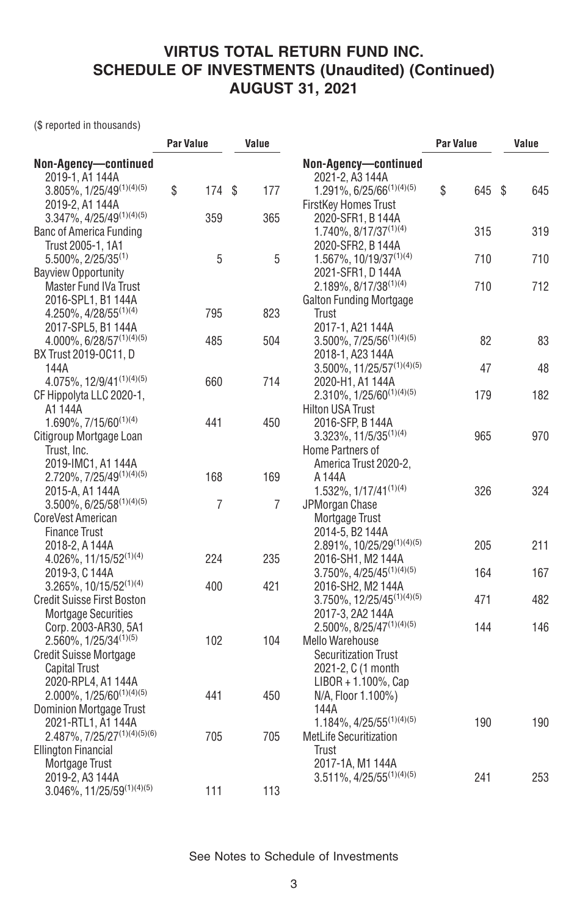(\$ reported in thousands)

| Non-Agency-continued<br>Non-Agency-continued<br>2019-1, A1 144A<br>2021-2, A3 144A<br>$3.805\%, 1/25/49^{(1)(4)(5)}$<br>\$<br>1.291%, 6/25/66 <sup>(1)(4)(5)</sup><br>\$<br>174 \$<br>177<br>645 \$<br>645<br>2019-2, A1 144A<br><b>FirstKey Homes Trust</b><br>$3.347\%$ , $4/25/49^{(1)(4)(5)}$<br>359<br>365<br>2020-SFR1, B 144A<br>1.740%, 8/17/37 <sup>(1)(4)</sup><br>315<br>319<br>Banc of America Funding<br>Trust 2005-1, 1A1<br>2020-SFR2, B 144A<br>5<br>5<br>$5.500\%$ , 2/25/35 <sup>(1)</sup><br>$1.567\%$ , $10/19/37^{(1)(4)}$<br>710<br>710<br><b>Bayview Opportunity</b><br>2021-SFR1, D 144A<br>712<br>$2.189\%$ , 8/17/38 <sup>(1)(4)</sup><br>710<br>Master Fund IVa Trust<br>2016-SPL1, B1 144A<br>Galton Funding Mortgage<br>4.250%, 4/28/55 <sup>(1)(4)</sup><br>795<br>823<br>Trust<br>2017-SPL5, B1 144A<br>2017-1, A21 144A<br>4.000%, 6/28/57(1)(4)(5)<br>$3.500\%$ , $7/25/56^{(1)(4)(5)}$<br>82<br>83<br>485<br>504<br>BX Trust 2019-OC11, D<br>2018-1, A23 144A<br>$3.500\%$ , 11/25/57 <sup>(1)(4)(5)</sup><br>47<br>48<br>144A<br>4.075%, 12/9/41(1)(4)(5)<br>660<br>714<br>2020-H1, A1 144A<br>$2.310\%$ , $1/25/60^{(1)(4)(5)}$<br>182<br>179<br>CF Hippolyta LLC 2020-1,<br>A1 144A<br><b>Hilton USA Trust</b><br>1.690%, 7/15/60(1)(4)<br>441<br>450<br>2016-SFP, B 144A<br>$3.323\%, 11/5/35^{(1)(4)}$<br>970<br>Citigroup Mortgage Loan<br>965<br>Trust, Inc.<br>Home Partners of<br>2019-IMC1, A1 144A<br>America Trust 2020-2,<br>2.720%, 7/25/49(1)(4)(5)<br>168<br>169<br>A 144A<br>1.532%, 1/17/41(1)(4)<br>324<br>2015-A, A1 144A<br>326<br>$3.500\%$ , 6/25/58 <sup>(1)(4)(5)</sup><br>$\overline{7}$<br>$\overline{7}$<br>JPMorgan Chase<br>CoreVest American<br>Mortgage Trust<br><b>Finance Trust</b><br>2014-5, B2 144A<br>211<br>2.891%, 10/25/29(1)(4)(5)<br>205<br>2018-2, A 144A<br>224<br>235<br>$4.026\%$ , 11/15/52 <sup>(1)(4)</sup><br>2016-SH1, M2 144A<br>$3.750\%$ , $4/25/45^{(1)(4)(5)}$<br>167<br>164<br>2019-3, C 144A<br>421<br>$3.265\%$ , 10/15/52 <sup>(1)(4)</sup><br>400<br>2016-SH2, M2 144A<br>482<br><b>Credit Suisse First Boston</b><br>3.750%, 12/25/45 <sup>(1)(4)(5)</sup><br>471<br>Mortgage Securities<br>2017-3. 2A2 144A<br>$2.500\%$ , 8/25/47 <sup>(1)(4)(5)</sup><br>146<br>144<br>Corp. 2003-AR30, 5A1<br>2.560%, 1/25/34 <sup>(1)(5)</sup><br>102<br>104<br><b>Mello Warehouse</b><br><b>Securitization Trust</b><br><b>Credit Suisse Mortgage</b><br>2021-2, C (1 month<br><b>Capital Trust</b><br>2020-RPL4, A1 144A<br>$LIBOR + 1.100\%$ , Cap<br>$2.000\%$ , $1/25/60^{(1)(4)(5)}$<br>441<br>450<br>N/A, Floor 1.100%)<br><b>Dominion Mortgage Trust</b><br>144A<br>$1.184\%, 4/25/55^{(1)(4)(5)}$<br>2021-RTL1, A1 144A<br>190<br>190<br>$2.487\%, 7/25/27^{(1)(4)(5)(6)}$<br>705<br>705<br><b>MetLife Securitization</b><br><b>Ellington Financial</b><br>Trust<br>Mortgage Trust<br>2017-1A, M1 144A<br>$3.511\%, 4/25/55^{(1)(4)(5)}$<br>253<br>241<br>2019-2, A3 144A |                           | <b>Par Value</b> |     | Value | <b>Par Value</b> |  | Value |
|--------------------------------------------------------------------------------------------------------------------------------------------------------------------------------------------------------------------------------------------------------------------------------------------------------------------------------------------------------------------------------------------------------------------------------------------------------------------------------------------------------------------------------------------------------------------------------------------------------------------------------------------------------------------------------------------------------------------------------------------------------------------------------------------------------------------------------------------------------------------------------------------------------------------------------------------------------------------------------------------------------------------------------------------------------------------------------------------------------------------------------------------------------------------------------------------------------------------------------------------------------------------------------------------------------------------------------------------------------------------------------------------------------------------------------------------------------------------------------------------------------------------------------------------------------------------------------------------------------------------------------------------------------------------------------------------------------------------------------------------------------------------------------------------------------------------------------------------------------------------------------------------------------------------------------------------------------------------------------------------------------------------------------------------------------------------------------------------------------------------------------------------------------------------------------------------------------------------------------------------------------------------------------------------------------------------------------------------------------------------------------------------------------------------------------------------------------------------------------------------------------------------------------------------------------------------------------------------------------------------------------------------------------------------------------------------------------------------------------------------------------------------------------------------------------------------------------------------------------------------------------------------------------------------------------------------------------------------------|---------------------------|------------------|-----|-------|------------------|--|-------|
|                                                                                                                                                                                                                                                                                                                                                                                                                                                                                                                                                                                                                                                                                                                                                                                                                                                                                                                                                                                                                                                                                                                                                                                                                                                                                                                                                                                                                                                                                                                                                                                                                                                                                                                                                                                                                                                                                                                                                                                                                                                                                                                                                                                                                                                                                                                                                                                                                                                                                                                                                                                                                                                                                                                                                                                                                                                                                                                                                                          |                           |                  |     |       |                  |  |       |
|                                                                                                                                                                                                                                                                                                                                                                                                                                                                                                                                                                                                                                                                                                                                                                                                                                                                                                                                                                                                                                                                                                                                                                                                                                                                                                                                                                                                                                                                                                                                                                                                                                                                                                                                                                                                                                                                                                                                                                                                                                                                                                                                                                                                                                                                                                                                                                                                                                                                                                                                                                                                                                                                                                                                                                                                                                                                                                                                                                          |                           |                  |     |       |                  |  |       |
|                                                                                                                                                                                                                                                                                                                                                                                                                                                                                                                                                                                                                                                                                                                                                                                                                                                                                                                                                                                                                                                                                                                                                                                                                                                                                                                                                                                                                                                                                                                                                                                                                                                                                                                                                                                                                                                                                                                                                                                                                                                                                                                                                                                                                                                                                                                                                                                                                                                                                                                                                                                                                                                                                                                                                                                                                                                                                                                                                                          |                           |                  |     |       |                  |  |       |
|                                                                                                                                                                                                                                                                                                                                                                                                                                                                                                                                                                                                                                                                                                                                                                                                                                                                                                                                                                                                                                                                                                                                                                                                                                                                                                                                                                                                                                                                                                                                                                                                                                                                                                                                                                                                                                                                                                                                                                                                                                                                                                                                                                                                                                                                                                                                                                                                                                                                                                                                                                                                                                                                                                                                                                                                                                                                                                                                                                          |                           |                  |     |       |                  |  |       |
|                                                                                                                                                                                                                                                                                                                                                                                                                                                                                                                                                                                                                                                                                                                                                                                                                                                                                                                                                                                                                                                                                                                                                                                                                                                                                                                                                                                                                                                                                                                                                                                                                                                                                                                                                                                                                                                                                                                                                                                                                                                                                                                                                                                                                                                                                                                                                                                                                                                                                                                                                                                                                                                                                                                                                                                                                                                                                                                                                                          |                           |                  |     |       |                  |  |       |
|                                                                                                                                                                                                                                                                                                                                                                                                                                                                                                                                                                                                                                                                                                                                                                                                                                                                                                                                                                                                                                                                                                                                                                                                                                                                                                                                                                                                                                                                                                                                                                                                                                                                                                                                                                                                                                                                                                                                                                                                                                                                                                                                                                                                                                                                                                                                                                                                                                                                                                                                                                                                                                                                                                                                                                                                                                                                                                                                                                          |                           |                  |     |       |                  |  |       |
|                                                                                                                                                                                                                                                                                                                                                                                                                                                                                                                                                                                                                                                                                                                                                                                                                                                                                                                                                                                                                                                                                                                                                                                                                                                                                                                                                                                                                                                                                                                                                                                                                                                                                                                                                                                                                                                                                                                                                                                                                                                                                                                                                                                                                                                                                                                                                                                                                                                                                                                                                                                                                                                                                                                                                                                                                                                                                                                                                                          |                           |                  |     |       |                  |  |       |
|                                                                                                                                                                                                                                                                                                                                                                                                                                                                                                                                                                                                                                                                                                                                                                                                                                                                                                                                                                                                                                                                                                                                                                                                                                                                                                                                                                                                                                                                                                                                                                                                                                                                                                                                                                                                                                                                                                                                                                                                                                                                                                                                                                                                                                                                                                                                                                                                                                                                                                                                                                                                                                                                                                                                                                                                                                                                                                                                                                          |                           |                  |     |       |                  |  |       |
|                                                                                                                                                                                                                                                                                                                                                                                                                                                                                                                                                                                                                                                                                                                                                                                                                                                                                                                                                                                                                                                                                                                                                                                                                                                                                                                                                                                                                                                                                                                                                                                                                                                                                                                                                                                                                                                                                                                                                                                                                                                                                                                                                                                                                                                                                                                                                                                                                                                                                                                                                                                                                                                                                                                                                                                                                                                                                                                                                                          |                           |                  |     |       |                  |  |       |
|                                                                                                                                                                                                                                                                                                                                                                                                                                                                                                                                                                                                                                                                                                                                                                                                                                                                                                                                                                                                                                                                                                                                                                                                                                                                                                                                                                                                                                                                                                                                                                                                                                                                                                                                                                                                                                                                                                                                                                                                                                                                                                                                                                                                                                                                                                                                                                                                                                                                                                                                                                                                                                                                                                                                                                                                                                                                                                                                                                          |                           |                  |     |       |                  |  |       |
|                                                                                                                                                                                                                                                                                                                                                                                                                                                                                                                                                                                                                                                                                                                                                                                                                                                                                                                                                                                                                                                                                                                                                                                                                                                                                                                                                                                                                                                                                                                                                                                                                                                                                                                                                                                                                                                                                                                                                                                                                                                                                                                                                                                                                                                                                                                                                                                                                                                                                                                                                                                                                                                                                                                                                                                                                                                                                                                                                                          |                           |                  |     |       |                  |  |       |
|                                                                                                                                                                                                                                                                                                                                                                                                                                                                                                                                                                                                                                                                                                                                                                                                                                                                                                                                                                                                                                                                                                                                                                                                                                                                                                                                                                                                                                                                                                                                                                                                                                                                                                                                                                                                                                                                                                                                                                                                                                                                                                                                                                                                                                                                                                                                                                                                                                                                                                                                                                                                                                                                                                                                                                                                                                                                                                                                                                          |                           |                  |     |       |                  |  |       |
|                                                                                                                                                                                                                                                                                                                                                                                                                                                                                                                                                                                                                                                                                                                                                                                                                                                                                                                                                                                                                                                                                                                                                                                                                                                                                                                                                                                                                                                                                                                                                                                                                                                                                                                                                                                                                                                                                                                                                                                                                                                                                                                                                                                                                                                                                                                                                                                                                                                                                                                                                                                                                                                                                                                                                                                                                                                                                                                                                                          |                           |                  |     |       |                  |  |       |
|                                                                                                                                                                                                                                                                                                                                                                                                                                                                                                                                                                                                                                                                                                                                                                                                                                                                                                                                                                                                                                                                                                                                                                                                                                                                                                                                                                                                                                                                                                                                                                                                                                                                                                                                                                                                                                                                                                                                                                                                                                                                                                                                                                                                                                                                                                                                                                                                                                                                                                                                                                                                                                                                                                                                                                                                                                                                                                                                                                          |                           |                  |     |       |                  |  |       |
|                                                                                                                                                                                                                                                                                                                                                                                                                                                                                                                                                                                                                                                                                                                                                                                                                                                                                                                                                                                                                                                                                                                                                                                                                                                                                                                                                                                                                                                                                                                                                                                                                                                                                                                                                                                                                                                                                                                                                                                                                                                                                                                                                                                                                                                                                                                                                                                                                                                                                                                                                                                                                                                                                                                                                                                                                                                                                                                                                                          |                           |                  |     |       |                  |  |       |
|                                                                                                                                                                                                                                                                                                                                                                                                                                                                                                                                                                                                                                                                                                                                                                                                                                                                                                                                                                                                                                                                                                                                                                                                                                                                                                                                                                                                                                                                                                                                                                                                                                                                                                                                                                                                                                                                                                                                                                                                                                                                                                                                                                                                                                                                                                                                                                                                                                                                                                                                                                                                                                                                                                                                                                                                                                                                                                                                                                          |                           |                  |     |       |                  |  |       |
|                                                                                                                                                                                                                                                                                                                                                                                                                                                                                                                                                                                                                                                                                                                                                                                                                                                                                                                                                                                                                                                                                                                                                                                                                                                                                                                                                                                                                                                                                                                                                                                                                                                                                                                                                                                                                                                                                                                                                                                                                                                                                                                                                                                                                                                                                                                                                                                                                                                                                                                                                                                                                                                                                                                                                                                                                                                                                                                                                                          |                           |                  |     |       |                  |  |       |
|                                                                                                                                                                                                                                                                                                                                                                                                                                                                                                                                                                                                                                                                                                                                                                                                                                                                                                                                                                                                                                                                                                                                                                                                                                                                                                                                                                                                                                                                                                                                                                                                                                                                                                                                                                                                                                                                                                                                                                                                                                                                                                                                                                                                                                                                                                                                                                                                                                                                                                                                                                                                                                                                                                                                                                                                                                                                                                                                                                          |                           |                  |     |       |                  |  |       |
|                                                                                                                                                                                                                                                                                                                                                                                                                                                                                                                                                                                                                                                                                                                                                                                                                                                                                                                                                                                                                                                                                                                                                                                                                                                                                                                                                                                                                                                                                                                                                                                                                                                                                                                                                                                                                                                                                                                                                                                                                                                                                                                                                                                                                                                                                                                                                                                                                                                                                                                                                                                                                                                                                                                                                                                                                                                                                                                                                                          |                           |                  |     |       |                  |  |       |
|                                                                                                                                                                                                                                                                                                                                                                                                                                                                                                                                                                                                                                                                                                                                                                                                                                                                                                                                                                                                                                                                                                                                                                                                                                                                                                                                                                                                                                                                                                                                                                                                                                                                                                                                                                                                                                                                                                                                                                                                                                                                                                                                                                                                                                                                                                                                                                                                                                                                                                                                                                                                                                                                                                                                                                                                                                                                                                                                                                          |                           |                  |     |       |                  |  |       |
|                                                                                                                                                                                                                                                                                                                                                                                                                                                                                                                                                                                                                                                                                                                                                                                                                                                                                                                                                                                                                                                                                                                                                                                                                                                                                                                                                                                                                                                                                                                                                                                                                                                                                                                                                                                                                                                                                                                                                                                                                                                                                                                                                                                                                                                                                                                                                                                                                                                                                                                                                                                                                                                                                                                                                                                                                                                                                                                                                                          |                           |                  |     |       |                  |  |       |
|                                                                                                                                                                                                                                                                                                                                                                                                                                                                                                                                                                                                                                                                                                                                                                                                                                                                                                                                                                                                                                                                                                                                                                                                                                                                                                                                                                                                                                                                                                                                                                                                                                                                                                                                                                                                                                                                                                                                                                                                                                                                                                                                                                                                                                                                                                                                                                                                                                                                                                                                                                                                                                                                                                                                                                                                                                                                                                                                                                          |                           |                  |     |       |                  |  |       |
|                                                                                                                                                                                                                                                                                                                                                                                                                                                                                                                                                                                                                                                                                                                                                                                                                                                                                                                                                                                                                                                                                                                                                                                                                                                                                                                                                                                                                                                                                                                                                                                                                                                                                                                                                                                                                                                                                                                                                                                                                                                                                                                                                                                                                                                                                                                                                                                                                                                                                                                                                                                                                                                                                                                                                                                                                                                                                                                                                                          |                           |                  |     |       |                  |  |       |
|                                                                                                                                                                                                                                                                                                                                                                                                                                                                                                                                                                                                                                                                                                                                                                                                                                                                                                                                                                                                                                                                                                                                                                                                                                                                                                                                                                                                                                                                                                                                                                                                                                                                                                                                                                                                                                                                                                                                                                                                                                                                                                                                                                                                                                                                                                                                                                                                                                                                                                                                                                                                                                                                                                                                                                                                                                                                                                                                                                          |                           |                  |     |       |                  |  |       |
|                                                                                                                                                                                                                                                                                                                                                                                                                                                                                                                                                                                                                                                                                                                                                                                                                                                                                                                                                                                                                                                                                                                                                                                                                                                                                                                                                                                                                                                                                                                                                                                                                                                                                                                                                                                                                                                                                                                                                                                                                                                                                                                                                                                                                                                                                                                                                                                                                                                                                                                                                                                                                                                                                                                                                                                                                                                                                                                                                                          |                           |                  |     |       |                  |  |       |
|                                                                                                                                                                                                                                                                                                                                                                                                                                                                                                                                                                                                                                                                                                                                                                                                                                                                                                                                                                                                                                                                                                                                                                                                                                                                                                                                                                                                                                                                                                                                                                                                                                                                                                                                                                                                                                                                                                                                                                                                                                                                                                                                                                                                                                                                                                                                                                                                                                                                                                                                                                                                                                                                                                                                                                                                                                                                                                                                                                          |                           |                  |     |       |                  |  |       |
|                                                                                                                                                                                                                                                                                                                                                                                                                                                                                                                                                                                                                                                                                                                                                                                                                                                                                                                                                                                                                                                                                                                                                                                                                                                                                                                                                                                                                                                                                                                                                                                                                                                                                                                                                                                                                                                                                                                                                                                                                                                                                                                                                                                                                                                                                                                                                                                                                                                                                                                                                                                                                                                                                                                                                                                                                                                                                                                                                                          |                           |                  |     |       |                  |  |       |
|                                                                                                                                                                                                                                                                                                                                                                                                                                                                                                                                                                                                                                                                                                                                                                                                                                                                                                                                                                                                                                                                                                                                                                                                                                                                                                                                                                                                                                                                                                                                                                                                                                                                                                                                                                                                                                                                                                                                                                                                                                                                                                                                                                                                                                                                                                                                                                                                                                                                                                                                                                                                                                                                                                                                                                                                                                                                                                                                                                          |                           |                  |     |       |                  |  |       |
|                                                                                                                                                                                                                                                                                                                                                                                                                                                                                                                                                                                                                                                                                                                                                                                                                                                                                                                                                                                                                                                                                                                                                                                                                                                                                                                                                                                                                                                                                                                                                                                                                                                                                                                                                                                                                                                                                                                                                                                                                                                                                                                                                                                                                                                                                                                                                                                                                                                                                                                                                                                                                                                                                                                                                                                                                                                                                                                                                                          |                           |                  |     |       |                  |  |       |
|                                                                                                                                                                                                                                                                                                                                                                                                                                                                                                                                                                                                                                                                                                                                                                                                                                                                                                                                                                                                                                                                                                                                                                                                                                                                                                                                                                                                                                                                                                                                                                                                                                                                                                                                                                                                                                                                                                                                                                                                                                                                                                                                                                                                                                                                                                                                                                                                                                                                                                                                                                                                                                                                                                                                                                                                                                                                                                                                                                          |                           |                  |     |       |                  |  |       |
|                                                                                                                                                                                                                                                                                                                                                                                                                                                                                                                                                                                                                                                                                                                                                                                                                                                                                                                                                                                                                                                                                                                                                                                                                                                                                                                                                                                                                                                                                                                                                                                                                                                                                                                                                                                                                                                                                                                                                                                                                                                                                                                                                                                                                                                                                                                                                                                                                                                                                                                                                                                                                                                                                                                                                                                                                                                                                                                                                                          |                           |                  |     |       |                  |  |       |
|                                                                                                                                                                                                                                                                                                                                                                                                                                                                                                                                                                                                                                                                                                                                                                                                                                                                                                                                                                                                                                                                                                                                                                                                                                                                                                                                                                                                                                                                                                                                                                                                                                                                                                                                                                                                                                                                                                                                                                                                                                                                                                                                                                                                                                                                                                                                                                                                                                                                                                                                                                                                                                                                                                                                                                                                                                                                                                                                                                          |                           |                  |     |       |                  |  |       |
|                                                                                                                                                                                                                                                                                                                                                                                                                                                                                                                                                                                                                                                                                                                                                                                                                                                                                                                                                                                                                                                                                                                                                                                                                                                                                                                                                                                                                                                                                                                                                                                                                                                                                                                                                                                                                                                                                                                                                                                                                                                                                                                                                                                                                                                                                                                                                                                                                                                                                                                                                                                                                                                                                                                                                                                                                                                                                                                                                                          |                           |                  |     |       |                  |  |       |
|                                                                                                                                                                                                                                                                                                                                                                                                                                                                                                                                                                                                                                                                                                                                                                                                                                                                                                                                                                                                                                                                                                                                                                                                                                                                                                                                                                                                                                                                                                                                                                                                                                                                                                                                                                                                                                                                                                                                                                                                                                                                                                                                                                                                                                                                                                                                                                                                                                                                                                                                                                                                                                                                                                                                                                                                                                                                                                                                                                          |                           |                  |     |       |                  |  |       |
|                                                                                                                                                                                                                                                                                                                                                                                                                                                                                                                                                                                                                                                                                                                                                                                                                                                                                                                                                                                                                                                                                                                                                                                                                                                                                                                                                                                                                                                                                                                                                                                                                                                                                                                                                                                                                                                                                                                                                                                                                                                                                                                                                                                                                                                                                                                                                                                                                                                                                                                                                                                                                                                                                                                                                                                                                                                                                                                                                                          |                           |                  |     |       |                  |  |       |
|                                                                                                                                                                                                                                                                                                                                                                                                                                                                                                                                                                                                                                                                                                                                                                                                                                                                                                                                                                                                                                                                                                                                                                                                                                                                                                                                                                                                                                                                                                                                                                                                                                                                                                                                                                                                                                                                                                                                                                                                                                                                                                                                                                                                                                                                                                                                                                                                                                                                                                                                                                                                                                                                                                                                                                                                                                                                                                                                                                          |                           |                  |     |       |                  |  |       |
|                                                                                                                                                                                                                                                                                                                                                                                                                                                                                                                                                                                                                                                                                                                                                                                                                                                                                                                                                                                                                                                                                                                                                                                                                                                                                                                                                                                                                                                                                                                                                                                                                                                                                                                                                                                                                                                                                                                                                                                                                                                                                                                                                                                                                                                                                                                                                                                                                                                                                                                                                                                                                                                                                                                                                                                                                                                                                                                                                                          |                           |                  |     |       |                  |  |       |
|                                                                                                                                                                                                                                                                                                                                                                                                                                                                                                                                                                                                                                                                                                                                                                                                                                                                                                                                                                                                                                                                                                                                                                                                                                                                                                                                                                                                                                                                                                                                                                                                                                                                                                                                                                                                                                                                                                                                                                                                                                                                                                                                                                                                                                                                                                                                                                                                                                                                                                                                                                                                                                                                                                                                                                                                                                                                                                                                                                          |                           |                  |     |       |                  |  |       |
|                                                                                                                                                                                                                                                                                                                                                                                                                                                                                                                                                                                                                                                                                                                                                                                                                                                                                                                                                                                                                                                                                                                                                                                                                                                                                                                                                                                                                                                                                                                                                                                                                                                                                                                                                                                                                                                                                                                                                                                                                                                                                                                                                                                                                                                                                                                                                                                                                                                                                                                                                                                                                                                                                                                                                                                                                                                                                                                                                                          |                           |                  |     |       |                  |  |       |
|                                                                                                                                                                                                                                                                                                                                                                                                                                                                                                                                                                                                                                                                                                                                                                                                                                                                                                                                                                                                                                                                                                                                                                                                                                                                                                                                                                                                                                                                                                                                                                                                                                                                                                                                                                                                                                                                                                                                                                                                                                                                                                                                                                                                                                                                                                                                                                                                                                                                                                                                                                                                                                                                                                                                                                                                                                                                                                                                                                          |                           |                  |     |       |                  |  |       |
|                                                                                                                                                                                                                                                                                                                                                                                                                                                                                                                                                                                                                                                                                                                                                                                                                                                                                                                                                                                                                                                                                                                                                                                                                                                                                                                                                                                                                                                                                                                                                                                                                                                                                                                                                                                                                                                                                                                                                                                                                                                                                                                                                                                                                                                                                                                                                                                                                                                                                                                                                                                                                                                                                                                                                                                                                                                                                                                                                                          |                           |                  |     |       |                  |  |       |
|                                                                                                                                                                                                                                                                                                                                                                                                                                                                                                                                                                                                                                                                                                                                                                                                                                                                                                                                                                                                                                                                                                                                                                                                                                                                                                                                                                                                                                                                                                                                                                                                                                                                                                                                                                                                                                                                                                                                                                                                                                                                                                                                                                                                                                                                                                                                                                                                                                                                                                                                                                                                                                                                                                                                                                                                                                                                                                                                                                          |                           |                  |     |       |                  |  |       |
|                                                                                                                                                                                                                                                                                                                                                                                                                                                                                                                                                                                                                                                                                                                                                                                                                                                                                                                                                                                                                                                                                                                                                                                                                                                                                                                                                                                                                                                                                                                                                                                                                                                                                                                                                                                                                                                                                                                                                                                                                                                                                                                                                                                                                                                                                                                                                                                                                                                                                                                                                                                                                                                                                                                                                                                                                                                                                                                                                                          |                           |                  |     |       |                  |  |       |
|                                                                                                                                                                                                                                                                                                                                                                                                                                                                                                                                                                                                                                                                                                                                                                                                                                                                                                                                                                                                                                                                                                                                                                                                                                                                                                                                                                                                                                                                                                                                                                                                                                                                                                                                                                                                                                                                                                                                                                                                                                                                                                                                                                                                                                                                                                                                                                                                                                                                                                                                                                                                                                                                                                                                                                                                                                                                                                                                                                          |                           |                  |     |       |                  |  |       |
|                                                                                                                                                                                                                                                                                                                                                                                                                                                                                                                                                                                                                                                                                                                                                                                                                                                                                                                                                                                                                                                                                                                                                                                                                                                                                                                                                                                                                                                                                                                                                                                                                                                                                                                                                                                                                                                                                                                                                                                                                                                                                                                                                                                                                                                                                                                                                                                                                                                                                                                                                                                                                                                                                                                                                                                                                                                                                                                                                                          |                           |                  |     |       |                  |  |       |
|                                                                                                                                                                                                                                                                                                                                                                                                                                                                                                                                                                                                                                                                                                                                                                                                                                                                                                                                                                                                                                                                                                                                                                                                                                                                                                                                                                                                                                                                                                                                                                                                                                                                                                                                                                                                                                                                                                                                                                                                                                                                                                                                                                                                                                                                                                                                                                                                                                                                                                                                                                                                                                                                                                                                                                                                                                                                                                                                                                          |                           |                  |     |       |                  |  |       |
|                                                                                                                                                                                                                                                                                                                                                                                                                                                                                                                                                                                                                                                                                                                                                                                                                                                                                                                                                                                                                                                                                                                                                                                                                                                                                                                                                                                                                                                                                                                                                                                                                                                                                                                                                                                                                                                                                                                                                                                                                                                                                                                                                                                                                                                                                                                                                                                                                                                                                                                                                                                                                                                                                                                                                                                                                                                                                                                                                                          | 3.046%, 11/25/59(1)(4)(5) |                  | 111 | 113   |                  |  |       |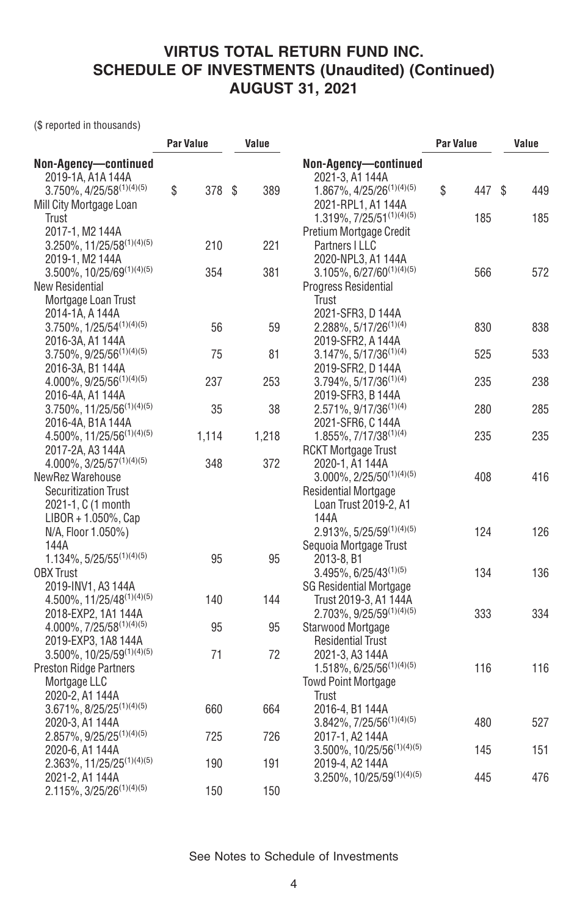(\$ reported in thousands)

|                                           | Par Value    | Value |                                       | <b>Par Value</b> |     |    | Value |
|-------------------------------------------|--------------|-------|---------------------------------------|------------------|-----|----|-------|
| Non-Agency-continued                      |              |       | Non-Agency-continued                  |                  |     |    |       |
| 2019-1A, A1A 144A                         |              |       | 2021-3, A1 144A                       |                  |     |    |       |
| $3.750\%$ , $4/25/58^{(1)(4)(5)}$         | \$<br>378 \$ | 389   | 1.867%, 4/25/26 <sup>(1)(4)(5)</sup>  | \$               | 447 | S. | 449   |
| Mill City Mortgage Loan                   |              |       | 2021-RPL1, A1 144A                    |                  |     |    |       |
| Trust                                     |              |       | $1.319\%, 7/25/51^{(1)(4)(5)}$        |                  | 185 |    | 185   |
| 2017-1, M2 144A                           |              |       | Pretium Mortgage Credit               |                  |     |    |       |
| $3.250\%$ , 11/25/58 <sup>(1)(4)(5)</sup> | 210          | 221   | Partners I LLC                        |                  |     |    |       |
| 2019-1, M2 144A                           |              |       | 2020-NPL3, A1 144A                    |                  |     |    |       |
| $3.500\%$ , $10/25/69^{(1)(4)(5)}$        | 354          | 381   | $3.105\%, 6/27/60^{(1)(4)(5)}$        |                  | 566 |    | 572   |
| New Residential                           |              |       | <b>Progress Residential</b>           |                  |     |    |       |
| Mortgage Loan Trust                       |              |       | Trust                                 |                  |     |    |       |
| 2014-1A. A 144A                           |              |       | 2021-SFR3, D 144A                     |                  |     |    |       |
| $3.750\%$ , $1/25/54^{(1)(4)(5)}$         | 56           | 59    | $2.288\%, 5/17/26^{(1)(4)}$           |                  | 830 |    | 838   |
| 2016-3A, A1 144A                          |              |       | 2019-SFR2, A 144A                     |                  |     |    |       |
| $3.750\%$ , $9/25/56^{(1)(4)(5)}$         | 75           | 81    | $3.147\%, 5/17/36^{(1)(4)}$           |                  | 525 |    | 533   |
| 2016-3A, B1 144A                          |              |       | 2019-SFR2, D 144A                     |                  |     |    |       |
| 4.000%, 9/25/56 <sup>(1)(4)(5)</sup>      | 237          | 253   | $3.794\%, 5/17/36^{(1)(4)}$           |                  | 235 |    | 238   |
| 2016-4A, A1 144A                          |              |       | 2019-SFR3, B 144A                     |                  |     |    |       |
| $3.750\%$ , $11/25/56^{(1)(4)(5)}$        | 35           | 38    | 2.571%, 9/17/36 <sup>(1)(4)</sup>     |                  | 280 |    | 285   |
| 2016-4A, B1A 144A                         |              |       | 2021-SFR6, C 144A                     |                  |     |    |       |
| 4.500%, 11/25/56 <sup>(1)(4)(5)</sup>     | 1,114        | 1,218 | $1.855\%, 7/17/38^{(1)(4)}$           |                  | 235 |    | 235   |
| 2017-2A, A3 144A                          |              |       | <b>RCKT Mortgage Trust</b>            |                  |     |    |       |
| 4.000%, 3/25/57(1)(4)(5)                  | 348          | 372   | 2020-1, A1 144A                       |                  |     |    |       |
| NewRez Warehouse                          |              |       | $3.000\%, 2/25/50^{(1)(4)(5)}$        |                  | 408 |    | 416   |
| <b>Securitization Trust</b>               |              |       | <b>Residential Mortgage</b>           |                  |     |    |       |
| 2021-1, C (1 month                        |              |       | Loan Trust 2019-2, A1                 |                  |     |    |       |
| $LIBOR + 1.050\%$ , Cap                   |              |       | 144A                                  |                  |     |    |       |
| N/A, Floor 1.050%)                        |              |       | $2.913\%, 5/25/59^{(1)(4)(5)}$        |                  | 124 |    | 126   |
| 144A                                      |              |       | Sequoia Mortgage Trust                |                  |     |    |       |
| $1.134\%, 5/25/55^{(1)(4)(5)}$            | 95           | 95    | 2013-8, B1                            |                  |     |    |       |
| <b>OBX</b> Trust                          |              |       | $3.495\%$ , 6/25/43 <sup>(1)(5)</sup> |                  | 134 |    | 136   |
| 2019-INV1, A3 144A                        |              |       | <b>SG Residential Mortgage</b>        |                  |     |    |       |
| $4.500\%$ , 11/25/48 <sup>(1)(4)(5)</sup> | 140          | 144   | Trust 2019-3, A1 144A                 |                  |     |    |       |
| 2018-EXP2, 1A1 144A                       |              |       | 2.703%, 9/25/59(1)(4)(5)              |                  | 333 |    | 334   |
| 4.000%, 7/25/58(1)(4)(5)                  | 95           | 95    | Starwood Mortgage                     |                  |     |    |       |
| 2019-EXP3, 1A8 144A                       |              |       | <b>Residential Trust</b>              |                  |     |    |       |
| $3.500\%$ , $10/25/59^{(1)(4)(5)}$        | 71           | 72    | 2021-3, A3 144A                       |                  |     |    |       |
| <b>Preston Ridge Partners</b>             |              |       | $1.518\%, 6/25/56^{(1)(4)(5)}$        |                  | 116 |    | 116   |
| Mortgage LLC                              |              |       | <b>Towd Point Mortgage</b>            |                  |     |    |       |
| 2020-2, A1 144A                           |              |       | Trust                                 |                  |     |    |       |
| $3.671\%, 8/25/25^{(1)(4)(5)}$            | 660          | 664   | 2016-4, B1 144A                       |                  |     |    |       |
| 2020-3, A1 144A                           |              |       | $3.842\%, 7/25/56^{(1)(4)(5)}$        |                  | 480 |    | 527   |
| $2.857\%$ , $9/25/25^{(1)(4)(5)}$         | 725          | 726   | 2017-1, A2 144A                       |                  |     |    |       |
| 2020-6, A1 144A                           |              |       | $3.500\%$ , $10/25/56^{(1)(4)(5)}$    |                  | 145 |    | 151   |
| $2.363\%$ , $11/25/25^{(1)(4)(5)}$        | 190          | 191   | 2019-4, A2 144A                       |                  |     |    |       |
| 2021-2, A1 144A                           |              |       | 3.250%, 10/25/59(1)(4)(5)             |                  | 445 |    | 476   |
| 2.115%, 3/25/26 <sup>(1)(4)(5)</sup>      | 150          | 150   |                                       |                  |     |    |       |
|                                           |              |       |                                       |                  |     |    |       |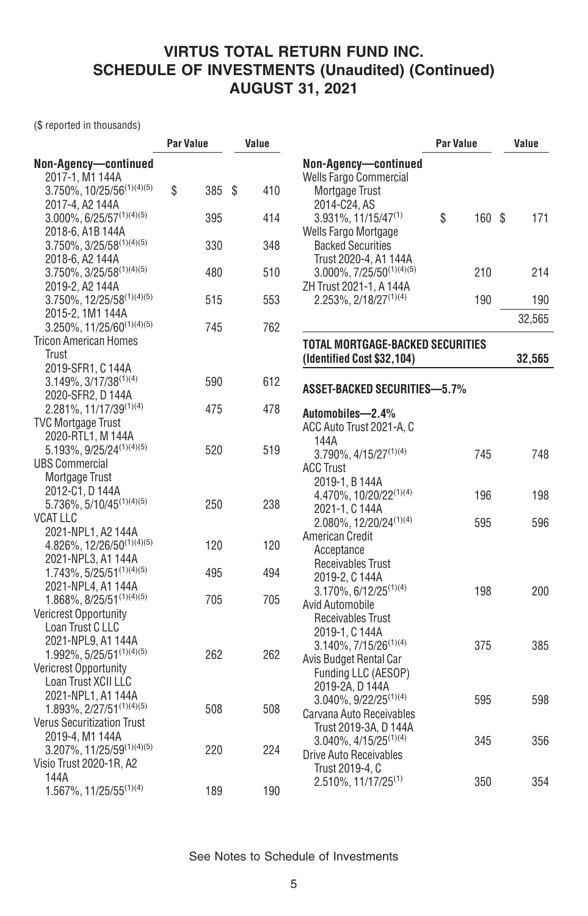(\$ reported in thousands)

|                                           | <b>Par Value</b> |        | Value |                                       | Par Value |        | Value  |
|-------------------------------------------|------------------|--------|-------|---------------------------------------|-----------|--------|--------|
| Non-Agency-continued                      |                  |        |       | Non-Agency-continued                  |           |        |        |
| 2017-1, M1 144A                           |                  |        |       | Wells Fargo Commercial                |           |        |        |
| $3.750\%$ , $10/25/56^{(1)(4)(5)}$        | \$               | 385 \$ | 410   | Mortgage Trust                        |           |        |        |
| 2017-4, A2 144A                           |                  |        |       | 2014-C24, AS                          |           |        |        |
| $3.000\%$ , 6/25/57 <sup>(1)(4)(5)</sup>  |                  | 395    | 414   | $3.931\%$ , 11/15/47 <sup>(1)</sup>   | \$        | 160 \$ | 171    |
| 2018-6, A1B 144A                          |                  |        |       | Wells Fargo Mortgage                  |           |        |        |
| $3.750\%$ , $3/25/58^{(1)(4)(5)}$         |                  | 330    | 348   | <b>Backed Securities</b>              |           |        |        |
| 2018-6, A2 144A                           |                  |        |       | Trust 2020-4, A1 144A                 |           |        |        |
| $3.750\%, 3/25/58^{(1)(4)(5)}$            |                  | 480    | 510   | $3.000\%$ , $7/25/50^{(1)(4)(5)}$     |           | 210    | 214    |
| 2019-2, A2 144A                           |                  |        |       | ZH Trust 2021-1, A 144A               |           |        |        |
| $3.750\%, 12/25/58^{(1)(4)(5)}$           |                  | 515    | 553   | $2.253\%, 2/18/27^{(1)(4)}$           |           | 190    | 190    |
| 2015-2, 1M1 144A                          |                  |        |       |                                       |           |        | 32,565 |
| $3.250\%$ , $11/25/60^{(1)(4)(5)}$        |                  | 745    | 762   |                                       |           |        |        |
| <b>Tricon American Homes</b>              |                  |        |       | TOTAL MORTGAGE-BACKED SECURITIES      |           |        |        |
| Trust                                     |                  |        |       | (Identified Cost \$32,104)            |           |        | 32,565 |
| 2019-SFR1, C144A                          |                  |        |       |                                       |           |        |        |
| $3.149\%, 3/17/38^{(1)(4)}$               |                  | 590    | 612   | <b>ASSET-BACKED SECURITIES-5.7%</b>   |           |        |        |
| 2020-SFR2, D 144A                         |                  |        |       |                                       |           |        |        |
| 2.281%, 11/17/39(1)(4)                    |                  | 475    | 478   | Automobiles-2.4%                      |           |        |        |
| <b>TVC Mortgage Trust</b>                 |                  |        |       | ACC Auto Trust 2021-A, C              |           |        |        |
| 2020-RTL1, M 144A                         |                  |        |       | 144A                                  |           |        |        |
| $5.193\%, 9/25/24^{(1)(4)(5)}$            |                  | 520    | 519   | $3.790\%$ , $4/15/27^{(1)(4)}$        |           | 745    | 748    |
| <b>UBS Commercial</b>                     |                  |        |       | <b>ACC Trust</b>                      |           |        |        |
| Mortgage Trust                            |                  |        |       | 2019-1, B 144A                        |           |        |        |
| 2012-C1, D 144A                           |                  |        |       | 4.470%, 10/20/22(1)(4)                |           | 196    | 198    |
| $5.736\%$ , $5/10/45^{(1)(4)(5)}$         |                  | 250    | 238   | 2021-1, C 144A                        |           |        |        |
| VCAT LLC                                  |                  |        |       | 2.080%, 12/20/24(1)(4)                |           | 595    | 596    |
| 2021-NPL1, A2 144A                        |                  |        |       | American Credit                       |           |        |        |
| 4.826%, 12/26/50(1)(4)(5)                 |                  | 120    | 120   | Acceptance                            |           |        |        |
| 2021-NPL3, A1 144A                        |                  |        |       | Receivables Trust                     |           |        |        |
| $1.743\%, 5/25/51^{(1)(4)(5)}$            |                  | 495    | 494   | 2019-2, C 144A                        |           |        |        |
| 2021-NPL4, A1 144A                        |                  |        |       | $3.170\%$ , 6/12/25 <sup>(1)(4)</sup> |           | 198    | 200    |
| $1.868\%, 8/25/51^{(1)(4)(5)}$            |                  | 705    | 705   | Avid Automobile                       |           |        |        |
| <b>Vericrest Opportunity</b>              |                  |        |       | <b>Receivables Trust</b>              |           |        |        |
| Loan Trust C LLC                          |                  |        |       | 2019-1, C 144A                        |           |        |        |
| 2021-NPL9, A1 144A                        |                  |        |       | 3.140%, 7/15/26 <sup>(1)(4)</sup>     |           | 375    | 385    |
| $1.992\%$ , 5/25/51 <sup>(1)(4)(5)</sup>  |                  | 262    | 262   | Avis Budget Rental Car                |           |        |        |
| <b>Vericrest Opportunity</b>              |                  |        |       | Funding LLC (AESOP)                   |           |        |        |
| Loan Trust XCII LLC                       |                  |        |       | 2019-2A, D 144A                       |           |        |        |
| 2021-NPL1, A1 144A                        |                  |        |       | 3.040%, 9/22/25 <sup>(1)(4)</sup>     |           | 595    | 598    |
| 1.893%, 2/27/51(1)(4)(5)                  |                  | 508    | 508   | Carvana Auto Receivables              |           |        |        |
| <b>Verus Securitization Trust</b>         |                  |        |       | Trust 2019-3A, D 144A                 |           |        |        |
| 2019-4, M1 144A                           |                  |        |       | $3.040\%$ , $4/15/25^{(1)(4)}$        |           | 345    | 356    |
| $3.207\%$ , 11/25/59 <sup>(1)(4)(5)</sup> |                  | 220    | 224   | Drive Auto Receivables                |           |        |        |
| Visio Trust 2020-1R, A2                   |                  |        |       | Trust 2019-4, C                       |           |        |        |
| 144A                                      |                  |        |       | $2.510\%$ , 11/17/25 <sup>(1)</sup>   |           | 350    | 354    |
| 1.567%, 11/25/55(1)(4)                    |                  | 189    | 190   |                                       |           |        |        |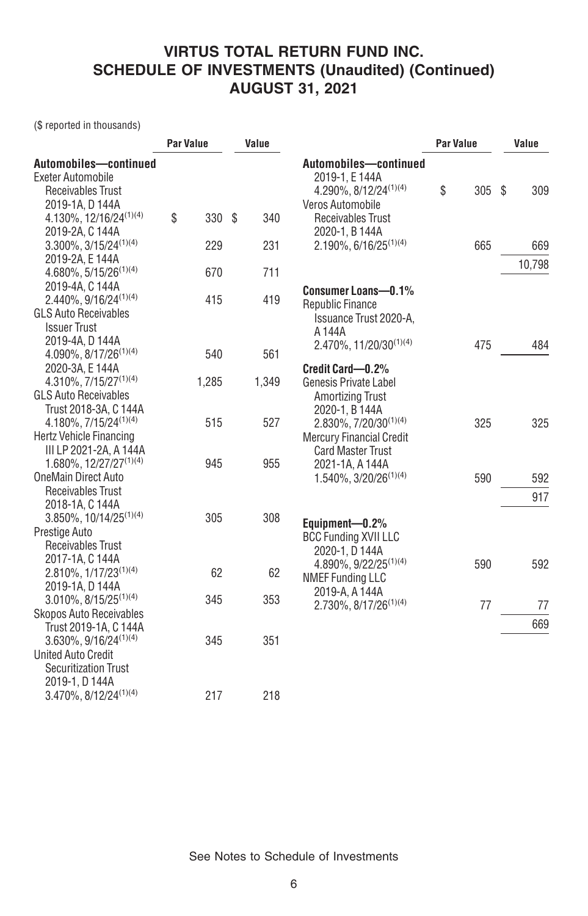(\$ reported in thousands)

|                                        | <b>Par Value</b> |       |     | Value |                                   | <b>Par Value</b> |     | Value     |
|----------------------------------------|------------------|-------|-----|-------|-----------------------------------|------------------|-----|-----------|
| Automobiles-continued                  |                  |       |     |       | Automobiles-continued             |                  |     |           |
| Exeter Automobile                      |                  |       |     |       | 2019-1. E 144A                    |                  |     |           |
| <b>Receivables Trust</b>               |                  |       |     |       | 4.290%, $8/12/24^{(1)(4)}$        | \$               | 305 | \$<br>309 |
| 2019-1A, D 144A                        |                  |       |     |       | Veros Automobile                  |                  |     |           |
| 4.130%, 12/16/24(1)(4)                 | \$               | 330   | -\$ | 340   | Receivables Trust                 |                  |     |           |
| 2019-2A, C 144A                        |                  |       |     |       | 2020-1, B 144A                    |                  |     |           |
| $3.300\%$ , $3/15/24^{(1)(4)}$         |                  | 229   |     | 231   | 2.190%, 6/16/25 <sup>(1)(4)</sup> |                  | 665 | 669       |
| 2019-2A, E 144A                        |                  |       |     |       |                                   |                  |     | 10,798    |
| $4.680\%$ , 5/15/26 <sup>(1)(4)</sup>  |                  | 670   |     | 711   |                                   |                  |     |           |
| 2019-4A, C 144A                        |                  |       |     |       | Consumer Loans-0.1%               |                  |     |           |
| $2.440\%, 9/16/24^{(1)(4)}$            |                  | 415   |     | 419   | <b>Republic Finance</b>           |                  |     |           |
| <b>GLS Auto Receivables</b>            |                  |       |     |       | Issuance Trust 2020-A.            |                  |     |           |
| <b>Issuer Trust</b>                    |                  |       |     |       | A 144A                            |                  |     |           |
| 2019-4A, D 144A                        |                  |       |     |       | $2.470\%, 11/20/30^{(1)(4)}$      |                  | 475 | 484       |
| 4.090%, $8/17/26^{(1)(4)}$             |                  | 540   |     | 561   |                                   |                  |     |           |
| 2020-3A, E 144A                        |                  |       |     |       | Credit Card-0.2%                  |                  |     |           |
| $4.310\%$ , $7/15/27^{(1)(4)}$         |                  | 1,285 |     | 1,349 | Genesis Private Label             |                  |     |           |
| <b>GLS Auto Receivables</b>            |                  |       |     |       | <b>Amortizing Trust</b>           |                  |     |           |
| Trust 2018-3A, C 144A                  |                  |       |     |       | 2020-1, B 144A                    |                  |     |           |
| 4.180%, 7/15/24 <sup>(1)(4)</sup>      |                  | 515   |     | 527   | $2.830\%, 7/20/30^{(1)(4)}$       |                  | 325 | 325       |
| Hertz Vehicle Financing                |                  |       |     |       | <b>Mercury Financial Credit</b>   |                  |     |           |
| III LP 2021-2A, A 144A                 |                  |       |     |       | <b>Card Master Trust</b>          |                  |     |           |
| $1.680\%, 12/27/27^{(1)(4)}$           |                  | 945   |     | 955   | 2021-1A, A 144A                   |                  |     |           |
| <b>OneMain Direct Auto</b>             |                  |       |     |       | $1.540\%, 3/20/26^{(1)(4)}$       |                  | 590 | 592       |
| Receivables Trust                      |                  |       |     |       |                                   |                  |     | 917       |
| 2018-1A, C 144A                        |                  |       |     |       |                                   |                  |     |           |
| $3.850\%$ , 10/14/25 <sup>(1)(4)</sup> |                  | 305   |     | 308   | Equipment-0.2%                    |                  |     |           |
| Prestige Auto                          |                  |       |     |       | <b>BCC Funding XVII LLC</b>       |                  |     |           |
| Receivables Trust                      |                  |       |     |       | 2020-1, D 144A                    |                  |     |           |
| 2017-1A, C 144A                        |                  |       |     |       | $4.890\%, 9/22/25^{(1)(4)}$       |                  | 590 | 592       |
| $2.810\%, 1/17/23^{(1)(4)}$            |                  | 62    |     | 62    | <b>NMEF Funding LLC</b>           |                  |     |           |
| 2019-1A, D 144A                        |                  |       |     |       | 2019-A, A 144A                    |                  |     |           |
| $3.010\%$ , $8/15/25^{(1)(4)}$         |                  | 345   |     | 353   | $2.730\%$ , $8/17/26^{(1)(4)}$    |                  | 77  | 77        |
| <b>Skopos Auto Receivables</b>         |                  |       |     |       |                                   |                  |     | 669       |
| Trust 2019-1A, C 144A                  |                  |       |     |       |                                   |                  |     |           |
| $3.630\%, 9/16/24^{(1)(4)}$            |                  | 345   |     | 351   |                                   |                  |     |           |
| <b>United Auto Credit</b>              |                  |       |     |       |                                   |                  |     |           |
| <b>Securitization Trust</b>            |                  |       |     |       |                                   |                  |     |           |
| 2019-1, D 144A                         |                  |       |     |       |                                   |                  |     |           |
| $3.470\%$ , $8/12/24^{(1)(4)}$         |                  | 217   |     | 218   |                                   |                  |     |           |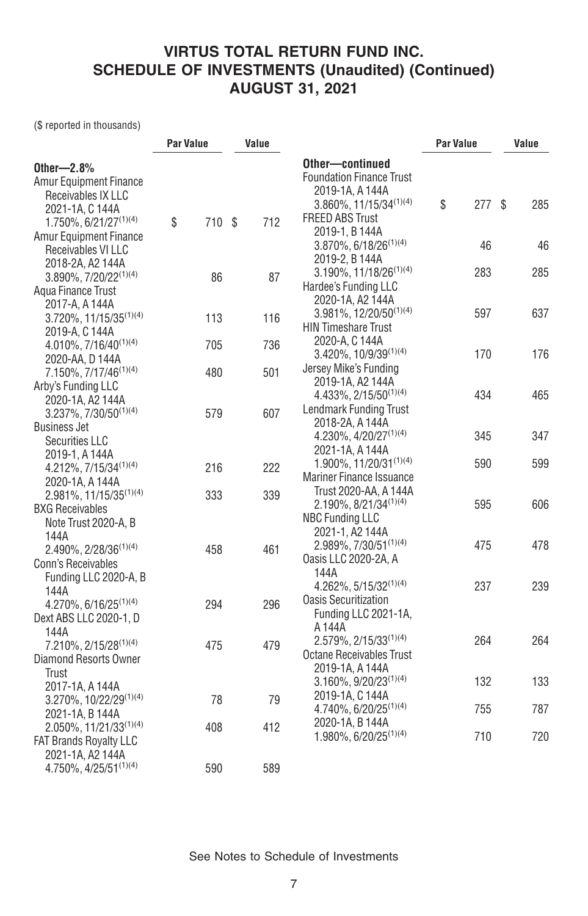(\$ reported in thousands)

|                                   | <b>Par Value</b> |        | Value |                                        | <b>Par Value</b> |      | Value |
|-----------------------------------|------------------|--------|-------|----------------------------------------|------------------|------|-------|
| Other- $2.8%$                     |                  |        |       | Other-continued                        |                  |      |       |
| <b>Amur Equipment Finance</b>     |                  |        |       | <b>Foundation Finance Trust</b>        |                  |      |       |
| Receivables IX LLC                |                  |        |       | 2019-1A, A 144A                        | \$               |      | 285   |
| 2021-1A, C 144A                   |                  |        |       | 3.860%, 11/15/34(1)(4)                 |                  | 277S |       |
| 1.750%, 6/21/27 <sup>(1)(4)</sup> | \$               | 710 \$ | 712   | <b>FREED ABS Trust</b>                 |                  |      |       |
| <b>Amur Equipment Finance</b>     |                  |        |       | 2019-1, B 144A                         |                  |      |       |
| Receivables VI LLC                |                  |        |       | $3.870\%$ , 6/18/26 <sup>(1)(4)</sup>  |                  | 46   | 46    |
| 2018-2A, A2 144A                  |                  |        |       | 2019-2, B 144A                         |                  |      | 285   |
| 3.890%, 7/20/22(1)(4)             |                  | 86     | 87    | $3.190\%, 11/18/26^{(1)(4)}$           |                  | 283  |       |
| Agua Finance Trust                |                  |        |       | Hardee's Funding LLC                   |                  |      |       |
| 2017-A, A 144A                    |                  |        |       | 2020-1A, A2 144A                       |                  |      |       |
| 3.720%, 11/15/35(1)(4)            |                  | 113    | 116   | 3.981%, 12/20/50(1)(4)                 |                  | 597  | 637   |
| 2019-A, C 144A                    |                  |        |       | <b>HIN Timeshare Trust</b>             |                  |      |       |
| 4.010%, $7/16/40^{(1)(4)}$        |                  | 705    | 736   | 2020-A, C 144A                         |                  | 170  | 176   |
| 2020-AA, D 144A                   |                  |        |       | 3.420%, 10/9/39(1)(4)                  |                  |      |       |
| 7.150%, 7/17/46 <sup>(1)(4)</sup> |                  | 480    | 501   | Jersey Mike's Funding                  |                  |      |       |
| Arby's Funding LLC                |                  |        |       | 2019-1A, A2 144A                       |                  |      |       |
| 2020-1A, A2 144A                  |                  |        |       | 4.433%, 2/15/50 <sup>(1)(4)</sup>      |                  | 434  | 465   |
| $3.237\%$ , $7/30/50^{(1)(4)}$    |                  | 579    | 607   | <b>Lendmark Funding Trust</b>          |                  |      |       |
| <b>Business Jet</b>               |                  |        |       | 2018-2A, A 144A                        |                  |      |       |
| Securities LLC                    |                  |        |       | $4.230\%$ , $4/20/27^{(1)(4)}$         |                  | 345  | 347   |
| 2019-1, A 144A                    |                  |        |       | 2021-1A, A 144A                        |                  |      |       |
| 4.212%, 7/15/34(1)(4)             |                  | 216    | 222   | $1.900\%$ , $11/20/31^{(1)(4)}$        |                  | 590  | 599   |
| 2020-1A, A 144A                   |                  |        |       | <b>Mariner Finance Issuance</b>        |                  |      |       |
| $2.981\%, 11/15/35^{(1)(4)}$      |                  | 333    | 339   | Trust 2020-AA, A 144A                  |                  |      |       |
| <b>BXG Receivables</b>            |                  |        |       | $2.190\%$ , 8/21/34 <sup>(1)(4)</sup>  |                  | 595  | 606   |
| Note Trust 2020-A, B              |                  |        |       | <b>NBC Funding LLC</b>                 |                  |      |       |
| 144A                              |                  |        |       | 2021-1, A2 144A                        |                  |      |       |
| $2.490\%$ , $2/28/36^{(1)(4)}$    |                  | 458    | 461   | 2.989%, 7/30/51(1)(4)                  |                  | 475  | 478   |
| <b>Conn's Receivables</b>         |                  |        |       | Oasis LLC 2020-2A, A                   |                  |      |       |
| Funding LLC 2020-A, B             |                  |        |       | 144A<br>$4.262\%$ , $5/15/32^{(1)(4)}$ |                  | 237  | 239   |
| 144A                              |                  |        |       |                                        |                  |      |       |
| $4.270\%, 6/16/25^{(1)(4)}$       |                  | 294    | 296   | <b>Oasis Securitization</b>            |                  |      |       |
| Dext ABS LLC 2020-1, D            |                  |        |       | Funding LLC 2021-1A,                   |                  |      |       |
| 144A                              |                  |        |       | A 144A                                 |                  |      |       |
| $7.210\%, 2/15/28^{(1)(4)}$       |                  | 475    | 479   | $2.579\%, 2/15/33^{(1)(4)}$            |                  | 264  | 264   |
| Diamond Resorts Owner             |                  |        |       | Octane Receivables Trust               |                  |      |       |
| Trust                             |                  |        |       | 2019-1A, A 144A                        |                  |      |       |
| 2017-1A, A 144A                   |                  |        |       | 3.160%, 9/20/23 <sup>(1)(4)</sup>      |                  | 132  | 133   |
| 3.270%, 10/22/29(1)(4)            |                  | 78     | 79    | 2019-1A, C 144A                        |                  |      |       |
| 2021-1A, B 144A                   |                  |        |       | $4.740\%, 6/20/25^{(1)(4)}$            |                  | 755  | 787   |
| 2.050%, 11/21/33(1)(4)            |                  | 408    | 412   | 2020-1A, B 144A                        |                  |      |       |
| <b>FAT Brands Royalty LLC</b>     |                  |        |       | 1.980%, 6/20/25 <sup>(1)(4)</sup>      |                  | 710  | 720   |
| 2021-1A, A2 144A                  |                  |        |       |                                        |                  |      |       |
| 4.750%, 4/25/51(1)(4)             |                  | 590    | 589   |                                        |                  |      |       |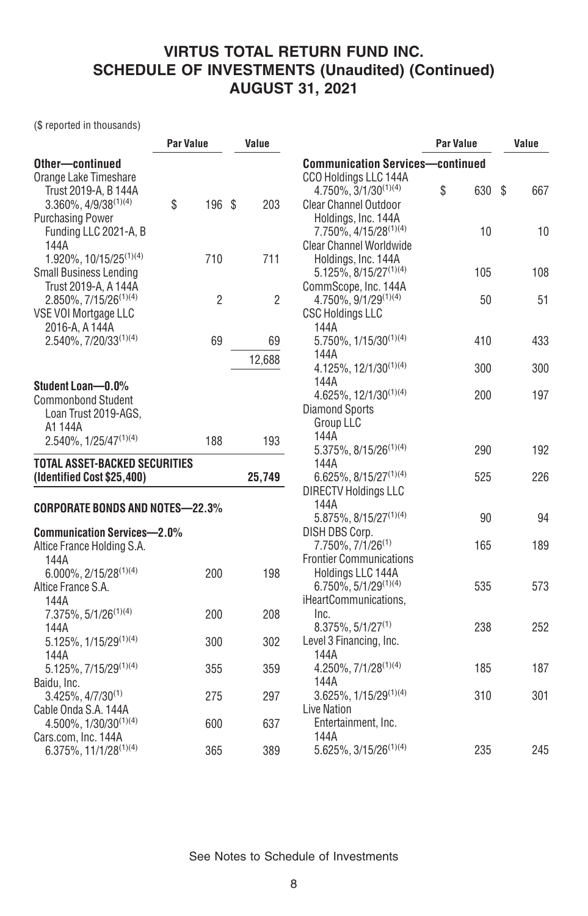(\$ reported in thousands)

|                                              | <b>Par Value</b> |                | Value          |                                         | <b>Par Value</b> | Value     |
|----------------------------------------------|------------------|----------------|----------------|-----------------------------------------|------------------|-----------|
| Other-continued                              |                  |                |                | <b>Communication Services-continued</b> |                  |           |
| Orange Lake Timeshare                        |                  |                |                | CCO Holdings LLC 144A                   |                  |           |
| Trust 2019-A, B 144A                         |                  |                |                | 4.750%, 3/1/30 <sup>(1)(4)</sup>        | \$<br>630        | \$<br>667 |
| $3.360\%$ , $4/9/38^{(1)(4)}$                | \$               | 196 \$         | 203            | <b>Clear Channel Outdoor</b>            |                  |           |
| <b>Purchasing Power</b>                      |                  |                |                | Holdings, Inc. 144A                     |                  |           |
| Funding LLC 2021-A, B                        |                  |                |                | 7.750%, 4/15/28 <sup>(1)(4)</sup>       | 10               | 10        |
| 144A                                         |                  |                |                | <b>Clear Channel Worldwide</b>          |                  |           |
| 1.920%, 10/15/25 <sup>(1)(4)</sup>           |                  | 710            | 711            | Holdings, Inc. 144A                     |                  |           |
| <b>Small Business Lending</b>                |                  |                |                | $5.125\%$ , 8/15/27 <sup>(1)(4)</sup>   | 105              | 108       |
| Trust 2019-A, A 144A                         |                  |                |                | CommScope, Inc. 144A                    |                  |           |
| $2.850\%, 7/15/26^{(1)(4)}$                  |                  | $\overline{2}$ | $\overline{2}$ | 4.750%, 9/1/29(1)(4)                    | 50               | 51        |
| VSE VOI Mortgage LLC                         |                  |                |                | <b>CSC Holdings LLC</b>                 |                  |           |
| 2016-A, A 144A                               |                  |                |                | 144A                                    |                  |           |
| 2.540%, 7/20/33(1)(4)                        |                  | 69             | 69             | 5.750%, 1/15/30(1)(4)                   | 410              | 433       |
|                                              |                  |                | 12,688         | 144A                                    |                  |           |
|                                              |                  |                |                | 4.125%, 12/1/30 <sup>(1)(4)</sup>       | 300              | 300       |
| Student Loan-0.0%                            |                  |                |                | 144A                                    |                  |           |
|                                              |                  |                |                | 4.625%, 12/1/30 <sup>(1)(4)</sup>       | 200              | 197       |
| <b>Commonbond Student</b>                    |                  |                |                | <b>Diamond Sports</b>                   |                  |           |
| Loan Trust 2019-AGS,                         |                  |                |                | <b>Group LLC</b>                        |                  |           |
| A1 144A<br>2.540%, 1/25/47 <sup>(1)(4)</sup> |                  | 188            | 193            | 144A                                    |                  |           |
|                                              |                  |                |                | 5.375%, 8/15/26 <sup>(1)(4)</sup>       | 290              | 192       |
| <b>TOTAL ASSET-BACKED SECURITIES</b>         |                  |                |                | 144A                                    |                  |           |
| (Identified Cost \$25,400)                   |                  |                | 25,749         | 6.625%, 8/15/27 <sup>(1)(4)</sup>       | 525              | 226       |
|                                              |                  |                |                | <b>DIRECTV Holdings LLC</b>             |                  |           |
| <b>CORPORATE BONDS AND NOTES-22.3%</b>       |                  |                |                | 144A                                    |                  |           |
|                                              |                  |                |                | 5.875%, 8/15/27 <sup>(1)(4)</sup>       | 90               | 94        |
| <b>Communication Services-2.0%</b>           |                  |                |                | DISH DBS Corp.                          |                  |           |
| Altice France Holding S.A.                   |                  |                |                | 7.750%, 7/1/26 <sup>(1)</sup>           | 165              | 189       |
| 144A                                         |                  |                |                | <b>Frontier Communications</b>          |                  |           |
| $6.000\%$ , 2/15/28 <sup>(1)(4)</sup>        |                  | 200            | 198            | Holdings LLC 144A                       |                  |           |
| Altice France S.A.                           |                  |                |                | 6.750%, 5/1/29(1)(4)                    | 535              | 573       |
| 144A                                         |                  |                |                | iHeartCommunications.                   |                  |           |
| 7.375%, 5/1/26 <sup>(1)(4)</sup>             |                  | 200            | 208            | Inc.                                    |                  |           |
| 144A                                         |                  |                |                | $8.375\%, 5/1/27^{(1)}$                 | 238              | 252       |
| 5.125%, 1/15/29(1)(4)                        |                  | 300            | 302            | Level 3 Financing, Inc.                 |                  |           |
| 144A                                         |                  |                |                | 144A                                    |                  |           |
| $5.125\%$ , $7/15/29^{(1)(4)}$               |                  | 355            | 359            | 4.250%, 7/1/28(1)(4)                    | 185              | 187       |
| Baidu, Inc.                                  |                  |                |                | 144A                                    |                  |           |
| $3.425\%, 4/7/30^{(1)}$                      |                  | 275            | 297            | $3.625\%, 1/15/29^{(1)(4)}$             | 310              | 301       |
| Cable Onda S.A. 144A                         |                  |                |                | <b>Live Nation</b>                      |                  |           |
| 4.500%, 1/30/30(1)(4)                        |                  | 600            | 637            | Entertainment, Inc.                     |                  |           |
| Cars.com, Inc. 144A                          |                  |                |                | 144A                                    |                  |           |
| 6.375%, 11/1/28(1)(4)                        |                  | 365            | 389            | $5.625\%$ , 3/15/26 <sup>(1)(4)</sup>   | 235              | 245       |
|                                              |                  |                |                |                                         |                  |           |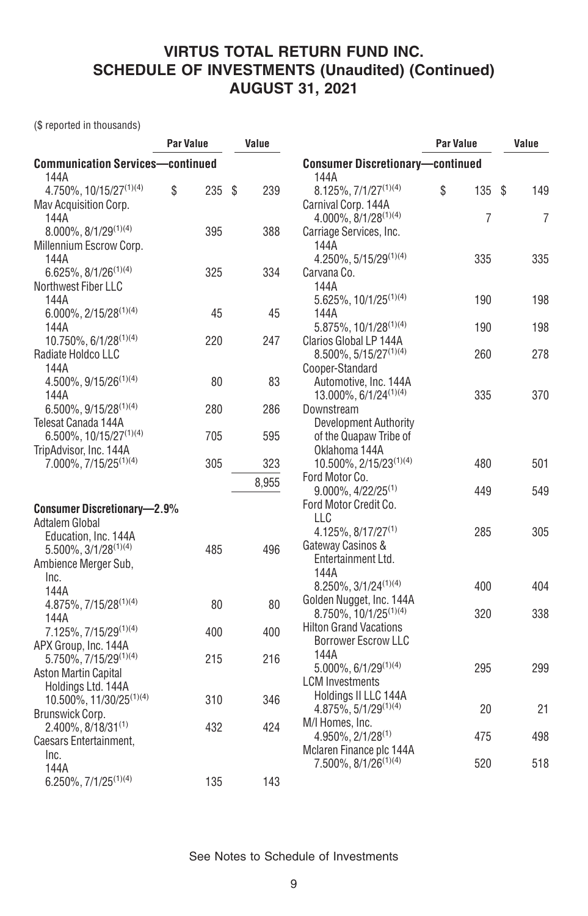(\$ reported in thousands)

|                                         | <b>Par Value</b> |     | Value     |                                                      | <b>Par Value</b> |     | Value          |
|-----------------------------------------|------------------|-----|-----------|------------------------------------------------------|------------------|-----|----------------|
| <b>Communication Services-continued</b> |                  |     |           | <b>Consumer Discretionary-continued</b>              |                  |     |                |
| 144A                                    |                  |     |           | 144A                                                 |                  |     |                |
| 4.750%, 10/15/27(1)(4)                  | \$               | 235 | \$<br>239 | $8.125\%$ , $7/1/27^{(1)(4)}$                        | \$               | 135 | \$<br>149      |
| Mav Acquisition Corp.                   |                  |     |           | Carnival Corp. 144A                                  |                  |     |                |
| 144A                                    |                  |     |           | 4.000%, 8/1/28(1)(4)                                 |                  | 7   | $\overline{7}$ |
| $8.000\%$ , $8/1/29^{(1)(4)}$           |                  | 395 | 388       | Carriage Services, Inc.                              |                  |     |                |
| Millennium Escrow Corp.                 |                  |     |           | 144A                                                 |                  |     |                |
| 144A                                    |                  |     |           | 4.250%, 5/15/29(1)(4)                                |                  | 335 | 335            |
| $6.625\%, 8/1/26^{(1)(4)}$              |                  | 325 | 334       | Carvana Co.                                          |                  |     |                |
| Northwest Fiber LLC                     |                  |     |           | 144A                                                 |                  |     |                |
| 144A                                    |                  |     |           | $5.625\%, 10/1/25^{(1)(4)}$                          |                  | 190 | 198            |
| $6.000\%$ , 2/15/28 <sup>(1)(4)</sup>   |                  | 45  | 45        | 144A                                                 |                  |     |                |
| 144A                                    |                  |     |           | 5.875%, 10/1/28 <sup>(1)(4)</sup>                    |                  | 190 | 198            |
| 10.750%, 6/1/28 <sup>(1)(4)</sup>       |                  | 220 | 247       | Clarios Global LP 144A                               |                  |     |                |
| Radiate Holdco LLC                      |                  |     |           | 8.500%, 5/15/27(1)(4)                                |                  | 260 | 278            |
| 144A                                    |                  |     |           | Cooper-Standard                                      |                  |     |                |
| $4.500\%$ , $9/15/26^{(1)(4)}$          |                  | 80  | 83        | Automotive, Inc. 144A                                |                  |     |                |
| 144A                                    |                  |     |           | 13.000%, 6/1/24 <sup>(1)(4)</sup>                    |                  | 335 | 370            |
| $6.500\%$ , 9/15/28 <sup>(1)(4)</sup>   |                  | 280 | 286       | Downstream                                           |                  |     |                |
| Telesat Canada 144A                     |                  |     |           | <b>Development Authority</b>                         |                  |     |                |
| 6.500%, 10/15/27 <sup>(1)(4)</sup>      |                  | 705 | 595       | of the Quapaw Tribe of                               |                  |     |                |
| TripAdvisor, Inc. 144A                  |                  |     |           | Oklahoma 144A                                        |                  |     |                |
| 7.000%, 7/15/25 <sup>(1)(4)</sup>       |                  | 305 | 323       | 10.500%, 2/15/23(1)(4)                               |                  | 480 | 501            |
|                                         |                  |     | 8,955     | Ford Motor Co.<br>$9.000\%$ , 4/22/25 <sup>(1)</sup> |                  | 449 | 549            |
|                                         |                  |     |           | Ford Motor Credit Co.                                |                  |     |                |
| <b>Consumer Discretionary-2.9%</b>      |                  |     |           | LLC                                                  |                  |     |                |
| Adtalem Global                          |                  |     |           | $4.125\%$ , $8/17/27^{(1)}$                          |                  | 285 | 305            |
| Education, Inc. 144A                    |                  |     |           | Gateway Casinos &                                    |                  |     |                |
| $5.500\%, 3/1/28^{(1)(4)}$              |                  | 485 | 496       | Entertainment Ltd.                                   |                  |     |                |
| Ambience Merger Sub,                    |                  |     |           | 144A                                                 |                  |     |                |
| Inc.                                    |                  |     |           | 8.250%, 3/1/24(1)(4)                                 |                  | 400 | 404            |
| 144A                                    |                  | 80  | 80        | Golden Nugget, Inc. 144A                             |                  |     |                |
| $4.875\%$ , $7/15/28^{(1)(4)}$<br>144A  |                  |     |           | $8.750\%$ , 10/1/25 <sup>(1)(4)</sup>                |                  | 320 | 338            |
| 7.125%, 7/15/29 <sup>(1)(4)</sup>       |                  | 400 | 400       | <b>Hilton Grand Vacations</b>                        |                  |     |                |
| APX Group, Inc. 144A                    |                  |     |           | <b>Borrower Escrow LLC</b>                           |                  |     |                |
| 5.750%, 7/15/29(1)(4)                   |                  | 215 | 216       | 144A                                                 |                  |     |                |
| <b>Aston Martin Capital</b>             |                  |     |           | $5.000\%, 6/1/29^{(1)(4)}$                           |                  | 295 | 299            |
| Holdings Ltd. 144A                      |                  |     |           | <b>LCM</b> Investments                               |                  |     |                |
| 10.500%, 11/30/25 <sup>(1)(4)</sup>     |                  | 310 | 346       | Holdings II LLC 144A                                 |                  |     |                |
| Brunswick Corp.                         |                  |     |           | $4.875\%, 5/1/29^{(1)(4)}$                           |                  | 20  | 21             |
| $2.400\%$ , 8/18/31 <sup>(1)</sup>      |                  | 432 | 424       | M/I Homes, Inc.                                      |                  |     |                |
| Caesars Entertainment,                  |                  |     |           | $4.950\%$ , $2/1/28^{(1)}$                           |                  | 475 | 498            |
| Inc.                                    |                  |     |           | Mclaren Finance plc 144A                             |                  |     |                |
| 144A                                    |                  |     |           | 7.500%, 8/1/26 <sup>(1)(4)</sup>                     |                  | 520 | 518            |
| $6.250\%, 7/1/25^{(1)(4)}$              |                  | 135 | 143       |                                                      |                  |     |                |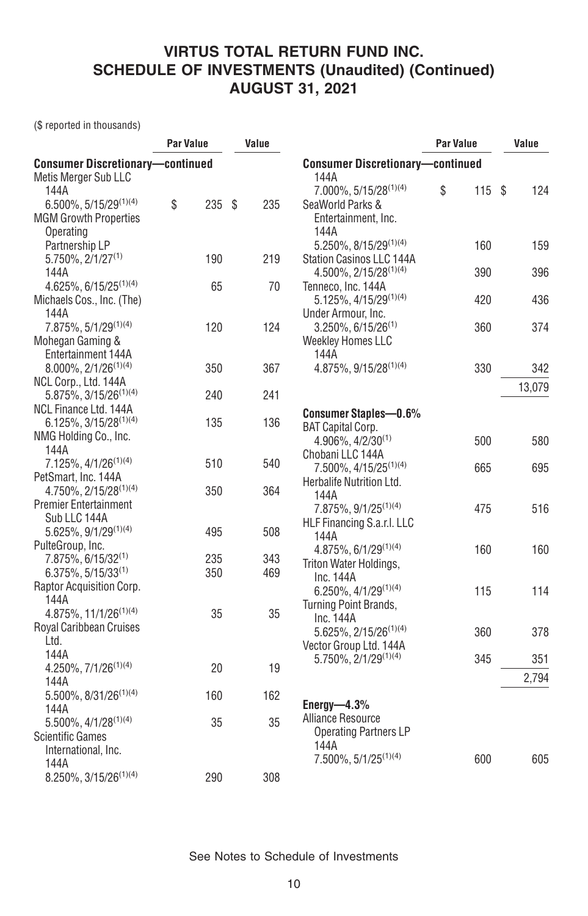(\$ reported in thousands)

| <b>Consumer Discretionary-continued</b><br><b>Consumer Discretionary-continued</b><br>144A<br>Metis Merger Sub LLC<br>7.000%, 5/15/28(1)(4)<br>\$<br>115S<br>124<br>144A<br>$6.500\%$ , 5/15/29 <sup>(1)(4)</sup><br>\$<br>235S<br>235<br>SeaWorld Parks &<br><b>MGM Growth Properties</b><br>Entertainment, Inc.<br>Operating<br>144A<br>5.250%, 8/15/29(1)(4)<br>Partnership LP<br>160<br>159<br>$5.750\%$ , $2/1/27^{(1)}$<br>190<br>219<br>Station Casinos LLC 144A<br>396<br>$4.500\%$ , 2/15/28 <sup>(1)(4)</sup><br>390<br>144A<br>65<br>70<br>$4.625\%$ , 6/15/25 <sup>(1)(4)</sup><br>Tenneco, Inc. 144A<br>5.125%, 4/15/29(1)(4)<br>420<br>436<br>Michaels Cos., Inc. (The)<br>144A<br>Under Armour, Inc.<br>7.875%, 5/1/29(1)(4)<br>120<br>124<br>374<br>3.250%, 6/15/26(1)<br>360<br>Mohegan Gaming &<br><b>Weekley Homes LLC</b><br>Entertainment 144A<br>144A<br>4.875%, 9/15/28(1)(4)<br>330<br>$8.000\%$ , $2/1/26^{(1)(4)}$<br>350<br>367<br>342<br>NCL Corp., Ltd. 144A<br>13,079<br>5.875%, 3/15/26 <sup>(1)(4)</sup><br>241<br>240<br>NCL Finance Ltd. 144A<br><b>Consumer Staples-0.6%</b><br>$6.125\%, 3/15/28^{(1)(4)}$<br>135<br>136<br><b>BAT Capital Corp.</b><br>NMG Holding Co., Inc.<br>4.906%, 4/2/30(1)<br>580<br>500<br>144A<br>Chobani LLC 144A<br>7.125%, 4/1/26 <sup>(1)(4)</sup><br>510<br>540<br>7.500%, 4/15/25 <sup>(1)(4)</sup><br>665<br>695<br>PetSmart, Inc. 144A<br>Herbalife Nutrition Ltd.<br>4.750%, 2/15/28 <sup>(1)(4)</sup><br>350<br>364<br>144A<br><b>Premier Entertainment</b><br>7.875%, 9/1/25 <sup>(1)(4)</sup><br>516<br>475<br>Sub LLC 144A<br>HLF Financing S.a.r.I. LLC<br>5.625%, 9/1/29(1)(4)<br>495<br>508<br>144A<br>PulteGroup, Inc.<br>4.875%, 6/1/29(1)(4)<br>160<br>160<br>7.875%, 6/15/32 <sup>(1)</sup><br>235<br>343<br>Triton Water Holdings,<br>$6.375\%, 5/15/33^{(1)}$<br>350<br>469<br>Inc. 144A<br>Raptor Acquisition Corp.<br>$6.250\%$ , $4/1/29^{(1)(4)}$<br>115<br>114<br>144A<br>Turning Point Brands,<br>$4.875\%, 11/1/26^{(1)(4)}$<br>35<br>35<br>Inc. 144A<br>Royal Caribbean Cruises<br>5.625%, 2/15/26 <sup>(1)(4)</sup><br>378<br>360<br>Ltd.<br>Vector Group Ltd. 144A<br>144A<br>$5.750\%$ , $2/1/29^{(1)(4)}$<br>345<br>351<br>4.250%, $7/1/26^{(1)(4)}$<br>20<br>19<br>2,794<br>144A<br>5.500%, 8/31/26 <sup>(1)(4)</sup><br>162<br>160<br>Energy- $-4.3\%$<br>144A<br>Alliance Resource<br>$5.500\%$ , 4/1/28 <sup>(1)(4)</sup><br>35<br>35<br><b>Operating Partners LP</b><br><b>Scientific Games</b><br>144A<br>International, Inc. | Par Value |  | Value |                               | Par Value | Value |
|-------------------------------------------------------------------------------------------------------------------------------------------------------------------------------------------------------------------------------------------------------------------------------------------------------------------------------------------------------------------------------------------------------------------------------------------------------------------------------------------------------------------------------------------------------------------------------------------------------------------------------------------------------------------------------------------------------------------------------------------------------------------------------------------------------------------------------------------------------------------------------------------------------------------------------------------------------------------------------------------------------------------------------------------------------------------------------------------------------------------------------------------------------------------------------------------------------------------------------------------------------------------------------------------------------------------------------------------------------------------------------------------------------------------------------------------------------------------------------------------------------------------------------------------------------------------------------------------------------------------------------------------------------------------------------------------------------------------------------------------------------------------------------------------------------------------------------------------------------------------------------------------------------------------------------------------------------------------------------------------------------------------------------------------------------------------------------------------------------------------------------------------------------------------------------------------------------------------------------------------------------------------------------------------------------------------------------------------------------------------------------------------------------------------------------------------------------------------------------------------------------------------------------------|-----------|--|-------|-------------------------------|-----------|-------|
|                                                                                                                                                                                                                                                                                                                                                                                                                                                                                                                                                                                                                                                                                                                                                                                                                                                                                                                                                                                                                                                                                                                                                                                                                                                                                                                                                                                                                                                                                                                                                                                                                                                                                                                                                                                                                                                                                                                                                                                                                                                                                                                                                                                                                                                                                                                                                                                                                                                                                                                                     |           |  |       |                               |           |       |
|                                                                                                                                                                                                                                                                                                                                                                                                                                                                                                                                                                                                                                                                                                                                                                                                                                                                                                                                                                                                                                                                                                                                                                                                                                                                                                                                                                                                                                                                                                                                                                                                                                                                                                                                                                                                                                                                                                                                                                                                                                                                                                                                                                                                                                                                                                                                                                                                                                                                                                                                     |           |  |       |                               |           |       |
|                                                                                                                                                                                                                                                                                                                                                                                                                                                                                                                                                                                                                                                                                                                                                                                                                                                                                                                                                                                                                                                                                                                                                                                                                                                                                                                                                                                                                                                                                                                                                                                                                                                                                                                                                                                                                                                                                                                                                                                                                                                                                                                                                                                                                                                                                                                                                                                                                                                                                                                                     |           |  |       |                               |           |       |
|                                                                                                                                                                                                                                                                                                                                                                                                                                                                                                                                                                                                                                                                                                                                                                                                                                                                                                                                                                                                                                                                                                                                                                                                                                                                                                                                                                                                                                                                                                                                                                                                                                                                                                                                                                                                                                                                                                                                                                                                                                                                                                                                                                                                                                                                                                                                                                                                                                                                                                                                     |           |  |       |                               |           |       |
|                                                                                                                                                                                                                                                                                                                                                                                                                                                                                                                                                                                                                                                                                                                                                                                                                                                                                                                                                                                                                                                                                                                                                                                                                                                                                                                                                                                                                                                                                                                                                                                                                                                                                                                                                                                                                                                                                                                                                                                                                                                                                                                                                                                                                                                                                                                                                                                                                                                                                                                                     |           |  |       |                               |           |       |
|                                                                                                                                                                                                                                                                                                                                                                                                                                                                                                                                                                                                                                                                                                                                                                                                                                                                                                                                                                                                                                                                                                                                                                                                                                                                                                                                                                                                                                                                                                                                                                                                                                                                                                                                                                                                                                                                                                                                                                                                                                                                                                                                                                                                                                                                                                                                                                                                                                                                                                                                     |           |  |       |                               |           |       |
|                                                                                                                                                                                                                                                                                                                                                                                                                                                                                                                                                                                                                                                                                                                                                                                                                                                                                                                                                                                                                                                                                                                                                                                                                                                                                                                                                                                                                                                                                                                                                                                                                                                                                                                                                                                                                                                                                                                                                                                                                                                                                                                                                                                                                                                                                                                                                                                                                                                                                                                                     |           |  |       |                               |           |       |
|                                                                                                                                                                                                                                                                                                                                                                                                                                                                                                                                                                                                                                                                                                                                                                                                                                                                                                                                                                                                                                                                                                                                                                                                                                                                                                                                                                                                                                                                                                                                                                                                                                                                                                                                                                                                                                                                                                                                                                                                                                                                                                                                                                                                                                                                                                                                                                                                                                                                                                                                     |           |  |       |                               |           |       |
|                                                                                                                                                                                                                                                                                                                                                                                                                                                                                                                                                                                                                                                                                                                                                                                                                                                                                                                                                                                                                                                                                                                                                                                                                                                                                                                                                                                                                                                                                                                                                                                                                                                                                                                                                                                                                                                                                                                                                                                                                                                                                                                                                                                                                                                                                                                                                                                                                                                                                                                                     |           |  |       |                               |           |       |
|                                                                                                                                                                                                                                                                                                                                                                                                                                                                                                                                                                                                                                                                                                                                                                                                                                                                                                                                                                                                                                                                                                                                                                                                                                                                                                                                                                                                                                                                                                                                                                                                                                                                                                                                                                                                                                                                                                                                                                                                                                                                                                                                                                                                                                                                                                                                                                                                                                                                                                                                     |           |  |       |                               |           |       |
|                                                                                                                                                                                                                                                                                                                                                                                                                                                                                                                                                                                                                                                                                                                                                                                                                                                                                                                                                                                                                                                                                                                                                                                                                                                                                                                                                                                                                                                                                                                                                                                                                                                                                                                                                                                                                                                                                                                                                                                                                                                                                                                                                                                                                                                                                                                                                                                                                                                                                                                                     |           |  |       |                               |           |       |
|                                                                                                                                                                                                                                                                                                                                                                                                                                                                                                                                                                                                                                                                                                                                                                                                                                                                                                                                                                                                                                                                                                                                                                                                                                                                                                                                                                                                                                                                                                                                                                                                                                                                                                                                                                                                                                                                                                                                                                                                                                                                                                                                                                                                                                                                                                                                                                                                                                                                                                                                     |           |  |       |                               |           |       |
|                                                                                                                                                                                                                                                                                                                                                                                                                                                                                                                                                                                                                                                                                                                                                                                                                                                                                                                                                                                                                                                                                                                                                                                                                                                                                                                                                                                                                                                                                                                                                                                                                                                                                                                                                                                                                                                                                                                                                                                                                                                                                                                                                                                                                                                                                                                                                                                                                                                                                                                                     |           |  |       |                               |           |       |
|                                                                                                                                                                                                                                                                                                                                                                                                                                                                                                                                                                                                                                                                                                                                                                                                                                                                                                                                                                                                                                                                                                                                                                                                                                                                                                                                                                                                                                                                                                                                                                                                                                                                                                                                                                                                                                                                                                                                                                                                                                                                                                                                                                                                                                                                                                                                                                                                                                                                                                                                     |           |  |       |                               |           |       |
|                                                                                                                                                                                                                                                                                                                                                                                                                                                                                                                                                                                                                                                                                                                                                                                                                                                                                                                                                                                                                                                                                                                                                                                                                                                                                                                                                                                                                                                                                                                                                                                                                                                                                                                                                                                                                                                                                                                                                                                                                                                                                                                                                                                                                                                                                                                                                                                                                                                                                                                                     |           |  |       |                               |           |       |
|                                                                                                                                                                                                                                                                                                                                                                                                                                                                                                                                                                                                                                                                                                                                                                                                                                                                                                                                                                                                                                                                                                                                                                                                                                                                                                                                                                                                                                                                                                                                                                                                                                                                                                                                                                                                                                                                                                                                                                                                                                                                                                                                                                                                                                                                                                                                                                                                                                                                                                                                     |           |  |       |                               |           |       |
|                                                                                                                                                                                                                                                                                                                                                                                                                                                                                                                                                                                                                                                                                                                                                                                                                                                                                                                                                                                                                                                                                                                                                                                                                                                                                                                                                                                                                                                                                                                                                                                                                                                                                                                                                                                                                                                                                                                                                                                                                                                                                                                                                                                                                                                                                                                                                                                                                                                                                                                                     |           |  |       |                               |           |       |
|                                                                                                                                                                                                                                                                                                                                                                                                                                                                                                                                                                                                                                                                                                                                                                                                                                                                                                                                                                                                                                                                                                                                                                                                                                                                                                                                                                                                                                                                                                                                                                                                                                                                                                                                                                                                                                                                                                                                                                                                                                                                                                                                                                                                                                                                                                                                                                                                                                                                                                                                     |           |  |       |                               |           |       |
|                                                                                                                                                                                                                                                                                                                                                                                                                                                                                                                                                                                                                                                                                                                                                                                                                                                                                                                                                                                                                                                                                                                                                                                                                                                                                                                                                                                                                                                                                                                                                                                                                                                                                                                                                                                                                                                                                                                                                                                                                                                                                                                                                                                                                                                                                                                                                                                                                                                                                                                                     |           |  |       |                               |           |       |
|                                                                                                                                                                                                                                                                                                                                                                                                                                                                                                                                                                                                                                                                                                                                                                                                                                                                                                                                                                                                                                                                                                                                                                                                                                                                                                                                                                                                                                                                                                                                                                                                                                                                                                                                                                                                                                                                                                                                                                                                                                                                                                                                                                                                                                                                                                                                                                                                                                                                                                                                     |           |  |       |                               |           |       |
|                                                                                                                                                                                                                                                                                                                                                                                                                                                                                                                                                                                                                                                                                                                                                                                                                                                                                                                                                                                                                                                                                                                                                                                                                                                                                                                                                                                                                                                                                                                                                                                                                                                                                                                                                                                                                                                                                                                                                                                                                                                                                                                                                                                                                                                                                                                                                                                                                                                                                                                                     |           |  |       |                               |           |       |
|                                                                                                                                                                                                                                                                                                                                                                                                                                                                                                                                                                                                                                                                                                                                                                                                                                                                                                                                                                                                                                                                                                                                                                                                                                                                                                                                                                                                                                                                                                                                                                                                                                                                                                                                                                                                                                                                                                                                                                                                                                                                                                                                                                                                                                                                                                                                                                                                                                                                                                                                     |           |  |       |                               |           |       |
|                                                                                                                                                                                                                                                                                                                                                                                                                                                                                                                                                                                                                                                                                                                                                                                                                                                                                                                                                                                                                                                                                                                                                                                                                                                                                                                                                                                                                                                                                                                                                                                                                                                                                                                                                                                                                                                                                                                                                                                                                                                                                                                                                                                                                                                                                                                                                                                                                                                                                                                                     |           |  |       |                               |           |       |
|                                                                                                                                                                                                                                                                                                                                                                                                                                                                                                                                                                                                                                                                                                                                                                                                                                                                                                                                                                                                                                                                                                                                                                                                                                                                                                                                                                                                                                                                                                                                                                                                                                                                                                                                                                                                                                                                                                                                                                                                                                                                                                                                                                                                                                                                                                                                                                                                                                                                                                                                     |           |  |       |                               |           |       |
|                                                                                                                                                                                                                                                                                                                                                                                                                                                                                                                                                                                                                                                                                                                                                                                                                                                                                                                                                                                                                                                                                                                                                                                                                                                                                                                                                                                                                                                                                                                                                                                                                                                                                                                                                                                                                                                                                                                                                                                                                                                                                                                                                                                                                                                                                                                                                                                                                                                                                                                                     |           |  |       |                               |           |       |
|                                                                                                                                                                                                                                                                                                                                                                                                                                                                                                                                                                                                                                                                                                                                                                                                                                                                                                                                                                                                                                                                                                                                                                                                                                                                                                                                                                                                                                                                                                                                                                                                                                                                                                                                                                                                                                                                                                                                                                                                                                                                                                                                                                                                                                                                                                                                                                                                                                                                                                                                     |           |  |       |                               |           |       |
|                                                                                                                                                                                                                                                                                                                                                                                                                                                                                                                                                                                                                                                                                                                                                                                                                                                                                                                                                                                                                                                                                                                                                                                                                                                                                                                                                                                                                                                                                                                                                                                                                                                                                                                                                                                                                                                                                                                                                                                                                                                                                                                                                                                                                                                                                                                                                                                                                                                                                                                                     |           |  |       |                               |           |       |
|                                                                                                                                                                                                                                                                                                                                                                                                                                                                                                                                                                                                                                                                                                                                                                                                                                                                                                                                                                                                                                                                                                                                                                                                                                                                                                                                                                                                                                                                                                                                                                                                                                                                                                                                                                                                                                                                                                                                                                                                                                                                                                                                                                                                                                                                                                                                                                                                                                                                                                                                     |           |  |       |                               |           |       |
|                                                                                                                                                                                                                                                                                                                                                                                                                                                                                                                                                                                                                                                                                                                                                                                                                                                                                                                                                                                                                                                                                                                                                                                                                                                                                                                                                                                                                                                                                                                                                                                                                                                                                                                                                                                                                                                                                                                                                                                                                                                                                                                                                                                                                                                                                                                                                                                                                                                                                                                                     |           |  |       |                               |           |       |
|                                                                                                                                                                                                                                                                                                                                                                                                                                                                                                                                                                                                                                                                                                                                                                                                                                                                                                                                                                                                                                                                                                                                                                                                                                                                                                                                                                                                                                                                                                                                                                                                                                                                                                                                                                                                                                                                                                                                                                                                                                                                                                                                                                                                                                                                                                                                                                                                                                                                                                                                     |           |  |       |                               |           |       |
|                                                                                                                                                                                                                                                                                                                                                                                                                                                                                                                                                                                                                                                                                                                                                                                                                                                                                                                                                                                                                                                                                                                                                                                                                                                                                                                                                                                                                                                                                                                                                                                                                                                                                                                                                                                                                                                                                                                                                                                                                                                                                                                                                                                                                                                                                                                                                                                                                                                                                                                                     |           |  |       |                               |           |       |
|                                                                                                                                                                                                                                                                                                                                                                                                                                                                                                                                                                                                                                                                                                                                                                                                                                                                                                                                                                                                                                                                                                                                                                                                                                                                                                                                                                                                                                                                                                                                                                                                                                                                                                                                                                                                                                                                                                                                                                                                                                                                                                                                                                                                                                                                                                                                                                                                                                                                                                                                     |           |  |       |                               |           |       |
|                                                                                                                                                                                                                                                                                                                                                                                                                                                                                                                                                                                                                                                                                                                                                                                                                                                                                                                                                                                                                                                                                                                                                                                                                                                                                                                                                                                                                                                                                                                                                                                                                                                                                                                                                                                                                                                                                                                                                                                                                                                                                                                                                                                                                                                                                                                                                                                                                                                                                                                                     |           |  |       |                               |           |       |
|                                                                                                                                                                                                                                                                                                                                                                                                                                                                                                                                                                                                                                                                                                                                                                                                                                                                                                                                                                                                                                                                                                                                                                                                                                                                                                                                                                                                                                                                                                                                                                                                                                                                                                                                                                                                                                                                                                                                                                                                                                                                                                                                                                                                                                                                                                                                                                                                                                                                                                                                     |           |  |       |                               |           |       |
|                                                                                                                                                                                                                                                                                                                                                                                                                                                                                                                                                                                                                                                                                                                                                                                                                                                                                                                                                                                                                                                                                                                                                                                                                                                                                                                                                                                                                                                                                                                                                                                                                                                                                                                                                                                                                                                                                                                                                                                                                                                                                                                                                                                                                                                                                                                                                                                                                                                                                                                                     |           |  |       |                               |           |       |
|                                                                                                                                                                                                                                                                                                                                                                                                                                                                                                                                                                                                                                                                                                                                                                                                                                                                                                                                                                                                                                                                                                                                                                                                                                                                                                                                                                                                                                                                                                                                                                                                                                                                                                                                                                                                                                                                                                                                                                                                                                                                                                                                                                                                                                                                                                                                                                                                                                                                                                                                     |           |  |       |                               |           |       |
|                                                                                                                                                                                                                                                                                                                                                                                                                                                                                                                                                                                                                                                                                                                                                                                                                                                                                                                                                                                                                                                                                                                                                                                                                                                                                                                                                                                                                                                                                                                                                                                                                                                                                                                                                                                                                                                                                                                                                                                                                                                                                                                                                                                                                                                                                                                                                                                                                                                                                                                                     |           |  |       |                               |           |       |
|                                                                                                                                                                                                                                                                                                                                                                                                                                                                                                                                                                                                                                                                                                                                                                                                                                                                                                                                                                                                                                                                                                                                                                                                                                                                                                                                                                                                                                                                                                                                                                                                                                                                                                                                                                                                                                                                                                                                                                                                                                                                                                                                                                                                                                                                                                                                                                                                                                                                                                                                     |           |  |       |                               |           |       |
|                                                                                                                                                                                                                                                                                                                                                                                                                                                                                                                                                                                                                                                                                                                                                                                                                                                                                                                                                                                                                                                                                                                                                                                                                                                                                                                                                                                                                                                                                                                                                                                                                                                                                                                                                                                                                                                                                                                                                                                                                                                                                                                                                                                                                                                                                                                                                                                                                                                                                                                                     |           |  |       |                               |           |       |
|                                                                                                                                                                                                                                                                                                                                                                                                                                                                                                                                                                                                                                                                                                                                                                                                                                                                                                                                                                                                                                                                                                                                                                                                                                                                                                                                                                                                                                                                                                                                                                                                                                                                                                                                                                                                                                                                                                                                                                                                                                                                                                                                                                                                                                                                                                                                                                                                                                                                                                                                     |           |  |       |                               |           |       |
|                                                                                                                                                                                                                                                                                                                                                                                                                                                                                                                                                                                                                                                                                                                                                                                                                                                                                                                                                                                                                                                                                                                                                                                                                                                                                                                                                                                                                                                                                                                                                                                                                                                                                                                                                                                                                                                                                                                                                                                                                                                                                                                                                                                                                                                                                                                                                                                                                                                                                                                                     |           |  |       |                               |           |       |
|                                                                                                                                                                                                                                                                                                                                                                                                                                                                                                                                                                                                                                                                                                                                                                                                                                                                                                                                                                                                                                                                                                                                                                                                                                                                                                                                                                                                                                                                                                                                                                                                                                                                                                                                                                                                                                                                                                                                                                                                                                                                                                                                                                                                                                                                                                                                                                                                                                                                                                                                     |           |  |       |                               |           |       |
|                                                                                                                                                                                                                                                                                                                                                                                                                                                                                                                                                                                                                                                                                                                                                                                                                                                                                                                                                                                                                                                                                                                                                                                                                                                                                                                                                                                                                                                                                                                                                                                                                                                                                                                                                                                                                                                                                                                                                                                                                                                                                                                                                                                                                                                                                                                                                                                                                                                                                                                                     |           |  |       |                               |           |       |
| 600<br>144A                                                                                                                                                                                                                                                                                                                                                                                                                                                                                                                                                                                                                                                                                                                                                                                                                                                                                                                                                                                                                                                                                                                                                                                                                                                                                                                                                                                                                                                                                                                                                                                                                                                                                                                                                                                                                                                                                                                                                                                                                                                                                                                                                                                                                                                                                                                                                                                                                                                                                                                         |           |  |       | $7.500\%$ , $5/1/25^{(1)(4)}$ |           | 605   |
| $8.250\%, 3/15/26^{(1)(4)}$<br>290<br>308                                                                                                                                                                                                                                                                                                                                                                                                                                                                                                                                                                                                                                                                                                                                                                                                                                                                                                                                                                                                                                                                                                                                                                                                                                                                                                                                                                                                                                                                                                                                                                                                                                                                                                                                                                                                                                                                                                                                                                                                                                                                                                                                                                                                                                                                                                                                                                                                                                                                                           |           |  |       |                               |           |       |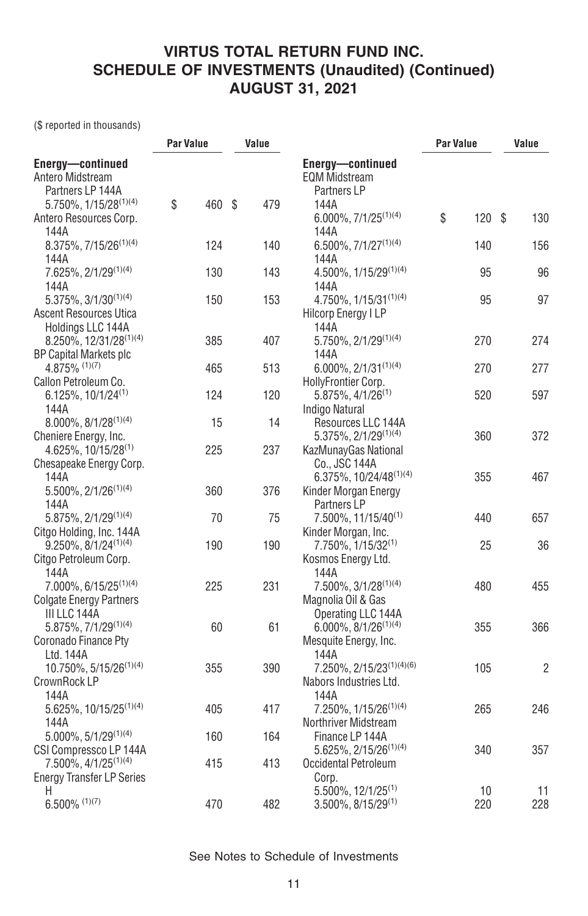(\$ reported in thousands)

|                                           | <b>Par Value</b> |        | Value |                                          | Par Value |     | Value          |
|-------------------------------------------|------------------|--------|-------|------------------------------------------|-----------|-----|----------------|
| Energy-continued<br>Antero Midstream      |                  |        |       | Energy-continued<br><b>EQM Midstream</b> |           |     |                |
| Partners LP 144A                          |                  |        |       | Partners LP                              |           |     |                |
| 5.750%, 1/15/28 <sup>(1)(4)</sup>         | \$               | 460 \$ | 479   | 144A                                     |           |     |                |
| Antero Resources Corp.                    |                  |        |       | $6.000\%, 7/1/25^{(1)(4)}$               | \$        | 120 | \$<br>130      |
| 144A                                      |                  |        |       | 144A                                     |           |     |                |
| 8.375%, 7/15/26 <sup>(1)(4)</sup>         |                  | 124    | 140   | $6.500\%, 7/1/27^{(1)(4)}$               |           | 140 | 156            |
| 144A                                      |                  |        |       | 144A                                     |           |     |                |
| $7.625\%$ , $2/1/29^{(1)(4)}$             |                  | 130    | 143   | 4.500%, 1/15/29 <sup>(1)(4)</sup>        |           | 95  | 96             |
| 144A                                      |                  |        |       | 144A                                     |           |     |                |
| $5.375\%$ , $3/1/30^{(1)(4)}$             |                  | 150    | 153   | 4.750%, 1/15/31 <sup>(1)(4)</sup>        |           | 95  | 97             |
| <b>Ascent Resources Utica</b>             |                  |        |       | <b>Hilcorp Energy I LP</b>               |           |     |                |
| Holdings LLC 144A                         |                  |        |       | 144A                                     |           |     |                |
| 8.250%, 12/31/28 <sup>(1)(4)</sup>        |                  | 385    | 407   | 5.750%, 2/1/29(1)(4)                     |           | 270 | 274            |
| <b>BP Capital Markets plc</b>             |                  |        |       | 144A                                     |           |     |                |
| $4.875\%$ (1)(7)                          |                  | 465    | 513   | $6.000\%$ , 2/1/31 <sup>(1)(4)</sup>     |           | 270 | 277            |
| Callon Petroleum Co.                      |                  |        |       | HollyFrontier Corp.                      |           |     |                |
| 6.125%, 10/1/24(1)                        |                  | 124    | 120   | $5.875\%$ , 4/1/26 <sup>(1)</sup>        |           | 520 | 597            |
| 144A                                      |                  |        |       | Indigo Natural                           |           |     |                |
| $8.000\%$ , $8/1/28^{(1)(4)}$             |                  | 15     | 14    | Resources LLC 144A                       |           |     |                |
| Cheniere Energy, Inc.                     |                  |        |       | 5.375%, 2/1/29 <sup>(1)(4)</sup>         |           | 360 | 372            |
| $4.625\%$ , 10/15/28 <sup>(1)</sup>       |                  | 225    | 237   | KazMunayGas National                     |           |     |                |
| Chesapeake Energy Corp.                   |                  |        |       | Co., JSC 144A                            |           |     |                |
| 144A                                      |                  |        |       | 6.375%, 10/24/48(1)(4)                   |           | 355 | 467            |
| 5.500%, 2/1/26 <sup>(1)(4)</sup>          |                  | 360    | 376   | Kinder Morgan Energy                     |           |     |                |
| 144A                                      |                  |        |       | Partners LP                              |           |     |                |
| 5.875%, 2/1/29(1)(4)                      |                  | 70     | 75    | 7.500%, 11/15/40 <sup>(1)</sup>          |           | 440 | 657            |
| Citgo Holding, Inc. 144A                  |                  |        |       | Kinder Morgan, Inc.                      |           |     |                |
| $9.250\%$ , $8/1/24^{(1)(4)}$             |                  | 190    | 190   | 7.750%, 1/15/32 <sup>(1)</sup>           |           | 25  | 36             |
| Citgo Petroleum Corp.                     |                  |        |       | Kosmos Energy Ltd.                       |           |     |                |
| 144A<br>7.000%, 6/15/25 <sup>(1)(4)</sup> |                  | 225    | 231   | 144A<br>7.500%, 3/1/28(1)(4)             |           | 480 | 455            |
| <b>Colgate Energy Partners</b>            |                  |        |       | Magnolia Oil & Gas                       |           |     |                |
| III LLC 144A                              |                  |        |       | Operating LLC 144A                       |           |     |                |
| 5.875%, 7/1/29(1)(4)                      |                  | 60     | 61    | $6.000\%, 8/1/26^{(1)(4)}$               |           | 355 | 366            |
| Coronado Finance Pty                      |                  |        |       | Mesquite Energy, Inc.                    |           |     |                |
| Ltd. 144A                                 |                  |        |       | 144A                                     |           |     |                |
| 10.750%, 5/15/26 <sup>(1)(4)</sup>        |                  | 355    | 390   | 7.250%, 2/15/23(1)(4)(6)                 |           | 105 | $\overline{2}$ |
| CrownRock LP                              |                  |        |       | Nabors Industries Ltd.                   |           |     |                |
| 144A                                      |                  |        |       | 144A                                     |           |     |                |
| 5.625%, 10/15/25 <sup>(1)(4)</sup>        |                  | 405    | 417   | 7.250%, 1/15/26 <sup>(1)(4)</sup>        |           | 265 | 246            |
| 144A                                      |                  |        |       | Northriver Midstream                     |           |     |                |
| $5.000\%, 5/1/29^{(1)(4)}$                |                  | 160    | 164   | Finance LP 144A                          |           |     |                |
| CSI Compressco LP 144A                    |                  |        |       | 5.625%, 2/15/26 <sup>(1)(4)</sup>        |           | 340 | 357            |
| $7.500\%$ , $4/1/25^{(1)(4)}$             |                  | 415    | 413   | Occidental Petroleum                     |           |     |                |
| <b>Energy Transfer LP Series</b>          |                  |        |       | Corp.                                    |           |     |                |
| Η                                         |                  |        |       | $5.500\%$ , 12/1/25 <sup>(1)</sup>       |           | 10  | 11             |
| $6.500\%$ (1)(7)                          |                  | 470    | 482   | 3.500%, 8/15/29(1)                       |           | 220 | 228            |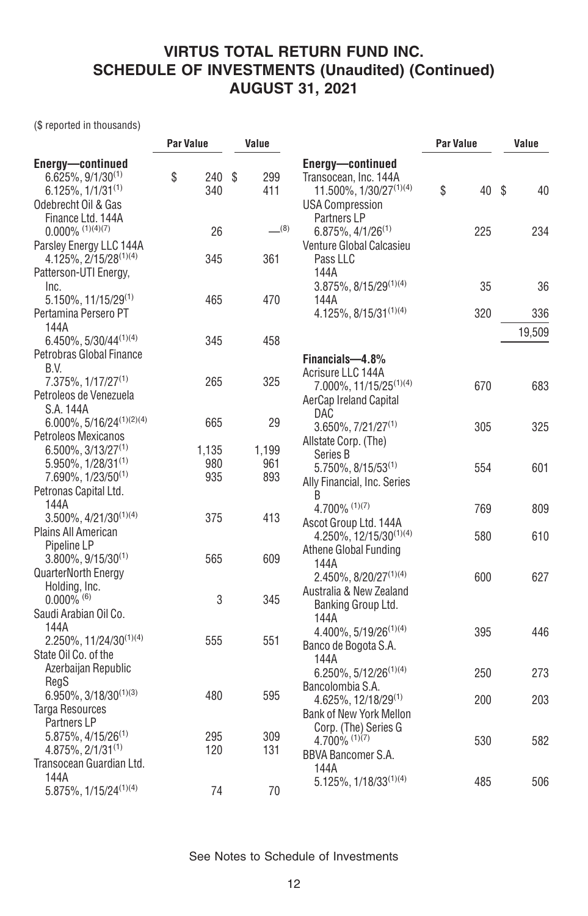(\$ reported in thousands)

| 40     |
|--------|
|        |
|        |
| 234    |
|        |
| 36     |
| 336    |
| 19,509 |
|        |
| 683    |
| 325    |
| 601    |
|        |
| 809    |
| 610    |
| 627    |
|        |
| 446    |
| 273    |
| 203    |
|        |
| 582    |
| 506    |
|        |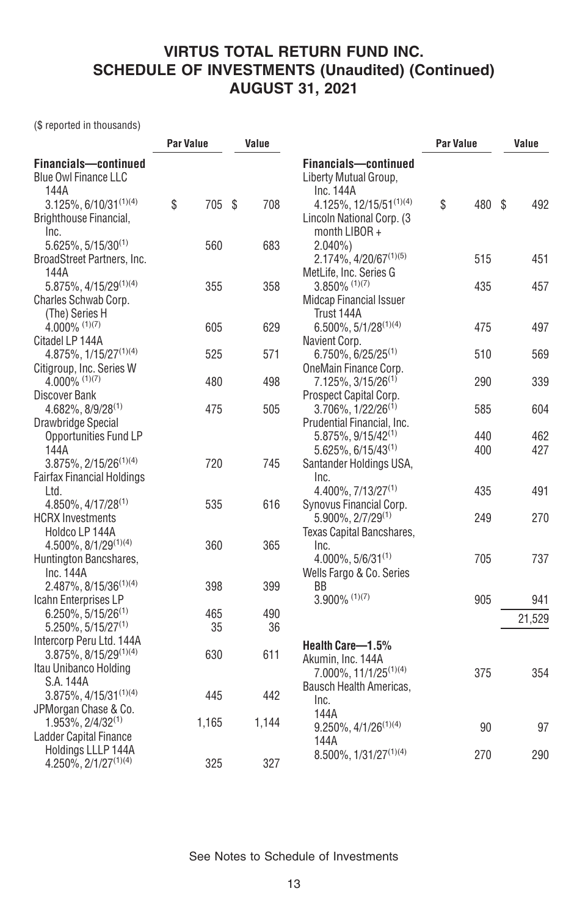(\$ reported in thousands)

|                                                             | <b>Par Value</b> |  | Value |                                                             | <b>Par Value</b> | Value  |  |        |
|-------------------------------------------------------------|------------------|--|-------|-------------------------------------------------------------|------------------|--------|--|--------|
| Financials-continued<br><b>Blue Owl Finance LLC</b><br>144A |                  |  |       | Financials-continued<br>Liberty Mutual Group,<br>Inc. 144A  |                  |        |  |        |
| $3.125\%$ , 6/10/31 <sup>(1)(4)</sup>                       | \$<br>705 \$     |  | 708   | 4.125%, 12/15/51(1)(4)                                      | \$               | 480 \$ |  | 492    |
| Brighthouse Financial,<br>Inc.                              |                  |  |       | Lincoln National Corp. (3<br>month $LIBOR +$                |                  |        |  |        |
| $5.625\%, 5/15/30^{(1)}$                                    | 560              |  | 683   | $2.040\%$ )                                                 |                  |        |  |        |
| BroadStreet Partners, Inc.<br>144A                          |                  |  |       | 2.174%, 4/20/67 <sup>(1)(5)</sup><br>MetLife, Inc. Series G |                  | 515    |  | 451    |
| 5.875%, 4/15/29 <sup>(1)(4)</sup>                           | 355              |  | 358   | $3.850\%$ (1)(7)                                            |                  | 435    |  | 457    |
| Charles Schwab Corp.                                        |                  |  |       | <b>Midcap Financial Issuer</b>                              |                  |        |  |        |
| (The) Series H                                              |                  |  |       | Trust 144A                                                  |                  |        |  |        |
| $4.000\%$ (1)(7)                                            | 605              |  | 629   | $6.500\%, 5/1/28^{(1)(4)}$                                  |                  | 475    |  | 497    |
| Citadel LP 144A                                             |                  |  |       | Navient Corp.                                               |                  |        |  |        |
| 4.875%, 1/15/27 <sup>(1)(4)</sup>                           | 525              |  | 571   | $6.750\%$ , 6/25/25 <sup>(1)</sup>                          |                  | 510    |  | 569    |
| Citigroup, Inc. Series W                                    |                  |  |       | OneMain Finance Corp.                                       |                  |        |  |        |
| 4.000% (1)(7)                                               | 480              |  | 498   | $7.125\%$ , 3/15/26 <sup>(1)</sup>                          |                  | 290    |  | 339    |
| Discover Bank                                               |                  |  |       | Prospect Capital Corp.                                      |                  |        |  |        |
| $4.682\%, 8/9/28^{(1)}$                                     | 475              |  | 505   | $3.706\%$ , $1/22/26^{(1)}$<br>Prudential Financial, Inc.   |                  | 585    |  | 604    |
| Drawbridge Special<br>Opportunities Fund LP                 |                  |  |       | $5.875\%$ , 9/15/42 <sup>(1)</sup>                          |                  | 440    |  | 462    |
| 144A                                                        |                  |  |       | $5.625\%, 6/15/43^{(1)}$                                    |                  | 400    |  | 427    |
| $3.875\%, 2/15/26^{(1)(4)}$                                 | 720              |  | 745   | Santander Holdings USA,                                     |                  |        |  |        |
| <b>Fairfax Financial Holdings</b>                           |                  |  |       | Inc.                                                        |                  |        |  |        |
| Ltd.                                                        |                  |  |       | $4.400\%$ , $7/13/27^{(1)}$                                 |                  | 435    |  | 491    |
| 4.850%, 4/17/28 <sup>(1)</sup>                              | 535              |  | 616   | Synovus Financial Corp.                                     |                  |        |  |        |
| <b>HCRX</b> Investments                                     |                  |  |       | 5.900%, 2/7/29 <sup>(1)</sup>                               |                  | 249    |  | 270    |
| Holdco LP 144A                                              |                  |  |       | Texas Capital Bancshares,                                   |                  |        |  |        |
| 4.500%, 8/1/29(1)(4)                                        | 360              |  | 365   | Inc.                                                        |                  |        |  |        |
| Huntington Bancshares,                                      |                  |  |       | $4.000\%$ , 5/6/31 <sup>(1)</sup>                           |                  | 705    |  | 737    |
| Inc. 144A                                                   |                  |  |       | Wells Fargo & Co. Series                                    |                  |        |  |        |
| $2.487\%$ , 8/15/36 <sup>(1)(4)</sup>                       | 398              |  | 399   | ΒB                                                          |                  |        |  |        |
| Icahn Enterprises LP                                        |                  |  |       | $3.900\%$ (1)(7)                                            |                  | 905    |  | 941    |
| $6.250\%, 5/15/26^{(1)}$                                    | 465              |  | 490   |                                                             |                  |        |  | 21,529 |
| $5.250\%, 5/15/27^{(1)}$                                    | 35               |  | 36    |                                                             |                  |        |  |        |
| Intercorp Peru Ltd. 144A                                    |                  |  |       | Health Care-1.5%                                            |                  |        |  |        |
| 3.875%, 8/15/29 <sup>(1)(4)</sup>                           | 630              |  | 611   | Akumin, Inc. 144A                                           |                  |        |  |        |
| Itau Unibanco Holding                                       |                  |  |       | 7.000%, 11/1/25 <sup>(1)(4)</sup>                           |                  | 375    |  | 354    |
| S.A. 144A                                                   |                  |  |       | Bausch Health Americas,                                     |                  |        |  |        |
| $3.875\%$ , 4/15/31 <sup>(1)(4)</sup>                       | 445              |  | 442   | Inc.                                                        |                  |        |  |        |
| JPMorgan Chase & Co.                                        |                  |  |       | 144A                                                        |                  |        |  |        |
| $1.953\%, 2/4/32^{(1)}$                                     | 1,165            |  | 1,144 | $9.250\%$ , $4/1/26^{(1)(4)}$                               |                  | 90     |  | 97     |
| Ladder Capital Finance                                      |                  |  |       | 144A                                                        |                  |        |  |        |
| Holdings LLLP 144A                                          |                  |  |       | 8.500%, 1/31/27 <sup>(1)(4)</sup>                           |                  | 270    |  | 290    |
| 4.250%, 2/1/27 <sup>(1)(4)</sup>                            | 325              |  | 327   |                                                             |                  |        |  |        |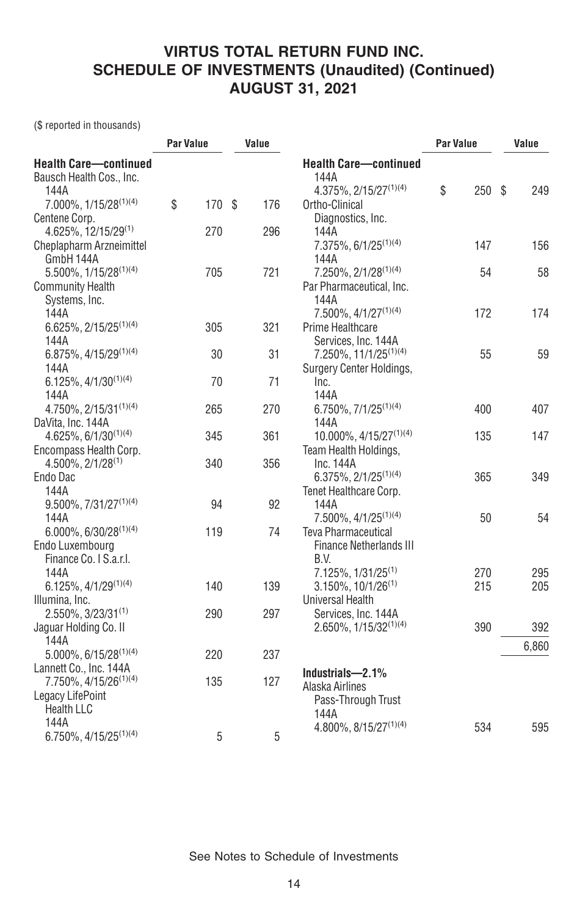(\$ reported in thousands)

|                                                                  | <b>Par Value</b> |        | Value |     |                                                     | <b>Par Value</b> |      | Value |       |
|------------------------------------------------------------------|------------------|--------|-------|-----|-----------------------------------------------------|------------------|------|-------|-------|
| <b>Health Care-continued</b><br>Bausch Health Cos., Inc.<br>144A |                  |        |       |     | <b>Health Care-continued</b><br>144A                | \$               | 250S |       | 249   |
| 7.000%, 1/15/28 <sup>(1)(4)</sup>                                | \$               | 170 \$ |       | 176 | 4.375%, 2/15/27 <sup>(1)(4)</sup><br>Ortho-Clinical |                  |      |       |       |
| Centene Corp.                                                    |                  |        |       |     | Diagnostics, Inc.                                   |                  |      |       |       |
| 4.625%, 12/15/29(1)                                              |                  | 270    |       | 296 | 144A                                                |                  |      |       |       |
| Cheplapharm Arzneimittel                                         |                  |        |       |     | $7.375\%$ , 6/1/25 <sup>(1)(4)</sup>                |                  | 147  |       | 156   |
| GmbH 144A                                                        |                  |        |       |     | 144A                                                |                  |      |       |       |
| 5.500%, 1/15/28(1)(4)                                            |                  | 705    |       | 721 | $7.250\%$ , $2/1/28^{(1)(4)}$                       |                  | 54   |       | 58    |
| <b>Community Health</b>                                          |                  |        |       |     | Par Pharmaceutical, Inc.                            |                  |      |       |       |
| Systems, Inc.                                                    |                  |        |       |     | 144A                                                |                  |      |       |       |
| 144A                                                             |                  |        |       |     | $7.500\%$ , $4/1/27^{(1)(4)}$                       |                  | 172  |       | 174   |
| $6.625\%, 2/15/25^{(1)(4)}$                                      |                  | 305    |       | 321 | Prime Healthcare                                    |                  |      |       |       |
| 144A                                                             |                  |        |       |     | Services, Inc. 144A                                 |                  |      |       |       |
| 6.875%, 4/15/29(1)(4)                                            |                  | 30     |       | 31  | $7.250\%, 11/1/25^{(1)(4)}$                         |                  | 55   |       | 59    |
| 144A                                                             |                  |        |       |     | Surgery Center Holdings,                            |                  |      |       |       |
| $6.125\%, 4/1/30^{(1)(4)}$                                       |                  | 70     |       | 71  | Inc.                                                |                  |      |       |       |
| 144A                                                             |                  | 265    |       | 270 | 144A                                                |                  | 400  |       | 407   |
| 4.750%, 2/15/31(1)(4)                                            |                  |        |       |     | 6.750%, 7/1/25 <sup>(1)(4)</sup><br>144A            |                  |      |       |       |
| DaVita, Inc. 144A<br>$4.625\%, 6/1/30^{(1)(4)}$                  |                  | 345    |       | 361 | 10.000%, 4/15/27(1)(4)                              |                  | 135  |       | 147   |
| Encompass Health Corp.                                           |                  |        |       |     | Team Health Holdings,                               |                  |      |       |       |
| $4.500\%$ , $2/1/28^{(1)}$                                       |                  | 340    |       | 356 | Inc.144A                                            |                  |      |       |       |
| Endo Dac                                                         |                  |        |       |     | $6.375\%, 2/1/25^{(1)(4)}$                          |                  | 365  |       | 349   |
| 144A                                                             |                  |        |       |     | Tenet Healthcare Corp.                              |                  |      |       |       |
| $9.500\%, 7/31/27^{(1)(4)}$                                      |                  | 94     |       | 92  | 144A                                                |                  |      |       |       |
| 144A                                                             |                  |        |       |     | 7.500%, 4/1/25 <sup>(1)(4)</sup>                    |                  | 50   |       | 54    |
| $6.000\%$ , $6/30/28^{(1)(4)}$                                   |                  | 119    |       | 74  | Teva Pharmaceutical                                 |                  |      |       |       |
| Endo Luxembourg                                                  |                  |        |       |     | <b>Finance Netherlands III</b>                      |                  |      |       |       |
| Finance Co. I S.a.r.l.                                           |                  |        |       |     | B.V.                                                |                  |      |       |       |
| 144A                                                             |                  |        |       |     | 7.125%, 1/31/25 <sup>(1)</sup>                      |                  | 270  |       | 295   |
| $6.125\%, \frac{4}{1}/29^{(1)(4)}$                               |                  | 140    |       | 139 | $3.150\%$ , $10/1/26^{(1)}$                         |                  | 215  |       | 205   |
| Illumina, Inc.                                                   |                  |        |       |     | <b>Universal Health</b>                             |                  |      |       |       |
| 2.550%, 3/23/31(1)                                               |                  | 290    |       | 297 | Services, Inc. 144A                                 |                  |      |       |       |
| Jaguar Holding Co. II                                            |                  |        |       |     | $2.650\%, 1/15/32^{(1)(4)}$                         |                  | 390  |       | 392   |
| 144A                                                             |                  |        |       |     |                                                     |                  |      |       | 6,860 |
| $5.000\%$ , 6/15/28 <sup>(1)(4)</sup>                            |                  | 220    |       | 237 |                                                     |                  |      |       |       |
| Lannett Co., Inc. 144A                                           |                  |        |       |     | Industrials-2.1%                                    |                  |      |       |       |
| 7.750%, 4/15/26 <sup>(1)(4)</sup>                                |                  | 135    |       | 127 | Alaska Airlines                                     |                  |      |       |       |
| Legacy LifePoint                                                 |                  |        |       |     | Pass-Through Trust                                  |                  |      |       |       |
| <b>Health LLC</b>                                                |                  |        |       |     | 144A                                                |                  |      |       |       |
| 144A                                                             |                  |        |       |     | 4.800%, 8/15/27 <sup>(1)(4)</sup>                   |                  | 534  |       | 595   |
| 6.750%, 4/15/25 <sup>(1)(4)</sup>                                |                  | 5      |       | 5   |                                                     |                  |      |       |       |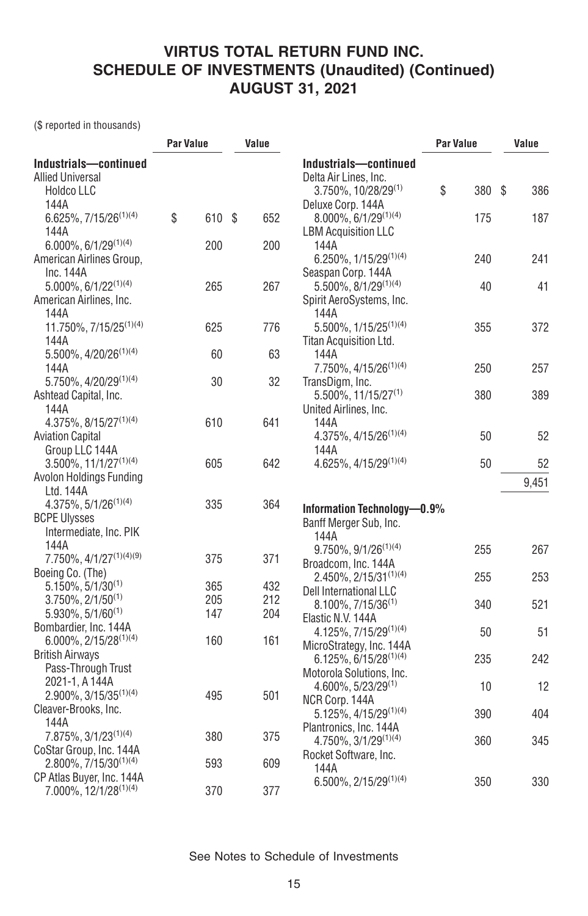(\$ reported in thousands)

|                                                                                | <b>Par Value</b> |            | Value |            |                                                                                       | <b>Par Value</b> |     | Value |       |
|--------------------------------------------------------------------------------|------------------|------------|-------|------------|---------------------------------------------------------------------------------------|------------------|-----|-------|-------|
| Industrials-continued<br><b>Allied Universal</b><br><b>Holdco LLC</b>          |                  |            |       |            | Industrials-continued<br>Delta Air Lines, Inc.<br>$3.750\%$ , 10/28/29 <sup>(1)</sup> | \$               | 380 | S     | 386   |
| 144A<br>6.625%, 7/15/26 <sup>(1)(4)</sup><br>144A                              | \$               | 610 \$     |       | 652        | Deluxe Corp. 144A<br>8.000%, 6/1/29(1)(4)<br><b>LBM Acquisition LLC</b>               |                  | 175 |       | 187   |
| $6.000\%$ , $6/1/29^{(1)(4)}$<br>American Airlines Group,                      |                  | 200        |       | 200        | 144A<br>6.250%, 1/15/29(1)(4)                                                         |                  | 240 |       | 241   |
| Inc. 144A<br>$5.000\%, 6/1/22^{(1)(4)}$<br>American Airlines, Inc.             |                  | 265        |       | 267        | Seaspan Corp. 144A<br>$5.500\%$ , $8/1/29^{(1)(4)}$<br>Spirit AeroSystems, Inc.       |                  | 40  |       | 41    |
| 144A<br>11.750%, 7/15/25 <sup>(1)(4)</sup><br>144A                             |                  | 625        |       | 776        | 144A<br>5.500%, 1/15/25 <sup>(1)(4)</sup><br>Titan Acquisition Ltd.                   |                  | 355 |       | 372   |
| 5.500%, 4/20/26 <sup>(1)(4)</sup><br>144A                                      |                  | 60         |       | 63         | 144A<br>7.750%, 4/15/26 <sup>(1)(4)</sup>                                             |                  | 250 |       | 257   |
| 5.750%, 4/20/29(1)(4)<br>Ashtead Capital, Inc.<br>144A                         |                  | 30         |       | 32         | TransDigm, Inc.<br>5.500%, 11/15/27 <sup>(1)</sup><br>United Airlines, Inc.           |                  | 380 |       | 389   |
| 4.375%, 8/15/27 <sup>(1)(4)</sup><br><b>Aviation Capital</b><br>Group LLC 144A |                  | 610        |       | 641        | 144A<br>$4.375\%, 4/15/26^{(1)(4)}$<br>144A                                           |                  | 50  |       | 52    |
| $3.500\%$ , $11/1/27^{(1)(4)}$                                                 |                  | 605        |       | 642        | 4.625%, 4/15/29(1)(4)                                                                 |                  | 50  |       | 52    |
| Avolon Holdings Funding<br>Ltd. 144A                                           |                  |            |       |            |                                                                                       |                  |     |       | 9,451 |
| $4.375\%, 5/1/26^{(1)(4)}$<br><b>BCPE Ulysses</b><br>Intermediate, Inc. PIK    |                  | 335        |       | 364        | Information Technology-0.9%<br>Banff Merger Sub, Inc.<br>144A                         |                  |     |       |       |
| 144A<br>7.750%, 4/1/27(1)(4)(9)                                                |                  | 375        |       | 371        | $9.750\%$ , $9/1/26^{(1)(4)}$<br>Broadcom, Inc. 144A                                  |                  | 255 |       | 267   |
| Boeing Co. (The)<br>$5.150\%, 5/1/30^{(1)}$                                    |                  | 365        |       | 432        | $2.450\%, 2/15/31^{(1)(4)}$<br>Dell International LLC                                 |                  | 255 |       | 253   |
| $3.750\%$ , $2/1/50^{(1)}$<br>$5.930\%$ , $5/1/60^{(1)}$                       |                  | 205<br>147 |       | 212<br>204 | $8.100\%, 7/15/36^{(1)}$<br>Elastic N.V. 144A                                         |                  | 340 |       | 521   |
| Bombardier, Inc. 144A<br>$6.000\%$ , 2/15/28 <sup>(1)(4)</sup>                 |                  | 160        |       | 161        | 4.125%, 7/15/29(1)(4)                                                                 |                  | 50  |       | 51    |
| <b>British Airways</b><br>Pass-Through Trust                                   |                  |            |       |            | MicroStrategy, Inc. 144A<br>$6.125\%, 6/15/28^{(1)(4)}$<br>Motorola Solutions, Inc.   |                  | 235 |       | 242   |
| 2021-1, A 144A<br>$2.900\%$ , 3/15/35 <sup>(1)(4)</sup>                        |                  | 495        |       | 501        | $4.600\%$ , 5/23/29 <sup>(1)</sup>                                                    |                  | 10  |       | 12    |
| Cleaver-Brooks, Inc.<br>144A                                                   |                  |            |       |            | NCR Corp. 144A<br>5.125%, 4/15/29(1)(4)                                               |                  | 390 |       | 404   |
| 7.875%, 3/1/23 <sup>(1)(4)</sup><br>CoStar Group, Inc. 144A                    |                  | 380        |       | 375        | Plantronics, Inc. 144A<br>$4.750\%, 3/1/29^{(1)(4)}$<br>Rocket Software, Inc.         |                  | 360 |       | 345   |
| $2.800\%$ , $7/15/30^{(1)(4)}$<br>CP Atlas Buyer, Inc. 144A                    |                  | 593        |       | 609        | 144A<br>$6.500\%$ , 2/15/29 <sup>(1)(4)</sup>                                         |                  | 350 |       | 330   |
| 7.000%, 12/1/28 <sup>(1)(4)</sup>                                              |                  | 370        |       | 377        |                                                                                       |                  |     |       |       |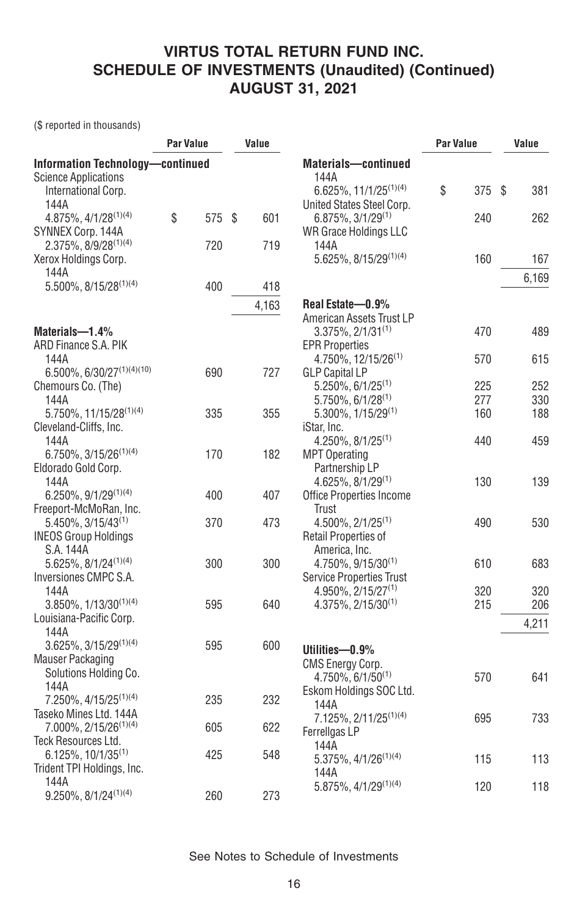(\$ reported in thousands)

| <b>Information Technology-continued</b><br><b>Materials-continued</b><br>144A<br><b>Science Applications</b><br>$6.625\%, 11/1/25^{(1)(4)}$<br>\$<br>375<br>\$<br>381<br>International Corp.<br>144A<br>United States Steel Corp.<br>\$<br>4.875%, 4/1/28 <sup>(1)(4)</sup><br>575 \$<br>601<br>262<br>$6.875\%, 3/1/29^{(1)}$<br>240<br>SYNNEX Corp. 144A<br><b>WR Grace Holdings LLC</b><br>2.375%, 8/9/28 <sup>(1)(4)</sup><br>720<br>719<br>144A<br>5.625%, 8/15/29(1)(4)<br>160<br>Xerox Holdings Corp.<br>167<br>144A<br>6,169<br>5.500%, 8/15/28(1)(4)<br>400<br>418<br>4,163<br>Real Estate-0.9%<br>American Assets Trust LP<br>$3.375\%$ , $2/1/31^{(1)}$<br>470<br>489<br>Materials-1.4%<br>ARD Finance S.A. PIK<br><b>EPR Properties</b><br>144A<br>4.750%, 12/15/26 <sup>(1)</sup><br>615<br>570<br>6.500%, 6/30/27(1)(4)(10)<br>727<br>690<br><b>GLP Capital LP</b><br>$5.250\%$ , 6/1/25 <sup>(1)</sup><br>225<br>252<br>Chemours Co. (The)<br>$5.750\%$ , 6/1/28 <sup>(1)</sup><br>277<br>330<br>144A<br>5.750%, 11/15/28(1)(4)<br>335<br>355<br>$5.300\%$ , $1/15/29^{(1)}$<br>160<br>188<br>Cleveland-Cliffs, Inc.<br>iStar, Inc.<br>459<br>144A<br>$4.250\%$ , $8/1/25^{(1)}$<br>440<br>$6.750\%$ , 3/15/26 <sup>(1)(4)</sup><br>170<br>182<br><b>MPT Operating</b><br>Partnership LP<br>Eldorado Gold Corp.<br>144A<br>$4.625\%$ , $8/1/29^{(1)}$<br>130<br>139<br>$6.250\%$ , $9/1/29^{(1)(4)}$<br>400<br>Office Properties Income<br>407<br>Freeport-McMoRan, Inc.<br>Trust<br>$5.450\%$ , $3/15/43^{(1)}$<br>370<br>473<br>$4.500\%$ , $2/1/25^{(1)}$<br>530<br>490<br>Retail Properties of<br><b>INEOS Group Holdings</b><br>S.A. 144A<br>America, Inc.<br>$5.625\%, 8/1/24^{(1)(4)}$<br>300<br>300<br>4.750%, 9/15/30 <sup>(1)</sup><br>610<br>683<br>Inversiones CMPC S.A.<br><b>Service Properties Trust</b><br>144A<br>320<br>320<br>$4.950\%$ , $2/15/27^{(1)}$<br>$3.850\%, 1/13/30^{(1)(4)}$<br>595<br>215<br>206<br>640<br>$4.375\%$ , $2/15/30^{(1)}$<br>Louisiana-Pacific Corp.<br>4,211<br>144A<br>$3.625\%, 3/15/29^{(1)(4)}$<br>595<br>600<br>Utilities-0.9%<br><b>Mauser Packaging</b><br><b>CMS Energy Corp.</b><br>Solutions Holding Co.<br>$4.750\%$ , 6/1/50 <sup>(1)</sup><br>570<br>641<br>144A<br>Eskom Holdings SOC Ltd.<br>$7.250\%, 4/15/25^{(1)(4)}$<br>235<br>232<br>144A<br>Taseko Mines Ltd. 144A<br>7.125%, 2/11/25 <sup>(1)(4)</sup><br>733<br>695<br>$7.000\%$ , 2/15/26 <sup>(1)(4)</sup><br>622<br>605<br>Ferrellgas LP<br>Teck Resources Ltd.<br>144A<br>6.125%, 10/1/35 <sup>(1)</sup><br>425<br>548<br>5.375%, 4/1/26 <sup>(1)(4)</sup><br>113<br>115<br>Trident TPI Holdings, Inc.<br>144A<br>144A<br>118<br>5.875%, 4/1/29(1)(4)<br>120 |                               | <b>Par Value</b> |     | Value |     | Par Value | Value |  |
|------------------------------------------------------------------------------------------------------------------------------------------------------------------------------------------------------------------------------------------------------------------------------------------------------------------------------------------------------------------------------------------------------------------------------------------------------------------------------------------------------------------------------------------------------------------------------------------------------------------------------------------------------------------------------------------------------------------------------------------------------------------------------------------------------------------------------------------------------------------------------------------------------------------------------------------------------------------------------------------------------------------------------------------------------------------------------------------------------------------------------------------------------------------------------------------------------------------------------------------------------------------------------------------------------------------------------------------------------------------------------------------------------------------------------------------------------------------------------------------------------------------------------------------------------------------------------------------------------------------------------------------------------------------------------------------------------------------------------------------------------------------------------------------------------------------------------------------------------------------------------------------------------------------------------------------------------------------------------------------------------------------------------------------------------------------------------------------------------------------------------------------------------------------------------------------------------------------------------------------------------------------------------------------------------------------------------------------------------------------------------------------------------------------------------------------------------------------------------------------------------------------------------------------------------------------------------------------------------------------------------------------------------------------------------------------------------|-------------------------------|------------------|-----|-------|-----|-----------|-------|--|
|                                                                                                                                                                                                                                                                                                                                                                                                                                                                                                                                                                                                                                                                                                                                                                                                                                                                                                                                                                                                                                                                                                                                                                                                                                                                                                                                                                                                                                                                                                                                                                                                                                                                                                                                                                                                                                                                                                                                                                                                                                                                                                                                                                                                                                                                                                                                                                                                                                                                                                                                                                                                                                                                                                      |                               |                  |     |       |     |           |       |  |
|                                                                                                                                                                                                                                                                                                                                                                                                                                                                                                                                                                                                                                                                                                                                                                                                                                                                                                                                                                                                                                                                                                                                                                                                                                                                                                                                                                                                                                                                                                                                                                                                                                                                                                                                                                                                                                                                                                                                                                                                                                                                                                                                                                                                                                                                                                                                                                                                                                                                                                                                                                                                                                                                                                      |                               |                  |     |       |     |           |       |  |
|                                                                                                                                                                                                                                                                                                                                                                                                                                                                                                                                                                                                                                                                                                                                                                                                                                                                                                                                                                                                                                                                                                                                                                                                                                                                                                                                                                                                                                                                                                                                                                                                                                                                                                                                                                                                                                                                                                                                                                                                                                                                                                                                                                                                                                                                                                                                                                                                                                                                                                                                                                                                                                                                                                      |                               |                  |     |       |     |           |       |  |
|                                                                                                                                                                                                                                                                                                                                                                                                                                                                                                                                                                                                                                                                                                                                                                                                                                                                                                                                                                                                                                                                                                                                                                                                                                                                                                                                                                                                                                                                                                                                                                                                                                                                                                                                                                                                                                                                                                                                                                                                                                                                                                                                                                                                                                                                                                                                                                                                                                                                                                                                                                                                                                                                                                      |                               |                  |     |       |     |           |       |  |
|                                                                                                                                                                                                                                                                                                                                                                                                                                                                                                                                                                                                                                                                                                                                                                                                                                                                                                                                                                                                                                                                                                                                                                                                                                                                                                                                                                                                                                                                                                                                                                                                                                                                                                                                                                                                                                                                                                                                                                                                                                                                                                                                                                                                                                                                                                                                                                                                                                                                                                                                                                                                                                                                                                      |                               |                  |     |       |     |           |       |  |
|                                                                                                                                                                                                                                                                                                                                                                                                                                                                                                                                                                                                                                                                                                                                                                                                                                                                                                                                                                                                                                                                                                                                                                                                                                                                                                                                                                                                                                                                                                                                                                                                                                                                                                                                                                                                                                                                                                                                                                                                                                                                                                                                                                                                                                                                                                                                                                                                                                                                                                                                                                                                                                                                                                      |                               |                  |     |       |     |           |       |  |
|                                                                                                                                                                                                                                                                                                                                                                                                                                                                                                                                                                                                                                                                                                                                                                                                                                                                                                                                                                                                                                                                                                                                                                                                                                                                                                                                                                                                                                                                                                                                                                                                                                                                                                                                                                                                                                                                                                                                                                                                                                                                                                                                                                                                                                                                                                                                                                                                                                                                                                                                                                                                                                                                                                      |                               |                  |     |       |     |           |       |  |
|                                                                                                                                                                                                                                                                                                                                                                                                                                                                                                                                                                                                                                                                                                                                                                                                                                                                                                                                                                                                                                                                                                                                                                                                                                                                                                                                                                                                                                                                                                                                                                                                                                                                                                                                                                                                                                                                                                                                                                                                                                                                                                                                                                                                                                                                                                                                                                                                                                                                                                                                                                                                                                                                                                      |                               |                  |     |       |     |           |       |  |
|                                                                                                                                                                                                                                                                                                                                                                                                                                                                                                                                                                                                                                                                                                                                                                                                                                                                                                                                                                                                                                                                                                                                                                                                                                                                                                                                                                                                                                                                                                                                                                                                                                                                                                                                                                                                                                                                                                                                                                                                                                                                                                                                                                                                                                                                                                                                                                                                                                                                                                                                                                                                                                                                                                      |                               |                  |     |       |     |           |       |  |
|                                                                                                                                                                                                                                                                                                                                                                                                                                                                                                                                                                                                                                                                                                                                                                                                                                                                                                                                                                                                                                                                                                                                                                                                                                                                                                                                                                                                                                                                                                                                                                                                                                                                                                                                                                                                                                                                                                                                                                                                                                                                                                                                                                                                                                                                                                                                                                                                                                                                                                                                                                                                                                                                                                      |                               |                  |     |       |     |           |       |  |
|                                                                                                                                                                                                                                                                                                                                                                                                                                                                                                                                                                                                                                                                                                                                                                                                                                                                                                                                                                                                                                                                                                                                                                                                                                                                                                                                                                                                                                                                                                                                                                                                                                                                                                                                                                                                                                                                                                                                                                                                                                                                                                                                                                                                                                                                                                                                                                                                                                                                                                                                                                                                                                                                                                      |                               |                  |     |       |     |           |       |  |
|                                                                                                                                                                                                                                                                                                                                                                                                                                                                                                                                                                                                                                                                                                                                                                                                                                                                                                                                                                                                                                                                                                                                                                                                                                                                                                                                                                                                                                                                                                                                                                                                                                                                                                                                                                                                                                                                                                                                                                                                                                                                                                                                                                                                                                                                                                                                                                                                                                                                                                                                                                                                                                                                                                      |                               |                  |     |       |     |           |       |  |
|                                                                                                                                                                                                                                                                                                                                                                                                                                                                                                                                                                                                                                                                                                                                                                                                                                                                                                                                                                                                                                                                                                                                                                                                                                                                                                                                                                                                                                                                                                                                                                                                                                                                                                                                                                                                                                                                                                                                                                                                                                                                                                                                                                                                                                                                                                                                                                                                                                                                                                                                                                                                                                                                                                      |                               |                  |     |       |     |           |       |  |
|                                                                                                                                                                                                                                                                                                                                                                                                                                                                                                                                                                                                                                                                                                                                                                                                                                                                                                                                                                                                                                                                                                                                                                                                                                                                                                                                                                                                                                                                                                                                                                                                                                                                                                                                                                                                                                                                                                                                                                                                                                                                                                                                                                                                                                                                                                                                                                                                                                                                                                                                                                                                                                                                                                      |                               |                  |     |       |     |           |       |  |
|                                                                                                                                                                                                                                                                                                                                                                                                                                                                                                                                                                                                                                                                                                                                                                                                                                                                                                                                                                                                                                                                                                                                                                                                                                                                                                                                                                                                                                                                                                                                                                                                                                                                                                                                                                                                                                                                                                                                                                                                                                                                                                                                                                                                                                                                                                                                                                                                                                                                                                                                                                                                                                                                                                      |                               |                  |     |       |     |           |       |  |
|                                                                                                                                                                                                                                                                                                                                                                                                                                                                                                                                                                                                                                                                                                                                                                                                                                                                                                                                                                                                                                                                                                                                                                                                                                                                                                                                                                                                                                                                                                                                                                                                                                                                                                                                                                                                                                                                                                                                                                                                                                                                                                                                                                                                                                                                                                                                                                                                                                                                                                                                                                                                                                                                                                      |                               |                  |     |       |     |           |       |  |
|                                                                                                                                                                                                                                                                                                                                                                                                                                                                                                                                                                                                                                                                                                                                                                                                                                                                                                                                                                                                                                                                                                                                                                                                                                                                                                                                                                                                                                                                                                                                                                                                                                                                                                                                                                                                                                                                                                                                                                                                                                                                                                                                                                                                                                                                                                                                                                                                                                                                                                                                                                                                                                                                                                      |                               |                  |     |       |     |           |       |  |
|                                                                                                                                                                                                                                                                                                                                                                                                                                                                                                                                                                                                                                                                                                                                                                                                                                                                                                                                                                                                                                                                                                                                                                                                                                                                                                                                                                                                                                                                                                                                                                                                                                                                                                                                                                                                                                                                                                                                                                                                                                                                                                                                                                                                                                                                                                                                                                                                                                                                                                                                                                                                                                                                                                      |                               |                  |     |       |     |           |       |  |
|                                                                                                                                                                                                                                                                                                                                                                                                                                                                                                                                                                                                                                                                                                                                                                                                                                                                                                                                                                                                                                                                                                                                                                                                                                                                                                                                                                                                                                                                                                                                                                                                                                                                                                                                                                                                                                                                                                                                                                                                                                                                                                                                                                                                                                                                                                                                                                                                                                                                                                                                                                                                                                                                                                      |                               |                  |     |       |     |           |       |  |
|                                                                                                                                                                                                                                                                                                                                                                                                                                                                                                                                                                                                                                                                                                                                                                                                                                                                                                                                                                                                                                                                                                                                                                                                                                                                                                                                                                                                                                                                                                                                                                                                                                                                                                                                                                                                                                                                                                                                                                                                                                                                                                                                                                                                                                                                                                                                                                                                                                                                                                                                                                                                                                                                                                      |                               |                  |     |       |     |           |       |  |
|                                                                                                                                                                                                                                                                                                                                                                                                                                                                                                                                                                                                                                                                                                                                                                                                                                                                                                                                                                                                                                                                                                                                                                                                                                                                                                                                                                                                                                                                                                                                                                                                                                                                                                                                                                                                                                                                                                                                                                                                                                                                                                                                                                                                                                                                                                                                                                                                                                                                                                                                                                                                                                                                                                      |                               |                  |     |       |     |           |       |  |
|                                                                                                                                                                                                                                                                                                                                                                                                                                                                                                                                                                                                                                                                                                                                                                                                                                                                                                                                                                                                                                                                                                                                                                                                                                                                                                                                                                                                                                                                                                                                                                                                                                                                                                                                                                                                                                                                                                                                                                                                                                                                                                                                                                                                                                                                                                                                                                                                                                                                                                                                                                                                                                                                                                      |                               |                  |     |       |     |           |       |  |
|                                                                                                                                                                                                                                                                                                                                                                                                                                                                                                                                                                                                                                                                                                                                                                                                                                                                                                                                                                                                                                                                                                                                                                                                                                                                                                                                                                                                                                                                                                                                                                                                                                                                                                                                                                                                                                                                                                                                                                                                                                                                                                                                                                                                                                                                                                                                                                                                                                                                                                                                                                                                                                                                                                      |                               |                  |     |       |     |           |       |  |
|                                                                                                                                                                                                                                                                                                                                                                                                                                                                                                                                                                                                                                                                                                                                                                                                                                                                                                                                                                                                                                                                                                                                                                                                                                                                                                                                                                                                                                                                                                                                                                                                                                                                                                                                                                                                                                                                                                                                                                                                                                                                                                                                                                                                                                                                                                                                                                                                                                                                                                                                                                                                                                                                                                      |                               |                  |     |       |     |           |       |  |
|                                                                                                                                                                                                                                                                                                                                                                                                                                                                                                                                                                                                                                                                                                                                                                                                                                                                                                                                                                                                                                                                                                                                                                                                                                                                                                                                                                                                                                                                                                                                                                                                                                                                                                                                                                                                                                                                                                                                                                                                                                                                                                                                                                                                                                                                                                                                                                                                                                                                                                                                                                                                                                                                                                      |                               |                  |     |       |     |           |       |  |
|                                                                                                                                                                                                                                                                                                                                                                                                                                                                                                                                                                                                                                                                                                                                                                                                                                                                                                                                                                                                                                                                                                                                                                                                                                                                                                                                                                                                                                                                                                                                                                                                                                                                                                                                                                                                                                                                                                                                                                                                                                                                                                                                                                                                                                                                                                                                                                                                                                                                                                                                                                                                                                                                                                      |                               |                  |     |       |     |           |       |  |
|                                                                                                                                                                                                                                                                                                                                                                                                                                                                                                                                                                                                                                                                                                                                                                                                                                                                                                                                                                                                                                                                                                                                                                                                                                                                                                                                                                                                                                                                                                                                                                                                                                                                                                                                                                                                                                                                                                                                                                                                                                                                                                                                                                                                                                                                                                                                                                                                                                                                                                                                                                                                                                                                                                      |                               |                  |     |       |     |           |       |  |
|                                                                                                                                                                                                                                                                                                                                                                                                                                                                                                                                                                                                                                                                                                                                                                                                                                                                                                                                                                                                                                                                                                                                                                                                                                                                                                                                                                                                                                                                                                                                                                                                                                                                                                                                                                                                                                                                                                                                                                                                                                                                                                                                                                                                                                                                                                                                                                                                                                                                                                                                                                                                                                                                                                      |                               |                  |     |       |     |           |       |  |
|                                                                                                                                                                                                                                                                                                                                                                                                                                                                                                                                                                                                                                                                                                                                                                                                                                                                                                                                                                                                                                                                                                                                                                                                                                                                                                                                                                                                                                                                                                                                                                                                                                                                                                                                                                                                                                                                                                                                                                                                                                                                                                                                                                                                                                                                                                                                                                                                                                                                                                                                                                                                                                                                                                      |                               |                  |     |       |     |           |       |  |
|                                                                                                                                                                                                                                                                                                                                                                                                                                                                                                                                                                                                                                                                                                                                                                                                                                                                                                                                                                                                                                                                                                                                                                                                                                                                                                                                                                                                                                                                                                                                                                                                                                                                                                                                                                                                                                                                                                                                                                                                                                                                                                                                                                                                                                                                                                                                                                                                                                                                                                                                                                                                                                                                                                      |                               |                  |     |       |     |           |       |  |
|                                                                                                                                                                                                                                                                                                                                                                                                                                                                                                                                                                                                                                                                                                                                                                                                                                                                                                                                                                                                                                                                                                                                                                                                                                                                                                                                                                                                                                                                                                                                                                                                                                                                                                                                                                                                                                                                                                                                                                                                                                                                                                                                                                                                                                                                                                                                                                                                                                                                                                                                                                                                                                                                                                      |                               |                  |     |       |     |           |       |  |
|                                                                                                                                                                                                                                                                                                                                                                                                                                                                                                                                                                                                                                                                                                                                                                                                                                                                                                                                                                                                                                                                                                                                                                                                                                                                                                                                                                                                                                                                                                                                                                                                                                                                                                                                                                                                                                                                                                                                                                                                                                                                                                                                                                                                                                                                                                                                                                                                                                                                                                                                                                                                                                                                                                      |                               |                  |     |       |     |           |       |  |
|                                                                                                                                                                                                                                                                                                                                                                                                                                                                                                                                                                                                                                                                                                                                                                                                                                                                                                                                                                                                                                                                                                                                                                                                                                                                                                                                                                                                                                                                                                                                                                                                                                                                                                                                                                                                                                                                                                                                                                                                                                                                                                                                                                                                                                                                                                                                                                                                                                                                                                                                                                                                                                                                                                      |                               |                  |     |       |     |           |       |  |
|                                                                                                                                                                                                                                                                                                                                                                                                                                                                                                                                                                                                                                                                                                                                                                                                                                                                                                                                                                                                                                                                                                                                                                                                                                                                                                                                                                                                                                                                                                                                                                                                                                                                                                                                                                                                                                                                                                                                                                                                                                                                                                                                                                                                                                                                                                                                                                                                                                                                                                                                                                                                                                                                                                      |                               |                  |     |       |     |           |       |  |
|                                                                                                                                                                                                                                                                                                                                                                                                                                                                                                                                                                                                                                                                                                                                                                                                                                                                                                                                                                                                                                                                                                                                                                                                                                                                                                                                                                                                                                                                                                                                                                                                                                                                                                                                                                                                                                                                                                                                                                                                                                                                                                                                                                                                                                                                                                                                                                                                                                                                                                                                                                                                                                                                                                      |                               |                  |     |       |     |           |       |  |
|                                                                                                                                                                                                                                                                                                                                                                                                                                                                                                                                                                                                                                                                                                                                                                                                                                                                                                                                                                                                                                                                                                                                                                                                                                                                                                                                                                                                                                                                                                                                                                                                                                                                                                                                                                                                                                                                                                                                                                                                                                                                                                                                                                                                                                                                                                                                                                                                                                                                                                                                                                                                                                                                                                      |                               |                  |     |       |     |           |       |  |
|                                                                                                                                                                                                                                                                                                                                                                                                                                                                                                                                                                                                                                                                                                                                                                                                                                                                                                                                                                                                                                                                                                                                                                                                                                                                                                                                                                                                                                                                                                                                                                                                                                                                                                                                                                                                                                                                                                                                                                                                                                                                                                                                                                                                                                                                                                                                                                                                                                                                                                                                                                                                                                                                                                      |                               |                  |     |       |     |           |       |  |
|                                                                                                                                                                                                                                                                                                                                                                                                                                                                                                                                                                                                                                                                                                                                                                                                                                                                                                                                                                                                                                                                                                                                                                                                                                                                                                                                                                                                                                                                                                                                                                                                                                                                                                                                                                                                                                                                                                                                                                                                                                                                                                                                                                                                                                                                                                                                                                                                                                                                                                                                                                                                                                                                                                      |                               |                  |     |       |     |           |       |  |
|                                                                                                                                                                                                                                                                                                                                                                                                                                                                                                                                                                                                                                                                                                                                                                                                                                                                                                                                                                                                                                                                                                                                                                                                                                                                                                                                                                                                                                                                                                                                                                                                                                                                                                                                                                                                                                                                                                                                                                                                                                                                                                                                                                                                                                                                                                                                                                                                                                                                                                                                                                                                                                                                                                      |                               |                  |     |       |     |           |       |  |
|                                                                                                                                                                                                                                                                                                                                                                                                                                                                                                                                                                                                                                                                                                                                                                                                                                                                                                                                                                                                                                                                                                                                                                                                                                                                                                                                                                                                                                                                                                                                                                                                                                                                                                                                                                                                                                                                                                                                                                                                                                                                                                                                                                                                                                                                                                                                                                                                                                                                                                                                                                                                                                                                                                      |                               |                  |     |       |     |           |       |  |
|                                                                                                                                                                                                                                                                                                                                                                                                                                                                                                                                                                                                                                                                                                                                                                                                                                                                                                                                                                                                                                                                                                                                                                                                                                                                                                                                                                                                                                                                                                                                                                                                                                                                                                                                                                                                                                                                                                                                                                                                                                                                                                                                                                                                                                                                                                                                                                                                                                                                                                                                                                                                                                                                                                      |                               |                  |     |       |     |           |       |  |
|                                                                                                                                                                                                                                                                                                                                                                                                                                                                                                                                                                                                                                                                                                                                                                                                                                                                                                                                                                                                                                                                                                                                                                                                                                                                                                                                                                                                                                                                                                                                                                                                                                                                                                                                                                                                                                                                                                                                                                                                                                                                                                                                                                                                                                                                                                                                                                                                                                                                                                                                                                                                                                                                                                      |                               |                  |     |       |     |           |       |  |
|                                                                                                                                                                                                                                                                                                                                                                                                                                                                                                                                                                                                                                                                                                                                                                                                                                                                                                                                                                                                                                                                                                                                                                                                                                                                                                                                                                                                                                                                                                                                                                                                                                                                                                                                                                                                                                                                                                                                                                                                                                                                                                                                                                                                                                                                                                                                                                                                                                                                                                                                                                                                                                                                                                      | $9.250\%$ , $8/1/24^{(1)(4)}$ |                  | 260 |       | 273 |           |       |  |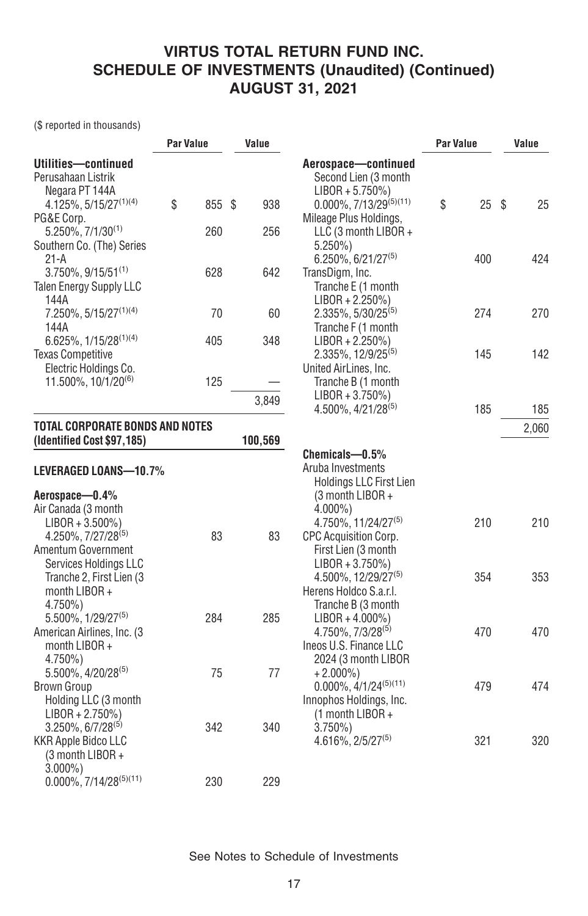(\$ reported in thousands)

|                                                                               | <b>Par Value</b> |  | Value   |                                                                                                             | Par Value |                 | Value |       |
|-------------------------------------------------------------------------------|------------------|--|---------|-------------------------------------------------------------------------------------------------------------|-----------|-----------------|-------|-------|
| Utilities-continued<br>Perusahaan Listrik<br>Negara PT 144A                   | \$<br>855 \$     |  | 938     | Aerospace-continued<br>Second Lien (3 month<br>$LIBOR + 5.750\%)$<br>$0.000\%$ , 7/13/29 <sup>(5)(11)</sup> | \$        | $25 \text{ } $$ |       | 25    |
| 4.125%, 5/15/27 <sup>(1)(4)</sup><br>PG&E Corp.<br>$5.250\%$ , $7/1/30^{(1)}$ | 260              |  | 256     | Mileage Plus Holdings,<br>LLC (3 month LIBOR +                                                              |           |                 |       |       |
| Southern Co. (The) Series<br>21-A                                             |                  |  |         | $5.250\%$<br>$6.250\%$ , 6/21/27 <sup>(5)</sup>                                                             |           | 400             |       | 424   |
| $3.750\%$ , $9/15/51^{(1)}$<br><b>Talen Energy Supply LLC</b><br>144A         | 628              |  | 642     | TransDigm, Inc.<br>Tranche E (1 month                                                                       |           |                 |       |       |
| 7.250%, 5/15/27 <sup>(1)(4)</sup><br>144A                                     | 70               |  | 60      | $LIBOR + 2.250\%)$<br>$2.335\%$ , $5/30/25^{(5)}$<br>Tranche F (1 month                                     |           | 274             |       | 270   |
| $6.625\%$ , $1/15/28^{(1)(4)}$<br><b>Texas Competitive</b>                    | 405              |  | 348     | $LIBOR + 2.250\%)$<br>2.335%, 12/9/25 <sup>(5)</sup>                                                        |           | 145             |       | 142   |
| Electric Holdings Co.<br>11.500%, 10/1/20(6)                                  | 125              |  |         | United AirLines, Inc.<br>Tranche B (1 month<br>$LIBOR + 3.750\%)$                                           |           |                 |       |       |
|                                                                               |                  |  | 3,849   | $4.500\%$ , $4/21/28^{(5)}$                                                                                 |           | 185             |       | 185   |
| <b>TOTAL CORPORATE BONDS AND NOTES</b><br>(Identified Cost \$97,185)          |                  |  | 100,569 |                                                                                                             |           |                 |       | 2,060 |
| LEVERAGED LOANS-10.7%                                                         |                  |  |         | Chemicals-0.5%<br>Aruba Investments<br><b>Holdings LLC First Lien</b>                                       |           |                 |       |       |
| Aerospace-0.4%                                                                |                  |  |         | (3 month LIBOR +                                                                                            |           |                 |       |       |
| Air Canada (3 month<br>$LIBOR + 3.500\%)$                                     |                  |  |         | $4.000\%$ )<br>4.750%, 11/24/27(5)                                                                          |           | 210             |       | 210   |
| 4.250%, 7/27/28 <sup>(5)</sup>                                                | 83               |  | 83      | CPC Acquisition Corp.                                                                                       |           |                 |       |       |
| Amentum Government                                                            |                  |  |         | First Lien (3 month                                                                                         |           |                 |       |       |
| Services Holdings LLC                                                         |                  |  |         | $LIBOR + 3.750\%)$                                                                                          |           |                 |       |       |
| Tranche 2, First Lien (3                                                      |                  |  |         | 4.500%, 12/29/27 <sup>(5)</sup>                                                                             |           | 354             |       | 353   |
| month $LIBOR +$<br>$4.750\%$                                                  |                  |  |         | Herens Holdco S.a.r.l.<br>Tranche B (3 month                                                                |           |                 |       |       |
| 5.500%, 1/29/27(5)                                                            | 284              |  | 285     | $LIBOR + 4.000\%)$                                                                                          |           |                 |       |       |
| American Airlines, Inc. (3                                                    |                  |  |         | 4.750%, 7/3/28 <sup>(5)</sup>                                                                               |           | 470             |       | 470   |
| month LIBOR +                                                                 |                  |  |         | Ineos U.S. Finance LLC                                                                                      |           |                 |       |       |
| $4.750\%$                                                                     |                  |  |         | 2024 (3 month LIBOR                                                                                         |           |                 |       |       |
| 5.500%, 4/20/28(5)                                                            | 75               |  | 77      | $+2.000\%$                                                                                                  |           |                 |       |       |
| <b>Brown Group</b>                                                            |                  |  |         | $0.000\%$ , $4/1/24^{(5)(11)}$                                                                              |           | 479             |       | 474   |
| Holding LLC (3 month                                                          |                  |  |         | Innophos Holdings, Inc.                                                                                     |           |                 |       |       |
| $LIBOR + 2.750\%)$<br>$3.250\%$ , 6/7/28 <sup>(5)</sup>                       | 342              |  | 340     | (1 month LIBOR +<br>$3.750\%$                                                                               |           |                 |       |       |
| <b>KKR Apple Bidco LLC</b>                                                    |                  |  |         | $4.616\%, 2/5/27^{(5)}$                                                                                     |           | 321             |       | 320   |
| (3 month LIBOR +<br>$3.000\%$ )                                               |                  |  |         |                                                                                                             |           |                 |       |       |
| $0.000\%$ , 7/14/28 <sup>(5)(11)</sup>                                        | 230              |  | 229     |                                                                                                             |           |                 |       |       |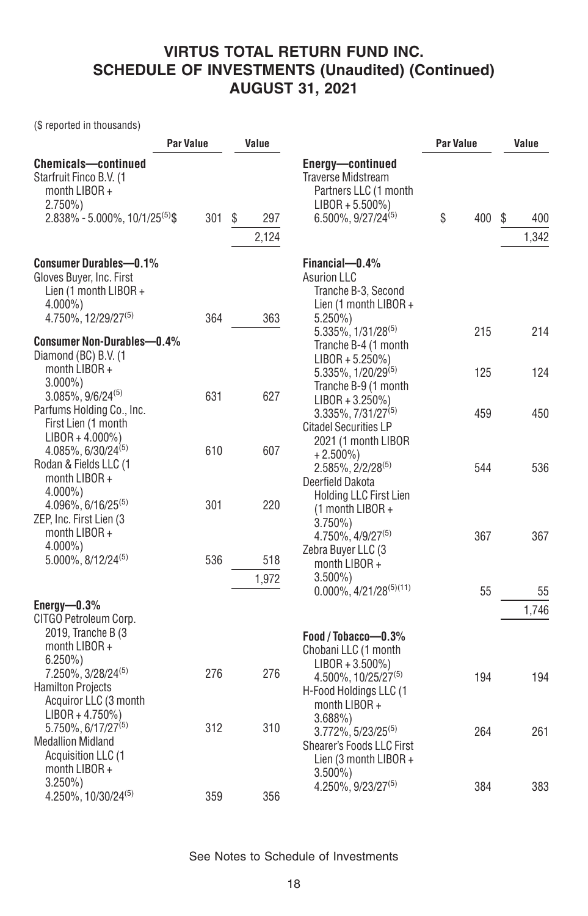(\$ reported in thousands)

| <b>Par Value</b>                                                                                                                        | Value      |                   | <b>Par Value</b>                                                                                                                   | Value      |                   |
|-----------------------------------------------------------------------------------------------------------------------------------------|------------|-------------------|------------------------------------------------------------------------------------------------------------------------------------|------------|-------------------|
| <b>Chemicals-continued</b><br>Starfruit Finco B.V. (1<br>month LIBOR +<br>$2.750\%)$<br>$2.838\% - 5.000\%$ , 10/1/25 <sup>(5)</sup> \$ | 301        | S<br>297<br>2,124 | Energy-continued<br><b>Traverse Midstream</b><br>Partners LLC (1 month<br>$LIBOR + 5.500\%)$<br>$6.500\%$ , 9/27/24 <sup>(5)</sup> | \$<br>400  | S<br>400<br>1,342 |
| <b>Consumer Durables-0.1%</b><br>Gloves Buyer, Inc. First<br>Lien (1 month LIBOR +<br>$4.000\%$ )<br>4.750%, 12/29/27(5)                | 364        | 363               | Financial-0.4%<br><b>Asurion LLC</b><br>Tranche B-3, Second<br>Lien (1 month $LIBOR +$<br>$5.250\%$                                |            |                   |
| <b>Consumer Non-Durables-0.4%</b><br>Diamond (BC) B.V. (1<br>month LIBOR +                                                              |            |                   | 5.335%, 1/31/28(5)<br>Tranche B-4 (1 month<br>$LIBOR + 5.250\%)$<br>5.335%, 1/20/29 <sup>(5)</sup>                                 | 215<br>125 | 214<br>124        |
| $3.000\%$ )<br>$3.085\%$ , $9/6/24^{(5)}$<br>Parfums Holding Co., Inc.<br>First Lien (1 month                                           | 631        | 627               | Tranche B-9 (1 month<br>$LIBOR + 3.250\%)$<br>$3.335\%, 7/31/27^{(5)}$<br><b>Citadel Securities LP</b>                             | 459        | 450               |
| $LIBOR + 4.000\%)$<br>$4.085\%$ , 6/30/24 <sup>(5)</sup><br>Rodan & Fields LLC (1<br>month LIBOR +<br>$4.000\%$                         | 610        | 607               | 2021 (1 month LIBOR<br>$+2.500\%$<br>$2.585\%$ , $2/2/28^{(5)}$<br>Deerfield Dakota<br><b>Holding LLC First Lien</b>               | 544        | 536               |
| $4.096\%$ , 6/16/25 <sup>(5)</sup><br>ZEP, Inc. First Lien (3<br>month LIBOR +<br>$4.000\%$ )<br>$5.000\%$ , $8/12/24^{(5)}$            | 301<br>536 | 220<br>518        | $(1$ month LIBOR +<br>$3.750\%$<br>$4.750\%$ , $4/9/27^{(5)}$<br>Zebra Buyer LLC (3                                                | 367        | 367               |
|                                                                                                                                         |            | 1,972             | month LIBOR +<br>$3.500\%$<br>$0.000\%$ , 4/21/28 <sup>(5)(11)</sup>                                                               | 55         | 55                |
| Energy- $0.3\%$<br>CITGO Petroleum Corp.<br>2019, Tranche B (3<br>month LIBOR +                                                         |            |                   | Food / Tobacco-0.3%<br>Chobani LLC (1 month                                                                                        |            | 1,746             |
| $6.250\%$<br>7.250%, 3/28/24(5)<br><b>Hamilton Projects</b><br>Acquiror LLC (3 month<br>$LIBOR + 4.750\%)$                              | 276        | 276               | $LIBOR + 3.500\%)$<br>4.500%, 10/25/27 <sup>(5)</sup><br>H-Food Holdings LLC (1<br>month LIBOR +<br>3.688%                         | 194        | 194               |
| 5.750%, 6/17/27 <sup>(5)</sup><br><b>Medallion Midland</b><br>Acquisition LLC (1<br>month LIBOR +                                       | 312        | 310               | 3.772%, 5/23/25 <sup>(5)</sup><br>Shearer's Foods LLC First<br>Lien (3 month LIBOR +<br>$3.500\%$                                  | 264        | 261               |
| $3.250\%$<br>4.250%, 10/30/24(5)                                                                                                        | 359        | 356               | $4.250\%$ , $9/23/27^{(5)}$                                                                                                        | 384        | 383               |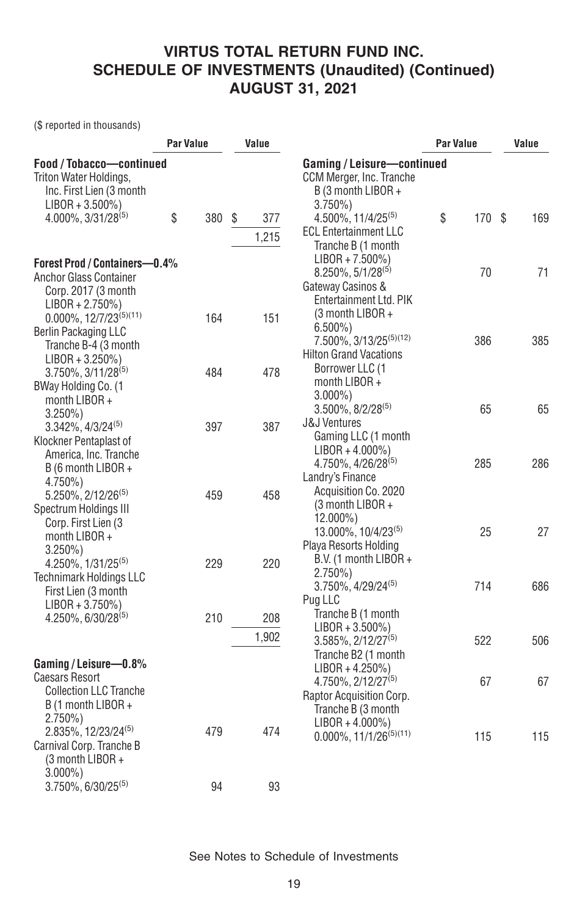(\$ reported in thousands)

|                                                                                                                            | Par Value |     | Value |              |                                                                                                                                 | <b>Par Value</b> | Value |  |
|----------------------------------------------------------------------------------------------------------------------------|-----------|-----|-------|--------------|---------------------------------------------------------------------------------------------------------------------------------|------------------|-------|--|
| Food / Tobacco-continued<br>Triton Water Holdings,<br>Inc. First Lien (3 month<br>$LIBOR + 3.500\%)$<br>4.000%, 3/31/28(5) | \$        | 380 | \$    | 377          | Gaming / Leisure-continued<br>CCM Merger, Inc. Tranche<br>B (3 month LIBOR +<br>$3.750\%$<br>$4.500\%$ , 11/4/25 <sup>(5)</sup> | \$<br>170 \$     | 169   |  |
|                                                                                                                            |           |     |       | 1,215        | <b>ECL Entertainment LLC</b><br>Tranche B (1 month                                                                              |                  |       |  |
| Forest Prod / Containers-0.4%<br>Anchor Glass Container<br>Corp. 2017 (3 month<br>$LIBOR + 2.750\%)$                       |           |     |       |              | $LIBOR + 7.500\%)$<br>8.250%, 5/1/28 <sup>(5)</sup><br>Gateway Casinos &<br>Entertainment Ltd. PIK                              | 70               | 71    |  |
| $0.000\%, 12/7/23^{(5)(11)}$<br>Berlin Packaging LLC<br>Tranche B-4 (3 month<br>$LIBOR + 3.250\%)$                         |           | 164 |       | 151          | (3 month LIBOR +<br>$6.500\%$<br>7.500%, 3/13/25 <sup>(5)(12)</sup><br><b>Hilton Grand Vacations</b><br>Borrower LLC (1         | 386              | 385   |  |
| $3.750\%$ , $3/11/28^{(5)}$<br>BWay Holding Co. (1<br>month LIBOR +<br>$3.250\%$                                           |           | 484 |       | 478          | month LIBOR +<br>$3.000\%$ )<br>$3.500\%$ , $8/2/28^{(5)}$<br><b>J&amp;J Ventures</b>                                           | 65               | 65    |  |
| $3.342\%$ , $4/3/24^{(5)}$<br>Klockner Pentaplast of<br>America, Inc. Tranche<br>B (6 month LIBOR +<br>$4.750\%$           |           | 397 |       | 387          | Gaming LLC (1 month<br>$LIBOR + 4.000\%)$<br>4.750%, 4/26/28 <sup>(5)</sup><br>Landry's Finance                                 | 285              | 286   |  |
| 5.250%, 2/12/26 <sup>(5)</sup><br>Spectrum Holdings III<br>Corp. First Lien (3)<br>month LIBOR +<br>$3.250\%$              |           | 459 |       | 458          | Acquisition Co. 2020<br>(3 month LIBOR +<br>12.000%)<br>13.000%, 10/4/23(5)<br>Playa Resorts Holding                            | 25               | 27    |  |
| 4.250%, 1/31/25 <sup>(5)</sup><br><b>Technimark Holdings LLC</b><br>First Lien (3 month<br>$LIBOR + 3.750\%)$              |           | 229 |       | 220          | B.V. (1 month LIBOR +<br>$2.750\%)$<br>$3.750\%$ , $4/29/24^{(5)}$<br>Pug LLC                                                   | 714              | 686   |  |
| $4.250\%$ , 6/30/28 <sup>(5)</sup>                                                                                         |           | 210 |       | 208<br>1,902 | Tranche B (1 month<br>$LIBOR + 3.500\%)$<br>3.585%, 2/12/27 <sup>(5)</sup><br>Tranche B2 (1 month                               | 522              | 506   |  |
| Gaming / Leisure-0.8%<br><b>Caesars Resort</b><br><b>Collection LLC Tranche</b><br>B (1 month LIBOR +<br>$2.750\%)$        |           |     |       |              | $LIBOR + 4.250\%)$<br>4.750%, 2/12/27 <sup>(5)</sup><br>Raptor Acquisition Corp.<br>Tranche B (3 month                          | 67               | 67    |  |
| 2.835%, 12/23/24 <sup>(5)</sup><br>Carnival Corp. Tranche B<br>(3 month LIBOR +<br>$3.000\%$ )                             |           | 479 |       | 474          | $LIBOR + 4.000\%)$<br>$0.000\%, 11/1/26^{(5)(11)}$                                                                              | 115              | 115   |  |
| 3.750%, 6/30/25(5)                                                                                                         |           | 94  |       | 93           |                                                                                                                                 |                  |       |  |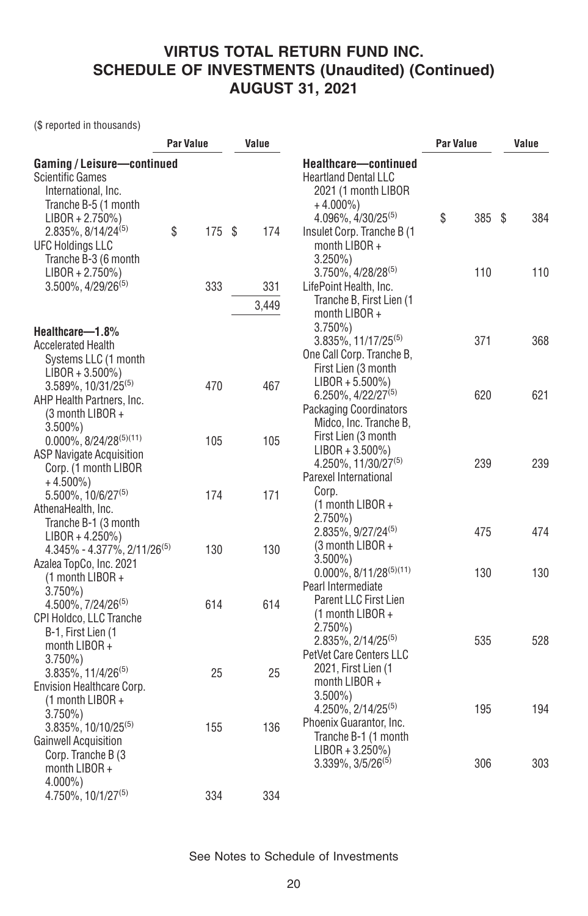(\$ reported in thousands)

| Par Value |                                                                       | Value                   |     |                                                                                               | Par Value                                                                                                                                                                                                                                                                                                                   | Value                          |        |
|-----------|-----------------------------------------------------------------------|-------------------------|-----|-----------------------------------------------------------------------------------------------|-----------------------------------------------------------------------------------------------------------------------------------------------------------------------------------------------------------------------------------------------------------------------------------------------------------------------------|--------------------------------|--------|
|           |                                                                       |                         |     | Healthcare-continued<br><b>Heartland Dental LLC</b><br>2021 (1 month LIBOR<br>$+4.000\%$      |                                                                                                                                                                                                                                                                                                                             |                                |        |
| \$        | 175                                                                   | - \$                    | 174 | Insulet Corp. Tranche B (1)<br>month LIBOR +<br>$3.250\%$                                     |                                                                                                                                                                                                                                                                                                                             |                                | 384    |
|           | 333                                                                   |                         | 331 | 3.750%, 4/28/28(5)<br>LifePoint Health, Inc.                                                  | 110                                                                                                                                                                                                                                                                                                                         |                                | 110    |
|           |                                                                       |                         |     | month LIBOR +<br>$3.750\%$                                                                    |                                                                                                                                                                                                                                                                                                                             |                                |        |
|           |                                                                       |                         |     | One Call Corp. Tranche B,<br>First Lien (3 month                                              |                                                                                                                                                                                                                                                                                                                             |                                | 368    |
|           |                                                                       |                         |     | $6.250\%$ , 4/22/27 <sup>(5)</sup><br><b>Packaging Coordinators</b><br>Midco, Inc. Tranche B, | 620                                                                                                                                                                                                                                                                                                                         |                                | 621    |
|           |                                                                       |                         |     | $LIBOR + 3.500\%)$<br>4.250%, 11/30/27(5)<br>Parexel International                            | 239                                                                                                                                                                                                                                                                                                                         |                                | 239    |
|           | 174                                                                   |                         | 171 | (1 month LIBOR +<br>$2.750\%)$                                                                |                                                                                                                                                                                                                                                                                                                             |                                | 474    |
|           | 130                                                                   |                         | 130 | (3 month LIBOR +<br>$3.500\%$                                                                 |                                                                                                                                                                                                                                                                                                                             |                                | 130    |
|           | 614                                                                   |                         | 614 | Pearl Intermediate<br><b>Parent LLC First Lien</b><br>(1 month LIBOR +                        |                                                                                                                                                                                                                                                                                                                             |                                |        |
|           |                                                                       |                         |     | 2.835%, 2/14/25 <sup>(5)</sup><br>PetVet Care Centers LLC                                     | 535                                                                                                                                                                                                                                                                                                                         |                                | 528    |
|           |                                                                       |                         |     | month $LIBOR +$<br>$3.500\%$ )                                                                | 195                                                                                                                                                                                                                                                                                                                         |                                | 194    |
|           | 155                                                                   |                         | 136 | Phoenix Guarantor, Inc.<br>Tranche B-1 (1 month<br>$LIBOR + 3.250\%)$                         |                                                                                                                                                                                                                                                                                                                             |                                |        |
|           |                                                                       |                         |     |                                                                                               |                                                                                                                                                                                                                                                                                                                             |                                | 303    |
|           | Gaming / Leisure-continued<br>4.345% - 4.377%, 2/11/26 <sup>(5)</sup> | 470<br>105<br>25<br>334 |     | 3,449<br>467<br>105<br>25<br>334                                                              | $4.096\%$ , $4/30/25^{(5)}$<br>Tranche B, First Lien (1<br>3.835%, 11/17/25 <sup>(5)</sup><br>$LIBOR + 5.500\%)$<br>First Lien (3 month<br>Corp.<br>$2.835\%, 9/27/24^{(5)}$<br>$0.000\%$ , 8/11/28 <sup>(5)(11)</sup><br>$2.750\%)$<br>2021, First Lien (1<br>4.250%, 2/14/25 <sup>(5)</sup><br>$3.339\%$ , $3/5/26^{(5)}$ | \$<br>371<br>475<br>130<br>306 | 385 \$ |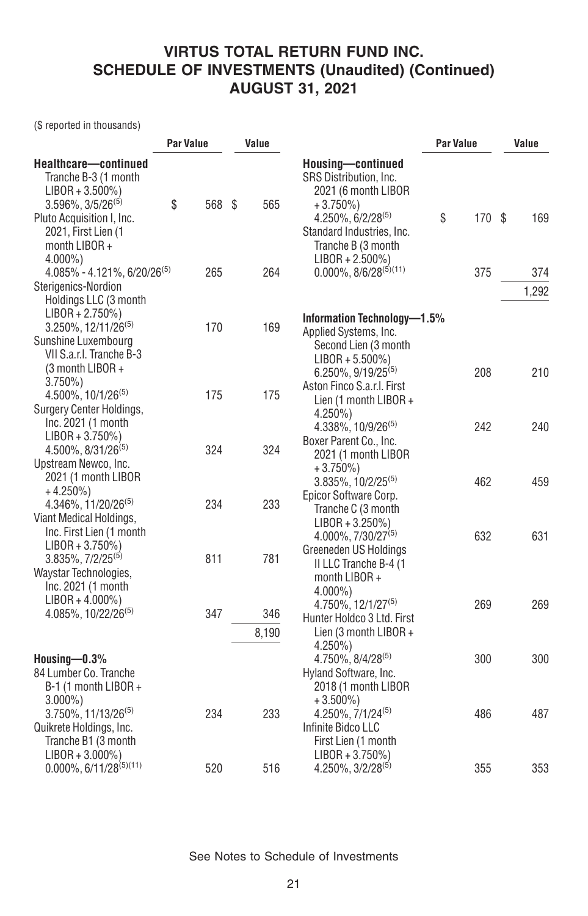(\$ reported in thousands)

|                                                                                                                                                                       | <b>Par Value</b> |        | Value |              |                                                                                                                                                                | <b>Par Value</b> | Value  |  |       |
|-----------------------------------------------------------------------------------------------------------------------------------------------------------------------|------------------|--------|-------|--------------|----------------------------------------------------------------------------------------------------------------------------------------------------------------|------------------|--------|--|-------|
| Healthcare-continued<br>Tranche B-3 (1 month<br>$LIBOR + 3.500\%)$<br>$3.596\%$ , $3/5/26^{(5)}$<br>Pluto Acquisition I, Inc.<br>2021, First Lien (1<br>month LIBOR + | \$               | 568 \$ |       | 565          | Housing-continued<br>SRS Distribution, Inc.<br>2021 (6 month LIBOR<br>$+3.750\%$<br>$4.250\%, 6/2/28^{(5)}$<br>Standard Industries, Inc.<br>Tranche B (3 month | \$               | 170 \$ |  | 169   |
| $4.000\%$ )<br>$4.085\% - 4.121\%, 6/20/26^{(5)}$                                                                                                                     |                  | 265    |       | 264          | $LIBOR + 2.500\%)$<br>$0.000\%$ , $8/6/28^{(5)(11)}$                                                                                                           |                  | 375    |  | 374   |
| Sterigenics-Nordion<br>Holdings LLC (3 month                                                                                                                          |                  |        |       |              |                                                                                                                                                                |                  |        |  | 1,292 |
| $LIBOR + 2.750\%)$<br>$3.250\%$ , 12/11/26 <sup>(5)</sup><br>Sunshine Luxembourg<br>VII S.a.r.I. Tranche B-3<br>(3 month LIBOR +                                      |                  | 170    |       | 169          | Information Technology-1.5%<br>Applied Systems, Inc.<br>Second Lien (3 month<br>$LIBOR + 5.500\%)$<br>$6.250\%, 9/19/25^{(5)}$                                 |                  | 208    |  | 210   |
| $3.750\%$<br>4.500%, 10/1/26 <sup>(5)</sup><br>Surgery Center Holdings,<br>Inc. 2021 (1 month                                                                         |                  | 175    |       | 175          | Aston Finco S.a.r.l. First<br>Lien (1 month LIBOR +<br>$4.250\%$<br>4.338%, 10/9/26 <sup>(5)</sup>                                                             |                  | 242    |  | 240   |
| $LIBOR + 3.750\%)$<br>$4.500\%$ , $8/31/26^{(5)}$<br>Upstream Newco, Inc.<br>2021 (1 month LIBOR                                                                      |                  | 324    |       | 324          | Boxer Parent Co., Inc.<br>2021 (1 month LIBOR<br>$+3.750\%)$<br>$3.835\%$ , 10/2/25 <sup>(5)</sup>                                                             |                  | 462    |  | 459   |
| $+4.250\%$<br>4.346%, 11/20/26 <sup>(5)</sup><br>Viant Medical Holdings,<br>Inc. First Lien (1 month                                                                  |                  | 234    |       | 233          | Epicor Software Corp.<br>Tranche C (3 month<br>$LIBOR + 3.250\%)$<br>$4.000\%$ , $7/30/27^{(5)}$                                                               |                  | 632    |  | 631   |
| $LIBOR + 3.750\%)$<br>$3.835\%$ , $7/2/25^{(5)}$<br>Waystar Technologies,<br>Inc. 2021 (1 month                                                                       |                  | 811    |       | 781          | Greeneden US Holdings<br>II LLC Tranche B-4 (1<br>month $LIBOR +$<br>$4.000\%$ )                                                                               |                  |        |  |       |
| $LIBOR + 4.000\%)$<br>4.085%, 10/22/26 <sup>(5)</sup>                                                                                                                 |                  | 347    |       | 346<br>8,190 | 4.750%, 12/1/27 <sup>(5)</sup><br>Hunter Holdco 3 Ltd. First<br>Lien (3 month LIBOR +<br>4.250%)                                                               |                  | 269    |  | 269   |
| Housing $-0.3\%$<br>84 Lumber Co. Tranche<br>B-1 (1 month LIBOR +<br>$3.000\%$ )                                                                                      |                  |        |       |              | $4.750\%$ , $8/4/28^{(5)}$<br>Hyland Software, Inc.<br>2018 (1 month LIBOR<br>$+3.500\%$ )                                                                     |                  | 300    |  | 300   |
| $3.750\%$ , 11/13/26 <sup>(5)</sup><br>Quikrete Holdings, Inc.<br>Tranche B1 (3 month<br>$LIBOR + 3.000\%)$                                                           |                  | 234    |       | 233          | 4.250%, 7/1/24 <sup>(5)</sup><br>Infinite Bidco LLC<br>First Lien (1 month<br>$LIBOR + 3.750\%)$                                                               |                  | 486    |  | 487   |
| $0.000\%$ , 6/11/28 <sup>(5)(11)</sup>                                                                                                                                |                  | 520    |       | 516          | 4.250%, 3/2/28 <sup>(5)</sup>                                                                                                                                  |                  | 355    |  | 353   |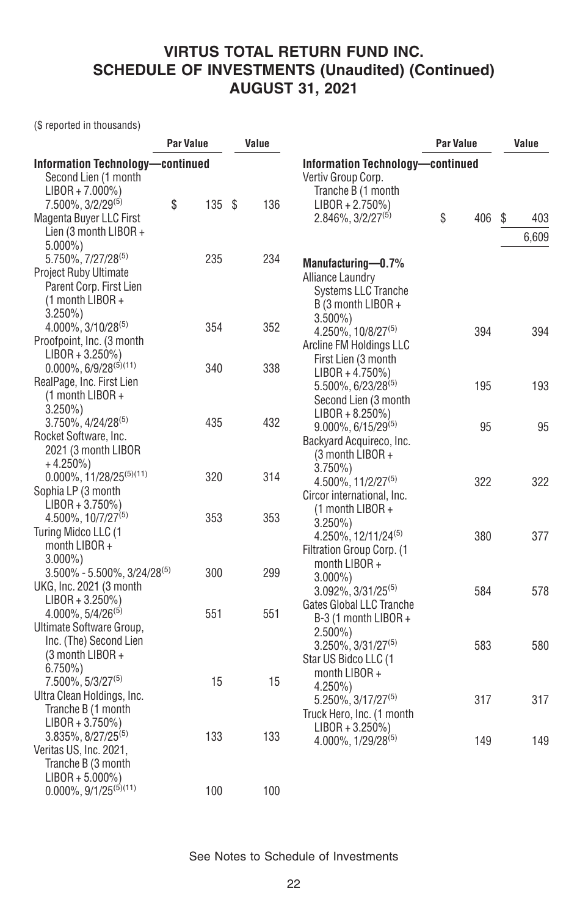(\$ reported in thousands)

|                                         | Par Value |      | Value |     |                                     | Par Value |     | Value     |
|-----------------------------------------|-----------|------|-------|-----|-------------------------------------|-----------|-----|-----------|
| <b>Information Technology-continued</b> |           |      |       |     | Information Technology-continued    |           |     |           |
| Second Lien (1 month                    |           |      |       |     | Vertiv Group Corp.                  |           |     |           |
| $LIBOR + 7.000\%)$                      |           |      |       |     | Tranche B (1 month                  |           |     |           |
| $7.500\%$ , $3/2/29^{(5)}$              | \$        | 135S |       | 136 | $LIBOR + 2.750\%)$                  |           |     |           |
| Magenta Buyer LLC First                 |           |      |       |     | 2.846%, 3/2/27 <sup>(5)</sup>       | \$        | 406 | \$<br>403 |
| Lien (3 month LIBOR +                   |           |      |       |     |                                     |           |     | 6,609     |
| $5.000\%$ )                             |           |      |       |     |                                     |           |     |           |
| 5.750%, 7/27/28 <sup>(5)</sup>          |           | 235  |       | 234 | Manufacturing-0.7%                  |           |     |           |
| Project Ruby Ultimate                   |           |      |       |     | <b>Alliance Laundry</b>             |           |     |           |
| Parent Corp. First Lien                 |           |      |       |     | <b>Systems LLC Tranche</b>          |           |     |           |
| (1 month LIBOR +                        |           |      |       |     | B (3 month LIBOR +                  |           |     |           |
| $3.250\%$                               |           |      |       |     | $3.500\%$ )                         |           |     |           |
| 4.000%, 3/10/28(5)                      |           | 354  |       | 352 | $4.250\%$ , 10/8/27 <sup>(5)</sup>  |           | 394 | 394       |
| Proofpoint, Inc. (3 month               |           |      |       |     | Arcline FM Holdings LLC             |           |     |           |
| $LIBOR + 3.250\%)$                      |           |      |       |     | First Lien (3 month                 |           |     |           |
| $0.000\%$ , 6/9/28 <sup>(5)(11)</sup>   |           | 340  |       | 338 | $LIBOR + 4.750\%)$                  |           |     |           |
| RealPage, Inc. First Lien               |           |      |       |     | 5.500%, 6/23/28 <sup>(5)</sup>      |           | 195 | 193       |
| $(1$ month LIBOR +                      |           |      |       |     | Second Lien (3 month                |           |     |           |
| $3.250\%$ )                             |           |      |       |     | $LIBOR + 8.250\%)$                  |           |     |           |
| $3.750\%$ , $4/24/28^{(5)}$             |           | 435  |       | 432 | 9.000%, 6/15/29(5)                  |           | 95  | 95        |
| Rocket Software, Inc.                   |           |      |       |     | Backyard Acquireco, Inc.            |           |     |           |
| 2021 (3 month LIBOR                     |           |      |       |     | (3 month LIBOR +                    |           |     |           |
| $+4.250\%)$                             |           |      |       |     | $3.750\%$                           |           |     |           |
| $0.000\%$ , 11/28/25 <sup>(5)(11)</sup> |           | 320  |       | 314 | $4.500\%$ , 11/2/27 <sup>(5)</sup>  |           | 322 | 322       |
| Sophia LP (3 month                      |           |      |       |     | Circor international, Inc.          |           |     |           |
| $LIBOR + 3.750\%)$                      |           |      |       |     | (1 month LIBOR +                    |           |     |           |
| 4.500%, 10/7/27 <sup>(5)</sup>          |           | 353  |       | 353 | $3.250\%)$                          |           |     |           |
| Turing Midco LLC (1                     |           |      |       |     | $4.250\%$ , 12/11/24 <sup>(5)</sup> |           | 380 | 377       |
| month LIBOR +                           |           |      |       |     | Filtration Group Corp. (1           |           |     |           |
| $3.000\%$                               |           |      |       |     | month LIBOR +                       |           |     |           |
| $3.500\% - 5.500\%$ , $3/24/28^{(5)}$   |           | 300  |       | 299 | $3.000\%$ )                         |           |     |           |
| UKG, Inc. 2021 (3 month                 |           |      |       |     | $3.092\%$ , $3/31/25^{(5)}$         |           | 584 | 578       |
| $LIBOR + 3.250\%)$                      |           |      |       |     | Gates Global LLC Tranche            |           |     |           |
| $4.000\%$ , 5/4/26 <sup>(5)</sup>       |           | 551  |       | 551 | $B-3$ (1 month LIBOR +              |           |     |           |
| Ultimate Software Group,                |           |      |       |     | $2.500\%$ )                         |           |     |           |
| Inc. (The) Second Lien                  |           |      |       |     | 3.250%, 3/31/27(5)                  |           | 583 | 580       |
| (3 month LIBOR +                        |           |      |       |     | Star US Bidco LLC (1                |           |     |           |
| $6.750\%$                               |           |      |       |     | month LIBOR +                       |           |     |           |
| 7.500%, 5/3/27 <sup>(5)</sup>           |           | 15   |       | 15  | 4.250%)                             |           |     |           |
| Ultra Clean Holdings, Inc.              |           |      |       |     | 5.250%, 3/17/27 <sup>(5)</sup>      |           | 317 | 317       |
| Tranche B (1 month                      |           |      |       |     | Truck Hero, Inc. (1 month           |           |     |           |
| $LIBOR + 3.750\%)$                      |           |      |       |     | $LIBOR + 3.250\%)$                  |           |     |           |
| $3.835\%$ , $8/27/25^{(5)}$             |           | 133  |       | 133 | 4.000%, 1/29/28 <sup>(5)</sup>      |           | 149 | 149       |
| Veritas US, Inc. 2021,                  |           |      |       |     |                                     |           |     |           |
| Tranche B (3 month                      |           |      |       |     |                                     |           |     |           |
| $LIBOR + 5.000\%)$                      |           | 100  |       | 100 |                                     |           |     |           |
| $0.000\%, 9/1/25^{(5)(11)}$             |           |      |       |     |                                     |           |     |           |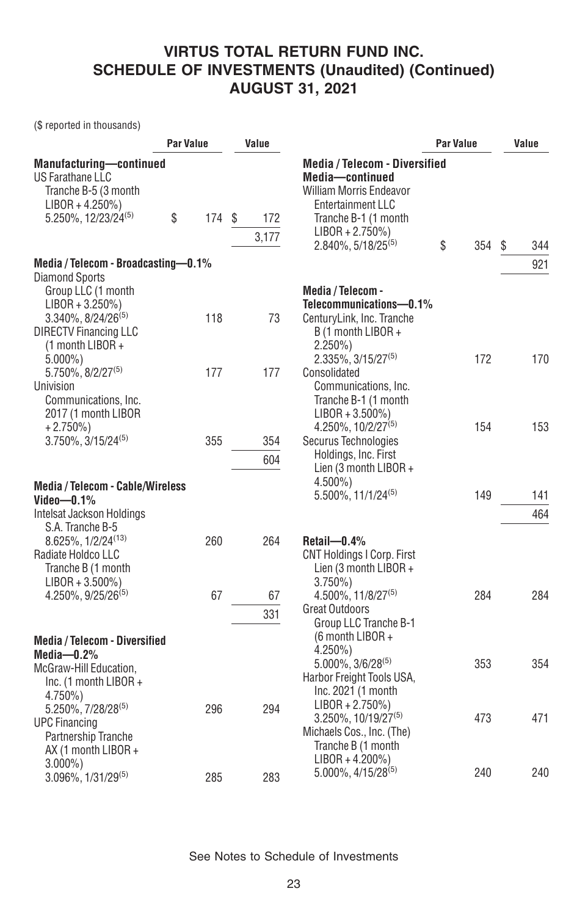(\$ reported in thousands)

|                                                                                                                                                 | <b>Par Value</b> |     |   | Value        |                                                                                                                                                                                                       | <b>Par Value</b> | Value |    |            |
|-------------------------------------------------------------------------------------------------------------------------------------------------|------------------|-----|---|--------------|-------------------------------------------------------------------------------------------------------------------------------------------------------------------------------------------------------|------------------|-------|----|------------|
| <b>Manufacturing-continued</b><br>US Farathane LLC<br>Tranche B-5 (3 month<br>$LIBOR + 4.250\%)$<br>5.250%, 12/23/24(5)                         | \$               | 174 | S | 172<br>3,177 | <b>Media / Telecom - Diversified</b><br>Media-continued<br><b>William Morris Endeavor</b><br><b>Entertainment LLC</b><br>Tranche B-1 (1 month<br>$LIBOR + 2.750\%)$<br>2.840%, 5/18/25 <sup>(5)</sup> | \$               | 354   | \$ | 344        |
| Media / Telecom - Broadcasting-0.1%                                                                                                             |                  |     |   |              |                                                                                                                                                                                                       |                  |       |    | 921        |
| Diamond Sports<br>Group LLC (1 month<br>$LIBOR + 3.250\%)$<br>$3.340\%$ , $8/24/26^{(5)}$<br><b>DIRECTV Financing LLC</b><br>$(1$ month LIBOR + |                  | 118 |   | 73           | Media / Telecom -<br>Telecommunications-0.1%<br>CenturyLink, Inc. Tranche<br>B (1 month LIBOR +<br>$2.250\%)$                                                                                         |                  |       |    |            |
| $5.000\%$ )<br>5.750%, 8/2/27 <sup>(5)</sup><br>Univision<br>Communications, Inc.                                                               |                  | 177 |   | 177          | 2.335%, 3/15/27 <sup>(5)</sup><br>Consolidated<br>Communications, Inc.<br>Tranche B-1 (1 month                                                                                                        |                  | 172   |    | 170        |
| 2017 (1 month LIBOR<br>$+2.750\%)$<br>$3.750\%$ , $3/15/24^{(5)}$                                                                               |                  | 355 |   | 354<br>604   | $LIBOR + 3.500\%)$<br>4.250%, 10/2/27 <sup>(5)</sup><br>Securus Technologies<br>Holdings, Inc. First<br>Lien (3 month LIBOR +                                                                         |                  | 154   |    | 153        |
| <b>Media / Telecom - Cable/Wireless</b><br>Video—0.1%<br>Intelsat Jackson Holdings                                                              |                  |     |   |              | 4.500%)<br>$5.500\%$ , 11/1/24 <sup>(5)</sup>                                                                                                                                                         |                  | 149   |    | 141<br>464 |
| S.A. Tranche B-5<br>8.625%, 1/2/24 <sup>(13)</sup><br>Radiate Holdco LLC<br>Tranche B (1 month<br>$LIBOR + 3.500\%)$                            |                  | 260 |   | 264          | Retail-0.4%<br><b>CNT Holdings I Corp. First</b><br>Lien (3 month LIBOR +<br>$3.750\%$                                                                                                                |                  |       |    |            |
| 4.250%, 9/25/26 <sup>(5)</sup>                                                                                                                  |                  | 67  |   | 67<br>331    | 4.500%, 11/8/27 <sup>(5)</sup><br><b>Great Outdoors</b><br>Group LLC Tranche B-1                                                                                                                      |                  | 284   |    | 284        |
| <b>Media / Telecom - Diversified</b><br>Media $-0.2\%$<br>McGraw-Hill Education,<br>Inc. (1 month LIBOR +<br>4.750%)                            |                  |     |   |              | $(6$ month LIBOR +<br>4.250%)<br>5.000%, 3/6/28(5)<br>Harbor Freight Tools USA,<br>Inc. 2021 (1 month                                                                                                 |                  | 353   |    | 354        |
| 5.250%, 7/28/28 <sup>(5)</sup><br><b>UPC Financing</b><br>Partnership Tranche<br>AX (1 month LIBOR +                                            |                  | 296 |   | 294          | $LIBOR + 2.750\%)$<br>$3.250\%$ , 10/19/27 <sup>(5)</sup><br>Michaels Cos., Inc. (The)<br>Tranche B (1 month<br>$LIBOR + 4.200\%)$                                                                    |                  | 473   |    | 471        |
| $3.000\%$ )<br>3.096%, 1/31/29(5)                                                                                                               |                  | 285 |   | 283          | 5.000%, 4/15/28 <sup>(5)</sup>                                                                                                                                                                        |                  | 240   |    | 240        |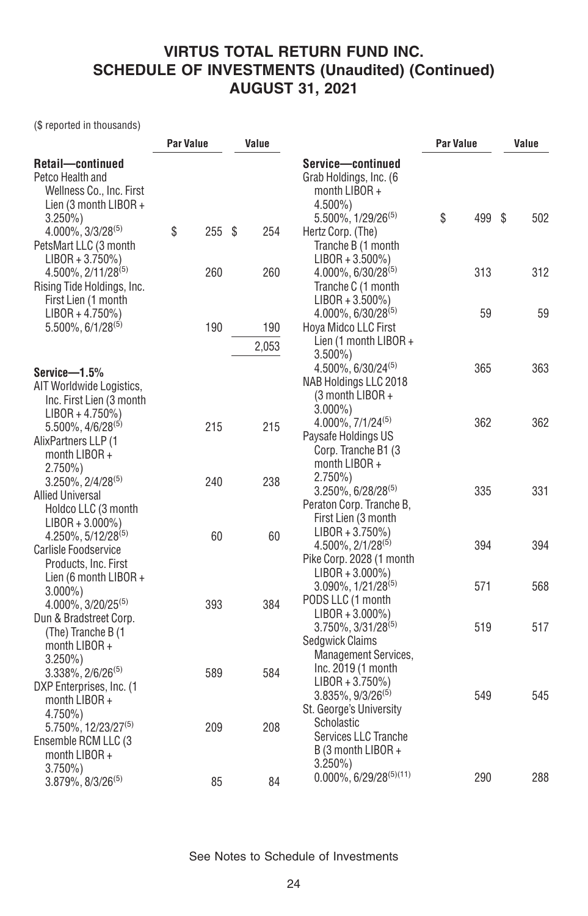(\$ reported in thousands)

|                                                                                                        | <b>Par Value</b> |     | Value |       |                                                                                                           | Par Value |     | Value |     |
|--------------------------------------------------------------------------------------------------------|------------------|-----|-------|-------|-----------------------------------------------------------------------------------------------------------|-----------|-----|-------|-----|
| Retail-continued<br>Petco Health and<br>Wellness Co., Inc. First<br>Lien (3 month LIBOR +<br>$3.250\%$ |                  |     |       |       | Service-continued<br>Grab Holdings, Inc. (6)<br>month LIBOR +<br>$4.500\%$<br>$5.500\%$ , $1/29/26^{(5)}$ | \$        | 499 | S     | 502 |
| $4.000\%$ , $3/3/28^{(5)}$<br>PetsMart LLC (3 month<br>$LIBOR + 3.750\%)$                              | \$               | 255 | S     | 254   | Hertz Corp. (The)<br>Tranche B (1 month<br>$LIBOR + 3.500\%)$                                             |           |     |       |     |
| $4.500\%$ , $2/11/28^{(5)}$<br>Rising Tide Holdings, Inc.<br>First Lien (1 month                       |                  | 260 |       | 260   | $4.000\%$ , 6/30/28 <sup>(5)</sup><br>Tranche C (1 month<br>$LIBOR + 3.500\%)$                            |           | 313 |       | 312 |
| $LIBOR + 4.750\%)$<br>$5.500\%$ , 6/1/28 <sup>(5)</sup>                                                |                  | 190 |       | 190   | $4.000\%$ , 6/30/28 <sup>(5)</sup><br>Hoya Midco LLC First<br>Lien (1 month LIBOR +                       |           | 59  |       | 59  |
| Service-1.5%                                                                                           |                  |     |       | 2,053 | $3.500\%$<br>$4.500\%$ , 6/30/24 <sup>(5)</sup>                                                           |           | 365 |       | 363 |
| AIT Worldwide Logistics,<br>Inc. First Lien (3 month<br>$LIBOR + 4.750\%)$                             |                  |     |       |       | NAB Holdings LLC 2018<br>(3 month LIBOR +<br>$3.000\%$ )                                                  |           |     |       |     |
| $5.500\%$ , $4/6/28^{(5)}$<br>AlixPartners LLP (1<br>month LIBOR +<br>$2.750\%)$                       |                  | 215 |       | 215   | $4.000\%$ , $7/1/24^{(5)}$<br>Paysafe Holdings US<br>Corp. Tranche B1 (3)<br>month $LIBOR +$              |           | 362 |       | 362 |
| $3.250\%$ , $2/4/28^{(5)}$<br><b>Allied Universal</b><br>Holdco LLC (3 month<br>$LIBOR + 3.000\%)$     |                  | 240 |       | 238   | $2.750\%)$<br>$3.250\%$ , 6/28/28 <sup>(5)</sup><br>Peraton Corp. Tranche B,<br>First Lien (3 month       |           | 335 |       | 331 |
| $4.250\%$ , $5/12/28^{(5)}$<br>Carlisle Foodservice<br>Products, Inc. First<br>Lien (6 month LIBOR +   |                  | 60  |       | 60    | $LIBOR + 3.750\%)$<br>$4.500\%$ , $2/1/28^{(5)}$<br>Pike Corp. 2028 (1 month<br>$LIBOR + 3.000\%)$        |           | 394 |       | 394 |
| $3.000\%$ )<br>4.000%, 3/20/25 <sup>(5)</sup>                                                          |                  | 393 |       | 384   | $3.090\%$ , $1/21/28^{(5)}$<br>PODS LLC (1 month<br>$LIBOR + 3.000\%)$                                    |           | 571 |       | 568 |
| Dun & Bradstreet Corp.<br>(The) Tranche B (1<br>month LIBOR +<br>$3.250\%$                             |                  |     |       |       | $3.750\%$ , $3/31/28^{(5)}$<br>Sedgwick Claims<br>Management Services,                                    |           | 519 |       | 517 |
| $3.338\%$ , $2/6/26^{(5)}$<br>DXP Enterprises, Inc. (1<br>month LIBOR +<br>4.750%)                     |                  | 589 |       | 584   | Inc. 2019 (1 month<br>$LIBOR + 3.750\%)$<br>$3.835\%$ , $9/3/26^{(5)}$<br>St. George's University         |           | 549 |       | 545 |
| 5.750%, 12/23/27 <sup>(5)</sup><br>Ensemble RCM LLC (3<br>month LIBOR +                                |                  | 209 |       | 208   | Scholastic<br>Services LLC Tranche<br>B (3 month LIBOR +<br>$3.250\%$                                     |           |     |       |     |
| $3.750\%$<br>3.879%, 8/3/26(5)                                                                         |                  | 85  |       | 84    | $0.000\%$ , 6/29/28 <sup>(5)(11)</sup>                                                                    |           | 290 |       | 288 |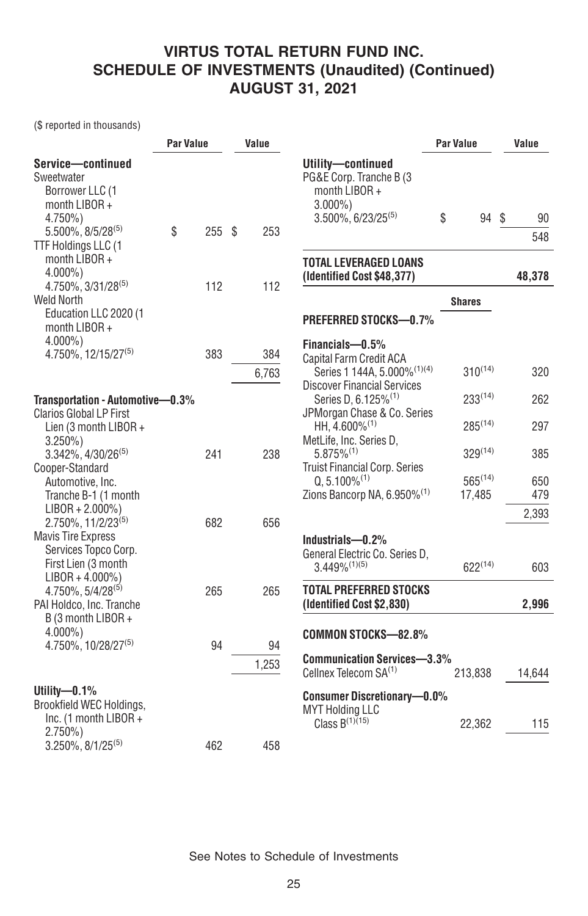(\$ reported in thousands)

|                                                                                                                | Par Value |     | Value |              |                                                                                                                             | Par Value              | Value      |  |
|----------------------------------------------------------------------------------------------------------------|-----------|-----|-------|--------------|-----------------------------------------------------------------------------------------------------------------------------|------------------------|------------|--|
| Service-continued<br>Sweetwater<br>Borrower LLC (1<br>month $LIBOR +$<br>4.750%)<br>$5.500\%$ , $8/5/28^{(5)}$ | \$        | 255 | S.    | 253          | Utility-continued<br>PG&E Corp. Tranche B (3)<br>month LIBOR +<br>$3.000\%$ )<br>$3.500\%$ , 6/23/25 <sup>(5)</sup>         | \$<br>94 \$            | 90<br>548  |  |
| TTF Holdings LLC (1<br>month LIBOR +<br>$4.000\%$ )                                                            |           |     |       |              | TOTAL LEVERAGED LOANS<br>(Identified Cost \$48,377)                                                                         |                        | 48,378     |  |
| 4.750%, 3/31/28 <sup>(5)</sup><br><b>Weld North</b><br>Education LLC 2020 (1<br>month $LIBOR +$                |           | 112 |       | 112          | PREFERRED STOCKS-0.7%                                                                                                       | <b>Shares</b>          |            |  |
| $4.000\%$ )<br>4.750%, 12/15/27 <sup>(5)</sup>                                                                 |           | 383 |       | 384<br>6,763 | Financials-0.5%<br>Capital Farm Credit ACA<br>Series 1 144A, 5.000% <sup>(1)(4)</sup><br><b>Discover Financial Services</b> | $310^{(14)}$           | 320        |  |
| Transportation - Automotive-0.3%<br><b>Clarios Global LP First</b>                                             |           |     |       |              | Series D, 6.125% <sup>(1)</sup><br>JPMorgan Chase & Co. Series                                                              | $233^{(14)}$           | 262        |  |
| Lien (3 month LIBOR +                                                                                          |           |     |       |              | HH, 4.600% <sup>(1)</sup><br>MetLife, Inc. Series D.                                                                        | $285^{(14)}$           | 297        |  |
| $3.250\%$<br>3.342%, 4/30/26 <sup>(5)</sup>                                                                    |           | 241 |       | 238          | $5.875\%^{(1)}$<br>Truist Financial Corp. Series                                                                            | $329^{(14)}$           | 385        |  |
| Cooper-Standard<br>Automotive, Inc.<br>Tranche B-1 (1 month                                                    |           |     |       |              | $Q. 5.100\%^{(1)}$<br>Zions Bancorp NA, 6.950% <sup>(1)</sup>                                                               | $565^{(14)}$<br>17,485 | 650<br>479 |  |
| $LIBOR + 2.000\%)$<br>2.750%, 11/2/23(5)                                                                       |           | 682 |       | 656          |                                                                                                                             |                        | 2,393      |  |
| <b>Mavis Tire Express</b><br>Services Topco Corp.<br>First Lien (3 month<br>$LIBOR + 4.000\%)$                 |           |     |       |              | Industrials-0.2%<br>General Electric Co. Series D,<br>$3.449\%^{(1)(5)}$                                                    | $622^{(14)}$           | 603        |  |
| 4.750%, 5/4/28 <sup>(5)</sup><br>PAI Holdco, Inc. Tranche                                                      |           | 265 |       | 265          | <b>TOTAL PREFERRED STOCKS</b><br>(Identified Cost \$2,830)                                                                  |                        | 2,996      |  |
| B (3 month LIBOR +<br>$4.000\%$ )<br>4.750%, 10/28/27 <sup>(5)</sup>                                           |           | 94  |       | 94           | <b>COMMON STOCKS-82.8%</b>                                                                                                  |                        |            |  |
|                                                                                                                |           |     |       | 1,253        | <b>Communication Services-3.3%</b><br>Cellnex Telecom SA <sup>(1)</sup>                                                     | 213,838                | 14,644     |  |
| Utility- $-0.1\%$<br>Brookfield WEC Holdings,<br>Inc. (1 month LIBOR +<br>$2.750\%)$                           |           |     |       |              | <b>Consumer Discretionary-0.0%</b><br><b>MYT Holding LLC</b><br>Class $B^{(1)(15)}$                                         | 22,362                 | 115        |  |
| $3.250\%$ , $8/1/25^{(5)}$                                                                                     |           | 462 |       | 458          |                                                                                                                             |                        |            |  |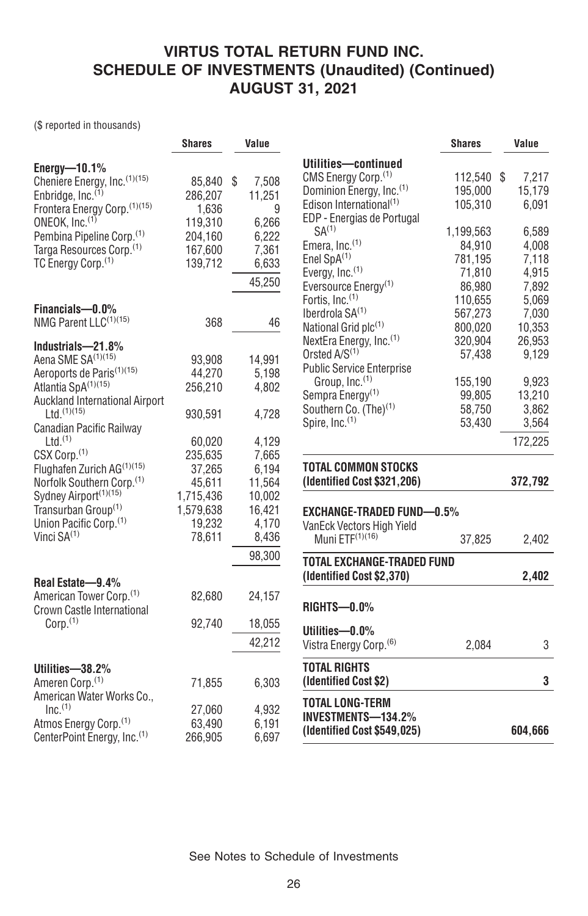(\$ reported in thousands)

|                                                                                                                                                                         | <b>Shares</b>                                        | Value                                        |                                                                                                                                                                     | <b>Shares</b>                                      | Value                                     |
|-------------------------------------------------------------------------------------------------------------------------------------------------------------------------|------------------------------------------------------|----------------------------------------------|---------------------------------------------------------------------------------------------------------------------------------------------------------------------|----------------------------------------------------|-------------------------------------------|
| Energy- $10.1\%$<br>Cheniere Energy, Inc.(1)(15)<br>Enbridge, Inc. <sup>(1)</sup><br>Frontera Energy Corp. (1)(15)<br>ONEOK, Inc. <sup>(1)</sup>                        | 85.840 \$<br>286,207<br>1,636<br>119,310             | 7,508<br>11,251<br>9<br>6,266                | Utilities-continued<br>CMS Energy Corp. <sup>(1)</sup><br>Dominion Energy, Inc. <sup>(1)</sup><br>Edison International <sup>(1)</sup><br>EDP - Energias de Portugal | 112,540 \$<br>195,000<br>105.310                   | 7,217<br>15,179<br>6.091                  |
| Pembina Pipeline Corp. <sup>(1)</sup><br>Targa Resources Corp. <sup>(1)</sup><br>TC Energy Corp. <sup>(1)</sup>                                                         | 204,160<br>167,600<br>139,712                        | 6,222<br>7,361<br>6,633<br>45,250            | SA <sup>(1)</sup><br>Emera, $Inc.$ <sup>(1)</sup><br>Enel $SpA^{(1)}$<br>Evergy, Inc. <sup>(1)</sup><br>Eversource Energy <sup>(1)</sup>                            | 1,199,563<br>84,910<br>781,195<br>71,810<br>86,980 | 6,589<br>4,008<br>7.118<br>4,915<br>7,892 |
| Financials-0.0%<br>NMG Parent LLC <sup>(1)(15)</sup>                                                                                                                    | 368                                                  | 46                                           | Fortis, Inc. <sup>(1)</sup><br>Iberdrola $SA(1)$<br>National Grid plc(1)<br>NextEra Energy, Inc. <sup>(1)</sup>                                                     | 110,655<br>567,273<br>800,020<br>320,904           | 5,069<br>7,030<br>10.353<br>26,953        |
| Industrials-21.8%<br>Aena SME SA <sup>(1)(15)</sup><br>Aeroports de Paris <sup>(1)(15)</sup>                                                                            | 93,908<br>44,270                                     | 14,991<br>5,198                              | Orsted $A/S(1)$<br><b>Public Service Enterprise</b><br>Group, Inc. <sup>(1)</sup>                                                                                   | 57,438<br>155,190                                  | 9,129<br>9,923                            |
| Atlantia SpA(1)(15)<br>Auckland International Airport<br>$Ltd.$ $(1)(15)$<br>Canadian Pacific Railway                                                                   | 256,210<br>930,591                                   | 4,802<br>4,728                               | Sempra Energy <sup>(1)</sup><br>Southern Co. (The) <sup>(1)</sup><br>Spire, Inc. <sup>(1)</sup>                                                                     | 99,805<br>58,750<br>53,430                         | 13,210<br>3,862<br>3,564                  |
| $Ltd.$ <sup>(1)</sup><br>CSX Corp. <sup>(1)</sup><br>Flughafen Zurich AG <sup>(1)(15)</sup>                                                                             | 60,020<br>235,635<br>37,265                          | 4,129<br>7,665<br>6,194                      | <b>TOTAL COMMON STOCKS</b><br>(Identified Cost \$321,206)                                                                                                           |                                                    | 172,225<br>372,792                        |
| Norfolk Southern Corp. <sup>(1)</sup><br>Sydney Airport <sup>(1)(15)</sup><br>Transurban Group <sup>(1)</sup><br>Union Pacific Corp. <sup>(1)</sup><br>Vinci $SA^{(1)}$ | 45,611<br>1,715,436<br>1,579,638<br>19,232<br>78,611 | 11,564<br>10,002<br>16,421<br>4,170<br>8,436 | <b>EXCHANGE-TRADED FUND-0.5%</b><br>VanEck Vectors High Yield<br>Muni ETF <sup>(1)(16)</sup>                                                                        | 37,825                                             | 2,402                                     |
|                                                                                                                                                                         |                                                      | 98,300                                       | TOTAL EXCHANGE-TRADED FUND<br>(Identified Cost \$2,370)                                                                                                             |                                                    | 2,402                                     |
| Real Estate-9.4%<br>American Tower Corp. <sup>(1)</sup><br>Crown Castle International                                                                                   | 82,680                                               | 24,157                                       | <b>RIGHTS-0.0%</b>                                                                                                                                                  |                                                    |                                           |
| Corp. <sup>(1)</sup>                                                                                                                                                    | 92,740                                               | 18,055<br>42,212                             | Utilities-0.0%<br>Vistra Energy Corp. <sup>(6)</sup>                                                                                                                | 2,084                                              | 3                                         |
| Utilities-38.2%<br>Ameren Corp. <sup>(1)</sup>                                                                                                                          | 71,855                                               | 6,303                                        | <b>TOTAL RIGHTS</b><br>(Identified Cost \$2)                                                                                                                        |                                                    | 3                                         |
| American Water Works Co.,<br>Inc <sup>(1)</sup><br>Atmos Energy Corp. <sup>(1)</sup><br>CenterPoint Energy, Inc. <sup>(1)</sup>                                         | 27,060<br>63,490<br>266,905                          | 4,932<br>6,191<br>6,697                      | <b>TOTAL LONG-TERM</b><br><b>INVESTMENTS-134.2%</b><br>(Identified Cost \$549,025)                                                                                  |                                                    | 604,666                                   |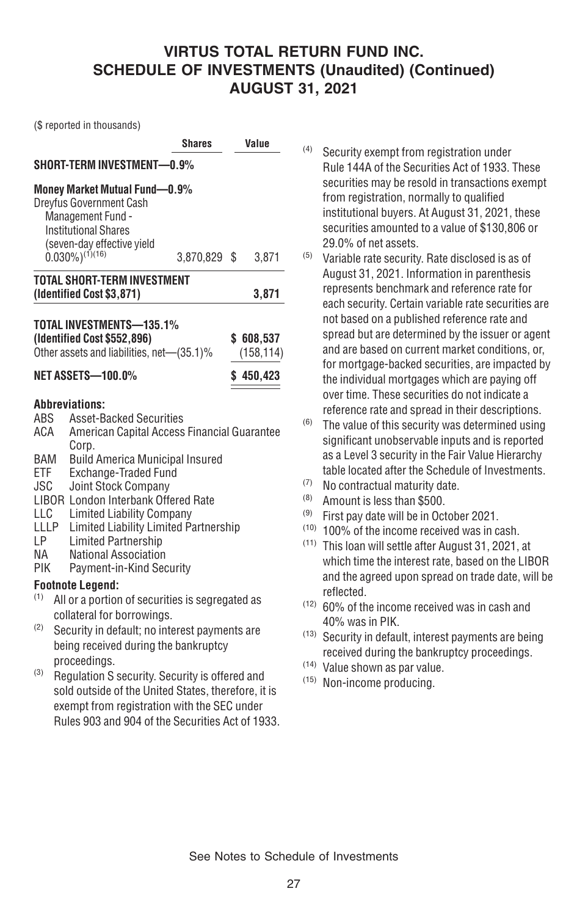(\$ reported in thousands)

|                                                                   |                                                                                                                                                                                                                                                                                                                                                                                                                                     | <b>Shares</b> | Value     |                         |  |
|-------------------------------------------------------------------|-------------------------------------------------------------------------------------------------------------------------------------------------------------------------------------------------------------------------------------------------------------------------------------------------------------------------------------------------------------------------------------------------------------------------------------|---------------|-----------|-------------------------|--|
|                                                                   | SHORT-TERM INVESTMENT-0.9%                                                                                                                                                                                                                                                                                                                                                                                                          |               |           |                         |  |
|                                                                   | Money Market Mutual Fund-0.9%<br>Dreyfus Government Cash<br>Management Fund -<br><b>Institutional Shares</b><br>(seven-day effective yield<br>$0.030\%/^{(1)(16)}$                                                                                                                                                                                                                                                                  |               |           |                         |  |
|                                                                   |                                                                                                                                                                                                                                                                                                                                                                                                                                     | 3,870,829 \$  |           | 3,871                   |  |
|                                                                   | <b>TOTAL SHORT-TERM INVESTMENT</b><br>(Identified Cost \$3,871)                                                                                                                                                                                                                                                                                                                                                                     |               |           | 3,871                   |  |
|                                                                   | TOTAL INVESTMENTS-135.1%<br>(Identified Cost \$552,896)<br>Other assets and liabilities, net-(35.1)%                                                                                                                                                                                                                                                                                                                                |               |           | \$608,537<br>(158, 114) |  |
| <b>NET ASSETS-100.0%</b>                                          |                                                                                                                                                                                                                                                                                                                                                                                                                                     |               | \$450,423 |                         |  |
| ABS<br>ACA<br>BAM<br>ETF<br>JSC<br>LLC<br>LLLP<br>LP<br>NА<br>PIK | <b>Abbreviations:</b><br><b>Asset-Backed Securities</b><br>American Capital Access Financial Guarantee<br>Corp.<br><b>Build America Municipal Insured</b><br>Exchange-Traded Fund<br><b>Joint Stock Company</b><br><b>LIBOR London Interbank Offered Rate</b><br><b>Limited Liability Company</b><br>Limited Liability Limited Partnership<br><b>Limited Partnership</b><br><b>National Association</b><br>Payment-in-Kind Security |               |           |                         |  |
| (1)                                                               | <b>Footnote Legend:</b><br>All or a portion of securities is segregated as                                                                                                                                                                                                                                                                                                                                                          |               |           |                         |  |
| (2)                                                               | collateral for borrowings.<br>Security in default; no interest payments are<br>being received during the bankruptcy<br>proceedinas.                                                                                                                                                                                                                                                                                                 |               |           |                         |  |

(3) Regulation S security. Security is offered and sold outside of the United States, therefore, it is exempt from registration with the SEC under Rules 903 and 904 of the Securities Act of 1933.

- (4) Security exempt from registration under Rule 144A of the Securities Act of 1933. These securities may be resold in transactions exempt from registration, normally to qualified institutional buyers. At August 31, 2021, these securities amounted to a value of \$130,806 or 29.0% of net assets.
- (5) Variable rate security. Rate disclosed is as of August 31, 2021. Information in parenthesis represents benchmark and reference rate for each security. Certain variable rate securities are not based on a published reference rate and spread but are determined by the issuer or agent and are based on current market conditions, or, for mortgage-backed securities, are impacted by the individual mortgages which are paying off over time. These securities do not indicate a reference rate and spread in their descriptions.
- $(6)$  The value of this security was determined using significant unobservable inputs and is reported as a Level 3 security in the Fair Value Hierarchy table located after the Schedule of Investments.
- (7) No contractual maturity date.
- (8) Amount is less than \$500.
- (9) First pay date will be in October 2021.
- (10) 100% of the income received was in cash.
- (11) This loan will settle after August 31, 2021, at which time the interest rate, based on the LIBOR and the agreed upon spread on trade date, will be reflected.
- (12) 60% of the income received was in cash and 40% was in PIK.
- (13) Security in default, interest payments are being received during the bankruptcy proceedings.
- (14) Value shown as par value.
- (15) Non-income producing.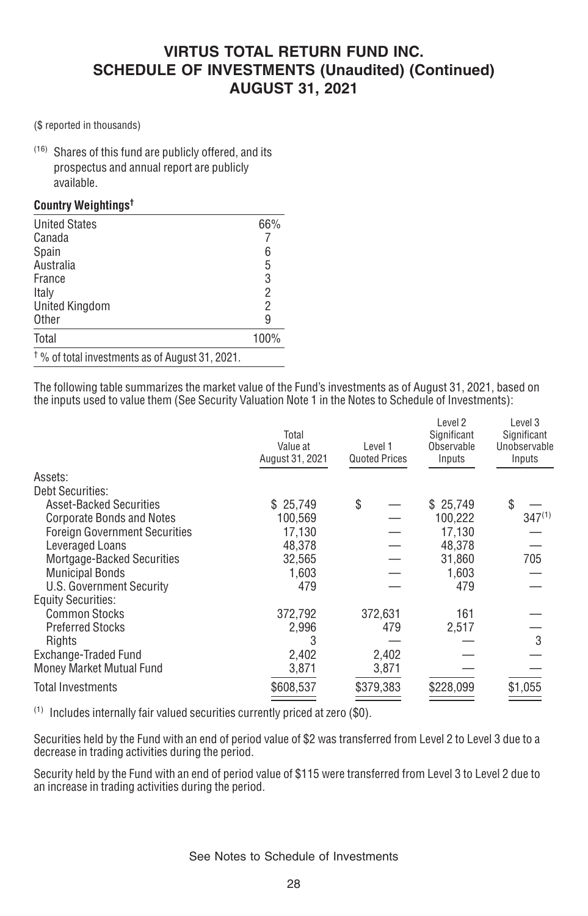(\$ reported in thousands)

(16) Shares of this fund are publicly offered, and its prospectus and annual report are publicly available.

#### **Country Weightings†**

| <b>United States</b>                                       | 66%            |
|------------------------------------------------------------|----------------|
| Canada                                                     |                |
| Spain                                                      | 6              |
| Australia                                                  | 5              |
| France                                                     | 3              |
| Italy                                                      | $\overline{2}$ |
| <b>United Kingdom</b>                                      | $\overline{2}$ |
| <b>Other</b>                                               | 9              |
| Total                                                      | 100%           |
| <sup>†</sup> % of total investments as of August 31, 2021. |                |

The following table summarizes the market value of the Fund's investments as of August 31, 2021, based on the inputs used to value them (See Security Valuation Note 1 in the Notes to Schedule of Investments):

|                                      | Total<br>Value at<br>August 31, 2021 | Level 1<br><b>Quoted Prices</b> | Level 2<br>Significant<br>Observable<br>Inputs | Level 3<br>Significant<br>Unobservable<br>Inputs |  |
|--------------------------------------|--------------------------------------|---------------------------------|------------------------------------------------|--------------------------------------------------|--|
| Assets:                              |                                      |                                 |                                                |                                                  |  |
| <b>Debt Securities:</b>              |                                      |                                 |                                                |                                                  |  |
| <b>Asset-Backed Securities</b>       | \$25.749                             | \$                              | \$25,749                                       | \$                                               |  |
| <b>Corporate Bonds and Notes</b>     | 100,569                              |                                 | 100,222                                        | $347^{(1)}$                                      |  |
| <b>Foreign Government Securities</b> | 17,130                               |                                 | 17,130                                         |                                                  |  |
| Leveraged Loans                      | 48,378                               |                                 | 48.378                                         |                                                  |  |
| Mortgage-Backed Securities           | 32,565                               |                                 | 31,860                                         | 705                                              |  |
| <b>Municipal Bonds</b>               | 1,603                                |                                 | 1.603                                          |                                                  |  |
| U.S. Government Security             | 479                                  |                                 | 479                                            |                                                  |  |
| <b>Equity Securities:</b>            |                                      |                                 |                                                |                                                  |  |
| <b>Common Stocks</b>                 | 372,792                              | 372,631                         | 161                                            |                                                  |  |
| <b>Preferred Stocks</b>              | 2,996                                | 479                             | 2,517                                          |                                                  |  |
| Rights                               | 3                                    |                                 |                                                | 3                                                |  |
| Exchange-Traded Fund                 | 2,402                                | 2,402                           |                                                |                                                  |  |
| Money Market Mutual Fund             | 3,871                                | 3,871                           |                                                |                                                  |  |
| <b>Total Investments</b>             | \$608,537                            | \$379,383                       | \$228,099                                      | \$1,055                                          |  |
|                                      |                                      |                                 |                                                |                                                  |  |

(1) Includes internally fair valued securities currently priced at zero (\$0).

Securities held by the Fund with an end of period value of \$2 was transferred from Level 2 to Level 3 due to a decrease in trading activities during the period.

Security held by the Fund with an end of period value of \$115 were transferred from Level 3 to Level 2 due to an increase in trading activities during the period.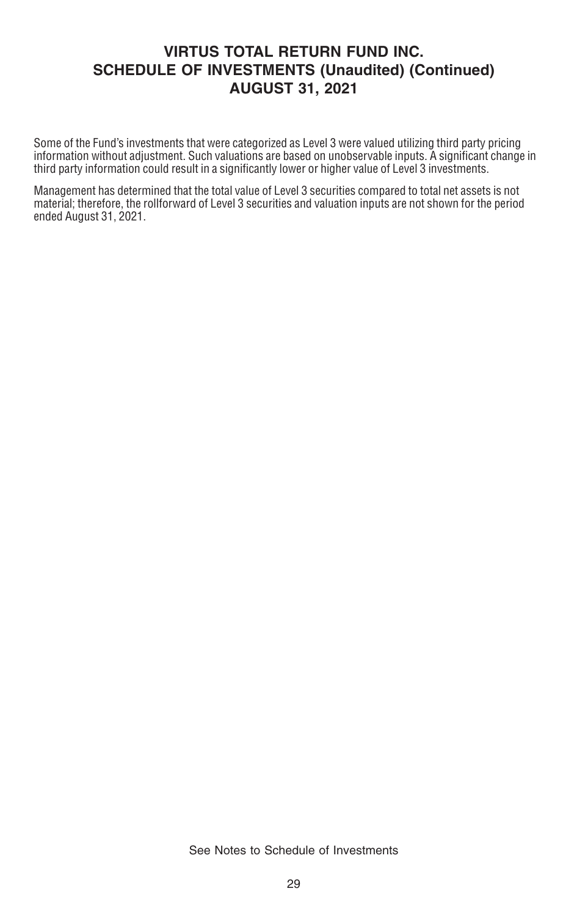Some of the Fund's investments that were categorized as Level 3 were valued utilizing third party pricing information without adjustment. Such valuations are based on unobservable inputs. A significant change in third party information could result in a significantly lower or higher value of Level 3 investments.

Management has determined that the total value of Level 3 securities compared to total net assets is not material; therefore, the rollforward of Level 3 securities and valuation inputs are not shown for the period ended August 31, 2021.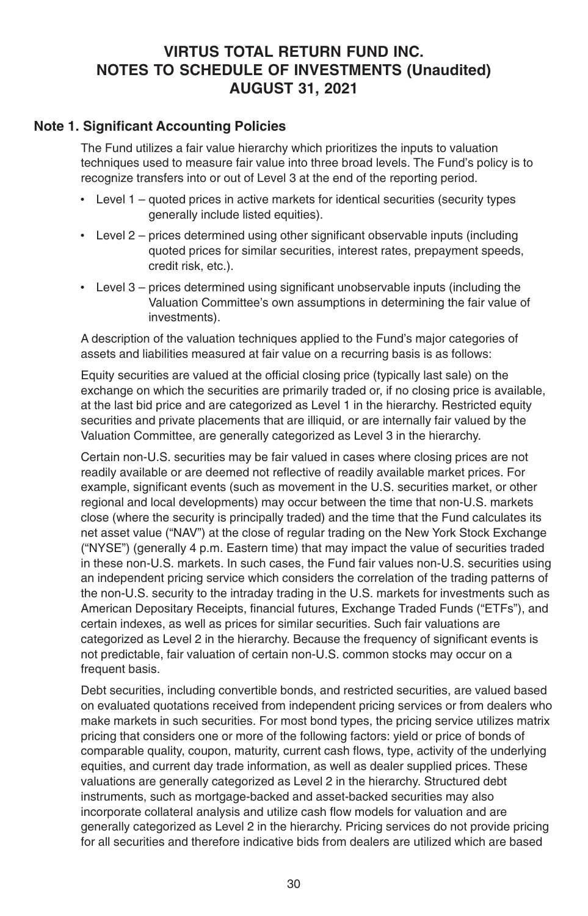#### **VIRTUS TOTAL RETURN FUND INC. NOTES TO SCHEDULE OF INVESTMENTS (Unaudited) AUGUST 31, 2021**

#### **Note 1. Significant Accounting Policies**

The Fund utilizes a fair value hierarchy which prioritizes the inputs to valuation techniques used to measure fair value into three broad levels. The Fund's policy is to recognize transfers into or out of Level 3 at the end of the reporting period.

- Level 1 quoted prices in active markets for identical securities (security types generally include listed equities).
- Level 2 prices determined using other significant observable inputs (including quoted prices for similar securities, interest rates, prepayment speeds, credit risk, etc.).
- Level 3 prices determined using significant unobservable inputs (including the Valuation Committee's own assumptions in determining the fair value of investments).

A description of the valuation techniques applied to the Fund's major categories of assets and liabilities measured at fair value on a recurring basis is as follows:

Equity securities are valued at the official closing price (typically last sale) on the exchange on which the securities are primarily traded or, if no closing price is available, at the last bid price and are categorized as Level 1 in the hierarchy. Restricted equity securities and private placements that are illiquid, or are internally fair valued by the Valuation Committee, are generally categorized as Level 3 in the hierarchy.

Certain non-U.S. securities may be fair valued in cases where closing prices are not readily available or are deemed not reflective of readily available market prices. For example, significant events (such as movement in the U.S. securities market, or other regional and local developments) may occur between the time that non-U.S. markets close (where the security is principally traded) and the time that the Fund calculates its net asset value ("NAV") at the close of regular trading on the New York Stock Exchange ("NYSE") (generally 4 p.m. Eastern time) that may impact the value of securities traded in these non-U.S. markets. In such cases, the Fund fair values non-U.S. securities using an independent pricing service which considers the correlation of the trading patterns of the non-U.S. security to the intraday trading in the U.S. markets for investments such as American Depositary Receipts, financial futures, Exchange Traded Funds ("ETFs"), and certain indexes, as well as prices for similar securities. Such fair valuations are categorized as Level 2 in the hierarchy. Because the frequency of significant events is not predictable, fair valuation of certain non-U.S. common stocks may occur on a frequent basis.

Debt securities, including convertible bonds, and restricted securities, are valued based on evaluated quotations received from independent pricing services or from dealers who make markets in such securities. For most bond types, the pricing service utilizes matrix pricing that considers one or more of the following factors: yield or price of bonds of comparable quality, coupon, maturity, current cash flows, type, activity of the underlying equities, and current day trade information, as well as dealer supplied prices. These valuations are generally categorized as Level 2 in the hierarchy. Structured debt instruments, such as mortgage-backed and asset-backed securities may also incorporate collateral analysis and utilize cash flow models for valuation and are generally categorized as Level 2 in the hierarchy. Pricing services do not provide pricing for all securities and therefore indicative bids from dealers are utilized which are based